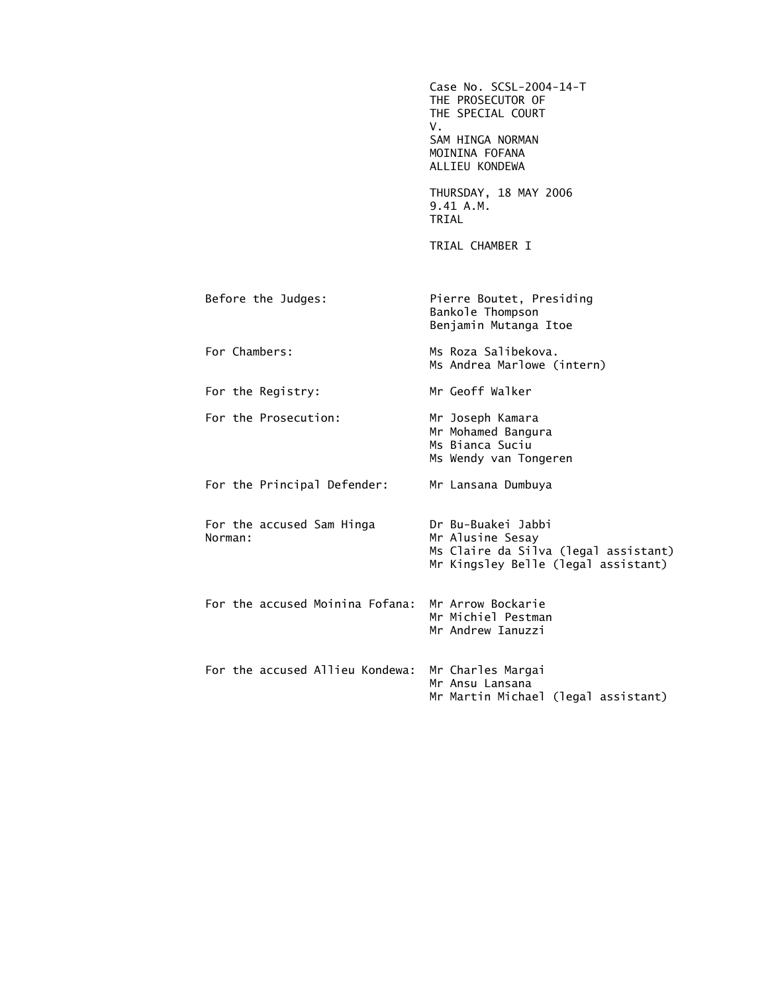Case No. SCSL-2004-14-T THE PROSECUTOR OF THE SPECIAL COURT V. SAM HINGA NORMAN MOININA FOFANA ALLIEU KONDEWA THURSDAY, 18 MAY 2006 9.41 A.M. TRIAL TRIAL CHAMBER I Before the Judges: Pierre Boutet, Presiding Bankole Thompson Benjamin Mutanga Itoe For Chambers: Ms Roza Salibekova. Ms Andrea Marlowe (intern) For the Registry: Mr Geoff Walker For the Prosecution: Mr Joseph Kamara Mr Mohamed Bangura Ms Bianca Suciu Ms Wendy van Tongeren For the Principal Defender: Mr Lansana Dumbuya For the accused Sam Hinga Dr Bu-Buakei Jabbi Mr Alusine Sesay Ms Claire da Silva (legal assistant) Mr Kingsley Belle (legal assistant) For the accused Moinina Fofana: Mr Arrow Bockarie Mr Michiel Pestman Mr Andrew Ianuzzi For the accused Allieu Kondewa: Mr Charles Margai Mr Ansu Lansana Mr Martin Michael (legal assistant)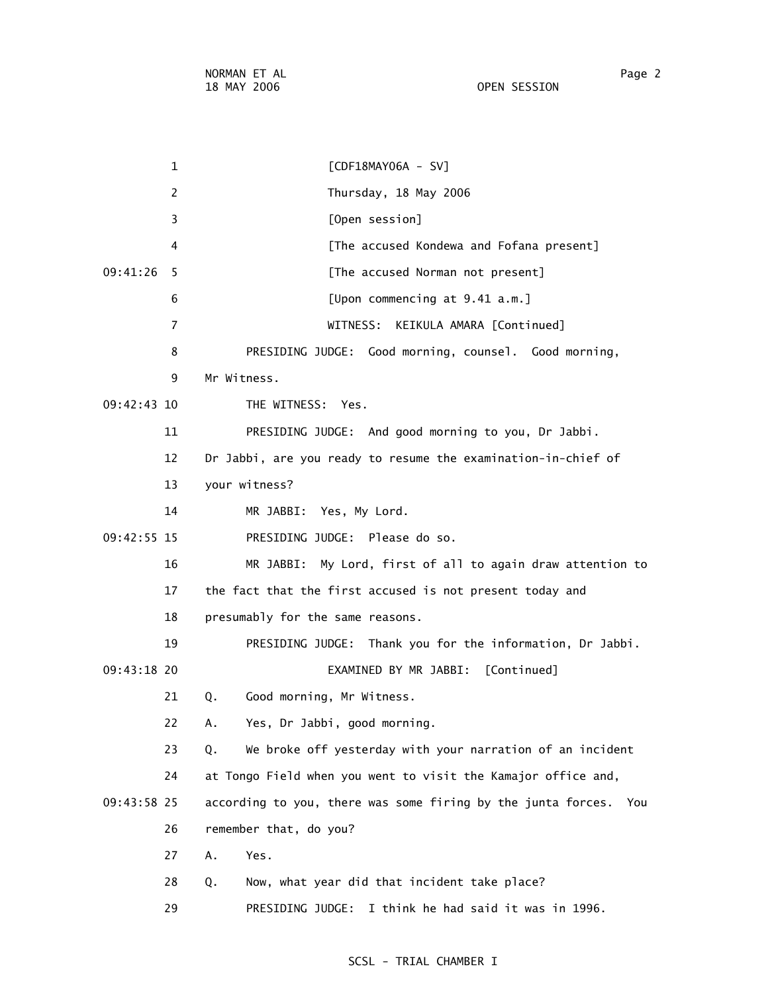1 [CDF18MAY06A - SV] 2 Thursday, 18 May 2006 3 [Open session] 4 [The accused Kondewa and Fofana present] 09:41:26 5 [The accused Norman not present] 6 [Upon commencing at 9.41 a.m.] 7 WITNESS: KEIKULA AMARA [Continued] 8 PRESIDING JUDGE: Good morning, counsel. Good morning, 9 Mr Witness. 09:42:43 10 THE WITNESS: Yes. 11 PRESIDING JUDGE: And good morning to you, Dr Jabbi. 12 Dr Jabbi, are you ready to resume the examination-in-chief of 13 your witness? 14 MR JABBI: Yes, My Lord. 09:42:55 15 PRESIDING JUDGE: Please do so. 16 MR JABBI: My Lord, first of all to again draw attention to 17 the fact that the first accused is not present today and 18 presumably for the same reasons. 19 PRESIDING JUDGE: Thank you for the information, Dr Jabbi. 09:43:18 20 EXAMINED BY MR JABBI: [Continued] 21 Q. Good morning, Mr Witness. 22 A. Yes, Dr Jabbi, good morning. 23 Q. We broke off yesterday with your narration of an incident 24 at Tongo Field when you went to visit the Kamajor office and, 09:43:58 25 according to you, there was some firing by the junta forces. You 26 remember that, do you? 27 A. Yes. 28 Q. Now, what year did that incident take place? 29 PRESIDING JUDGE: I think he had said it was in 1996.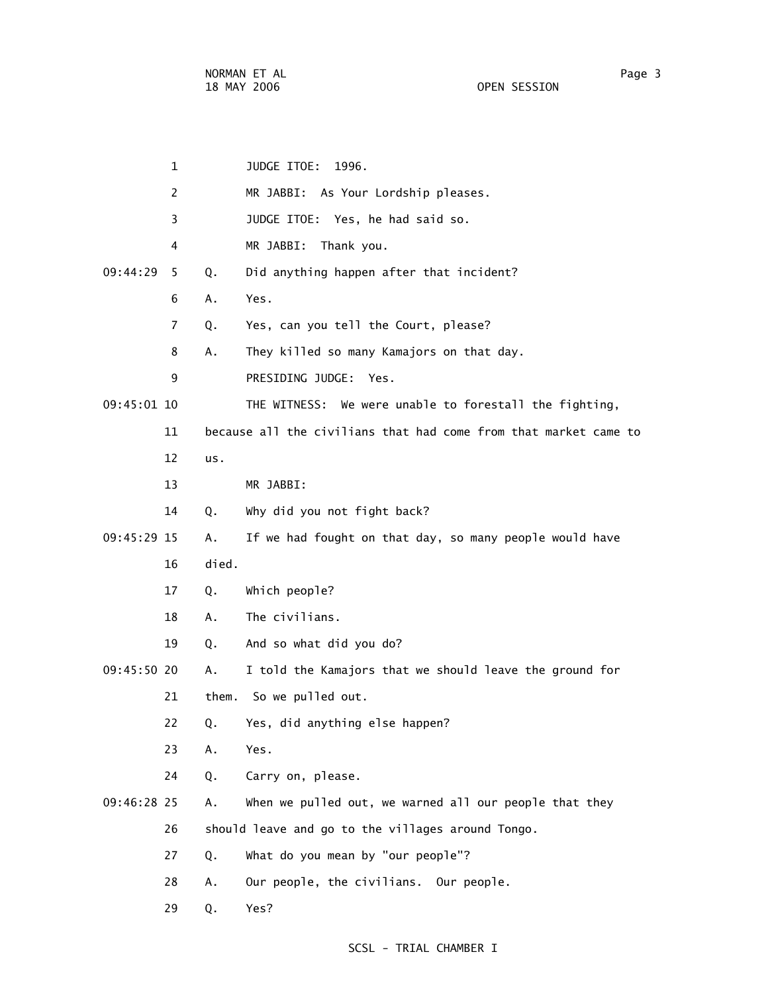| 1              |       | JUDGE ITOE:<br>1996.                                             |
|----------------|-------|------------------------------------------------------------------|
| 2              |       | MR JABBI: As Your Lordship pleases.                              |
| 3              |       | JUDGE ITOE: Yes, he had said so.                                 |
| 4              |       | MR JABBI:<br>Thank you.                                          |
| 09:44:29<br>5. | Q.    | Did anything happen after that incident?                         |
| 6              | Α.    | Yes.                                                             |
| 7              | Q.    | Yes, can you tell the Court, please?                             |
| 8              | Α.    | They killed so many Kamajors on that day.                        |
| 9              |       | PRESIDING JUDGE:<br>Yes.                                         |
| 09:45:01 10    |       | THE WITNESS: We were unable to forestall the fighting,           |
| 11             |       | because all the civilians that had come from that market came to |
| 12             | us.   |                                                                  |
| 13             |       | MR JABBI:                                                        |
| 14             | Q.    | Why did you not fight back?                                      |
| 09:45:29 15    | Α.    | If we had fought on that day, so many people would have          |
| 16             | died. |                                                                  |
| 17             | Q.    | Which people?                                                    |
| 18             | А.    | The civilians.                                                   |
| 19             | Q.    | And so what did you do?                                          |
| 09:45:50 20    | Α.    | I told the Kamajors that we should leave the ground for          |
| 21             | them. | So we pulled out.                                                |
| 22             | Q.    | Yes, did anything else happen?                                   |
| 23             | Α.    | Yes.                                                             |
| 24             | Q.    | Carry on, please.                                                |
| 09:46:28 25    | Α.    | When we pulled out, we warned all our people that they           |
| 26             |       | should leave and go to the villages around Tongo.                |
| 27             | Q.    | What do you mean by "our people"?                                |
| 28             | Α.    | Our people, the civilians. Our people.                           |
| 29             | Q.    | Yes?                                                             |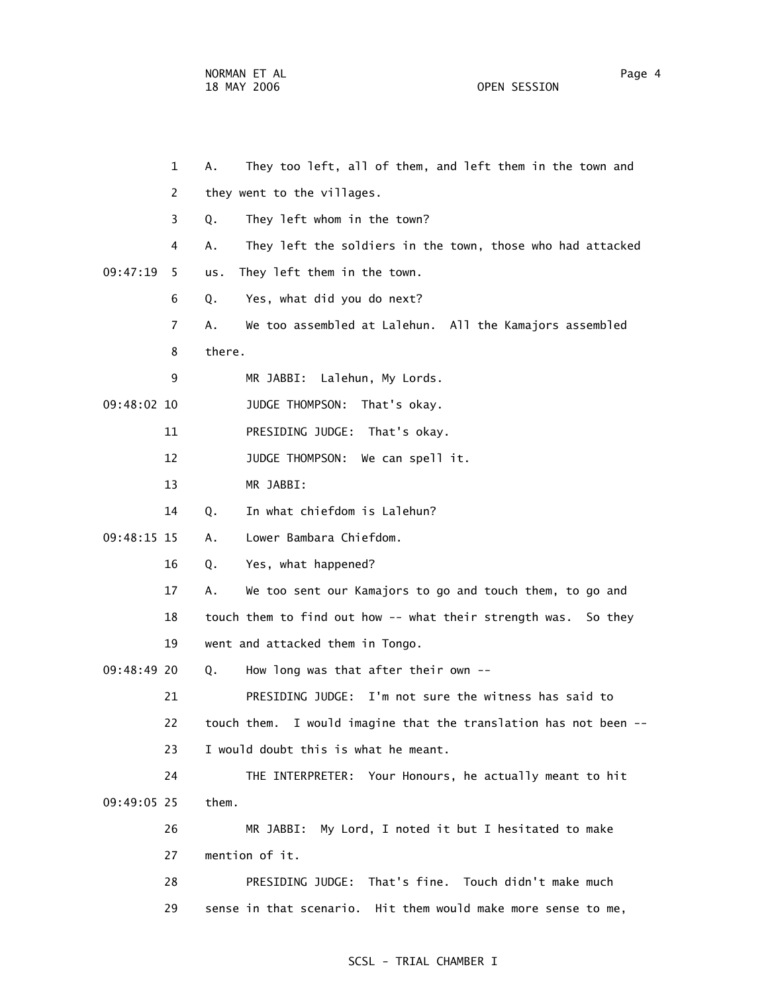|             | $\mathbf{1}$   | Α.     | They too left, all of them, and left them in the town and        |
|-------------|----------------|--------|------------------------------------------------------------------|
|             | 2              |        | they went to the villages.                                       |
|             | 3              | Q.     | They left whom in the town?                                      |
|             | 4              | А.     | They left the soldiers in the town, those who had attacked       |
| 09:47:19    | 5              | us.    | They left them in the town.                                      |
|             | 6              | Q.     | Yes, what did you do next?                                       |
|             | $\overline{7}$ | Α.     | We too assembled at Lalehun. All the Kamajors assembled          |
|             | 8              | there. |                                                                  |
|             | 9              |        | MR JABBI: Lalehun, My Lords.                                     |
| 09:48:02 10 |                |        | JUDGE THOMPSON:<br>That's okay.                                  |
|             | 11             |        | PRESIDING JUDGE: That's okay.                                    |
|             | 12             |        | JUDGE THOMPSON:<br>We can spell it.                              |
|             | 13             |        | MR JABBI:                                                        |
|             | 14             | Q.     | In what chiefdom is Lalehun?                                     |
| 09:48:15 15 |                | Α.     | Lower Bambara Chiefdom.                                          |
|             | 16             | Q.     | Yes, what happened?                                              |
|             | 17             | Α.     | We too sent our Kamajors to go and touch them, to go and         |
|             | 18             |        | touch them to find out how -- what their strength was. So they   |
|             | 19             |        | went and attacked them in Tongo.                                 |
| 09:48:49 20 |                | Q.     | How long was that after their own $-$ -                          |
|             | 21             |        | PRESIDING JUDGE: I'm not sure the witness has said to            |
|             | 22             |        | touch them. I would imagine that the translation has not been -- |
|             | 23             |        | I would doubt this is what he meant.                             |
|             | 24             |        | THE INTERPRETER: Your Honours, he actually meant to hit          |
| 09:49:05 25 |                | them.  |                                                                  |
|             | 26             |        | My Lord, I noted it but I hesitated to make<br>MR JABBI:         |
|             | 27             |        | mention of it.                                                   |
|             | 28             |        | PRESIDING JUDGE: That's fine. Touch didn't make much             |
|             | 29             |        | sense in that scenario. Hit them would make more sense to me,    |
|             |                |        |                                                                  |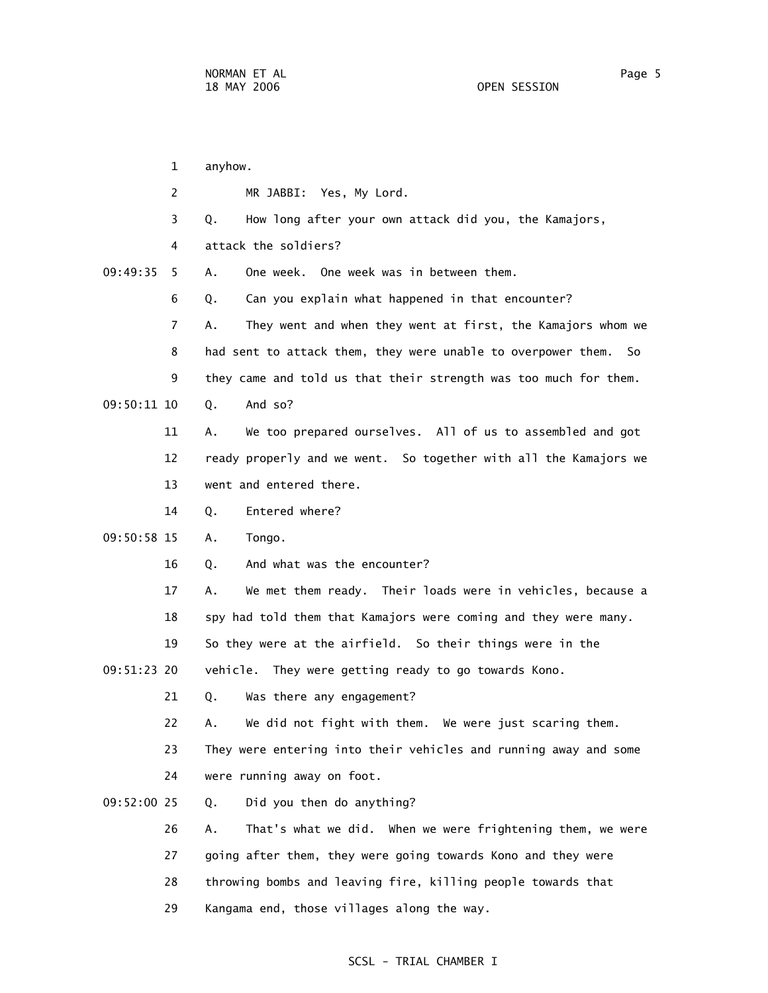1 anyhow. 2 MR JABBI: Yes, My Lord. 3 Q. How long after your own attack did you, the Kamajors, 4 attack the soldiers? 09:49:35 5 A. One week. One week was in between them. 6 Q. Can you explain what happened in that encounter? 7 A. They went and when they went at first, the Kamajors whom we 8 had sent to attack them, they were unable to overpower them. So 9 they came and told us that their strength was too much for them. 09:50:11 10 0. And so? 11 A. We too prepared ourselves. All of us to assembled and got 12 ready properly and we went. So together with all the Kamajors we 13 went and entered there. 14 Q. Entered where? 09:50:58 15 A. Tongo. 16 0. And what was the encounter? 17 A. We met them ready. Their loads were in vehicles, because a 18 spy had told them that Kamajors were coming and they were many. 19 So they were at the airfield. So their things were in the 09:51:23 20 vehicle. They were getting ready to go towards Kono. 21 Q. Was there any engagement? 22 A. We did not fight with them. We were just scaring them. 23 They were entering into their vehicles and running away and some 24 were running away on foot. 09:52:00 25 Q. Did you then do anything? 26 A. That's what we did. When we were frightening them, we were 27 going after them, they were going towards Kono and they were 28 throwing bombs and leaving fire, killing people towards that 29 Kangama end, those villages along the way.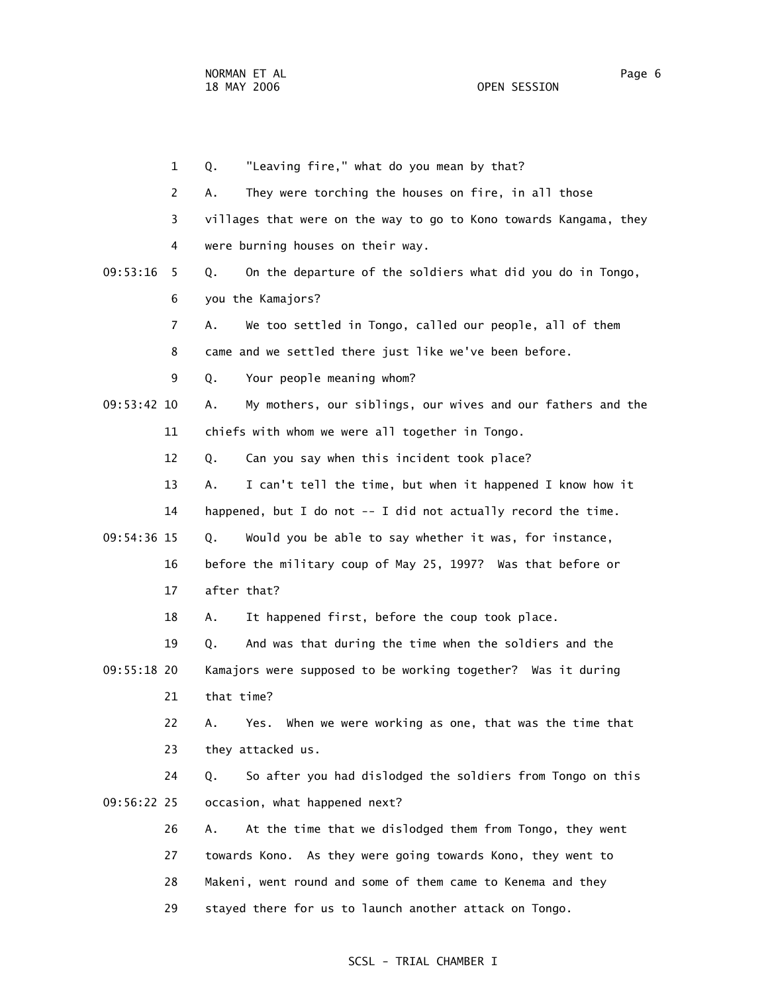|               | $\mathbf{1}$   | "Leaving fire," what do you mean by that?<br>Q.                   |
|---------------|----------------|-------------------------------------------------------------------|
|               | 2              | They were torching the houses on fire, in all those<br>Α.         |
|               | 3              | villages that were on the way to go to Kono towards Kangama, they |
|               | 4              | were burning houses on their way.                                 |
| 09:53:16      | 5.             | On the departure of the soldiers what did you do in Tongo,<br>Q.  |
|               | 6              | you the Kamajors?                                                 |
|               | $\overline{7}$ | We too settled in Tongo, called our people, all of them<br>А.     |
|               | 8              | came and we settled there just like we've been before.            |
|               | 9              | Your people meaning whom?<br>Q.                                   |
| $09:53:42$ 10 |                | My mothers, our siblings, our wives and our fathers and the<br>Α. |
|               | 11             | chiefs with whom we were all together in Tongo.                   |
|               | 12             | Can you say when this incident took place?<br>Q.                  |
|               | 13             | I can't tell the time, but when it happened I know how it<br>А.   |
|               | 14             | happened, but I do not -- I did not actually record the time.     |
| 09:54:36 15   |                | Would you be able to say whether it was, for instance,<br>Q.      |
|               | 16             | before the military coup of May 25, 1997? Was that before or      |
|               | 17             | after that?                                                       |
|               | 18             | It happened first, before the coup took place.<br>Α.              |
|               | 19             | And was that during the time when the soldiers and the<br>Q.      |
| 09:55:18 20   |                | Kamajors were supposed to be working together? Was it during      |
|               | 21             | that time?                                                        |
|               | 22             | Yes. When we were working as one, that was the time that<br>Α.    |
|               | 23             | they attacked us.                                                 |
|               | 24             | So after you had dislodged the soldiers from Tongo on this<br>Q.  |
| 09:56:22 25   |                | occasion, what happened next?                                     |
|               | 26             | At the time that we dislodged them from Tongo, they went<br>Α.    |
|               | 27             | towards Kono. As they were going towards Kono, they went to       |
|               | 28             | Makeni, went round and some of them came to Kenema and they       |
|               | 29             | stayed there for us to launch another attack on Tongo.            |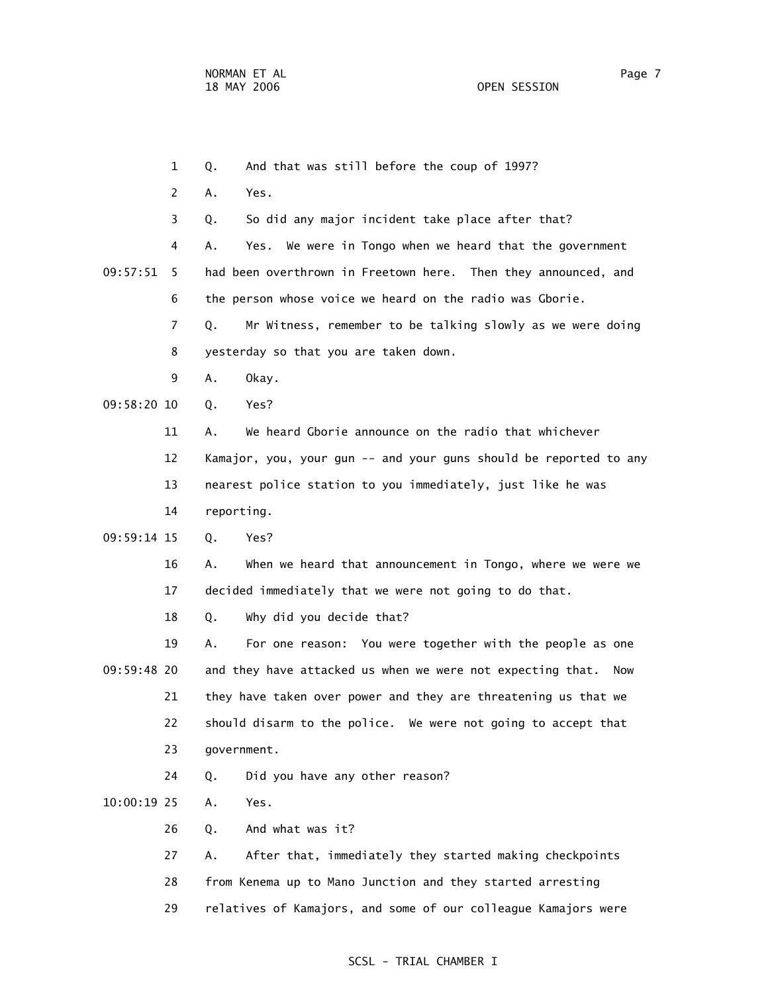1 Q. And that was still before the coup of 1997? 2 A. Yes. 3 Q. So did any major incident take place after that? 4 A. Yes. We were in Tongo when we heard that the government 09:57:51 5 had been overthrown in Freetown here. Then they announced, and 6 the person whose voice we heard on the radio was Gborie. 7 Q. Mr Witness, remember to be talking slowly as we were doing 8 yesterday so that you are taken down. 9 A. Okay. 09:58:20 10 Q. Yes? 11 A. We heard Gborie announce on the radio that whichever 12 Kamajor, you, your gun -- and your guns should be reported to any 13 nearest police station to you immediately, just like he was 14 reporting. 09:59:14 15 Q. Yes? 16 A. When we heard that announcement in Tongo, where we were we 17 decided immediately that we were not going to do that. 18 Q. Why did you decide that? 19 A. For one reason: You were together with the people as one 09:59:48 20 and they have attacked us when we were not expecting that. Now 21 they have taken over power and they are threatening us that we 22 should disarm to the police. We were not going to accept that 23 government. 24 Q. Did you have any other reason? 10:00:19 25 A. Yes. 26 Q. And what was it? 27 A. After that, immediately they started making checkpoints 28 from Kenema up to Mano Junction and they started arresting 29 relatives of Kamajors, and some of our colleague Kamajors were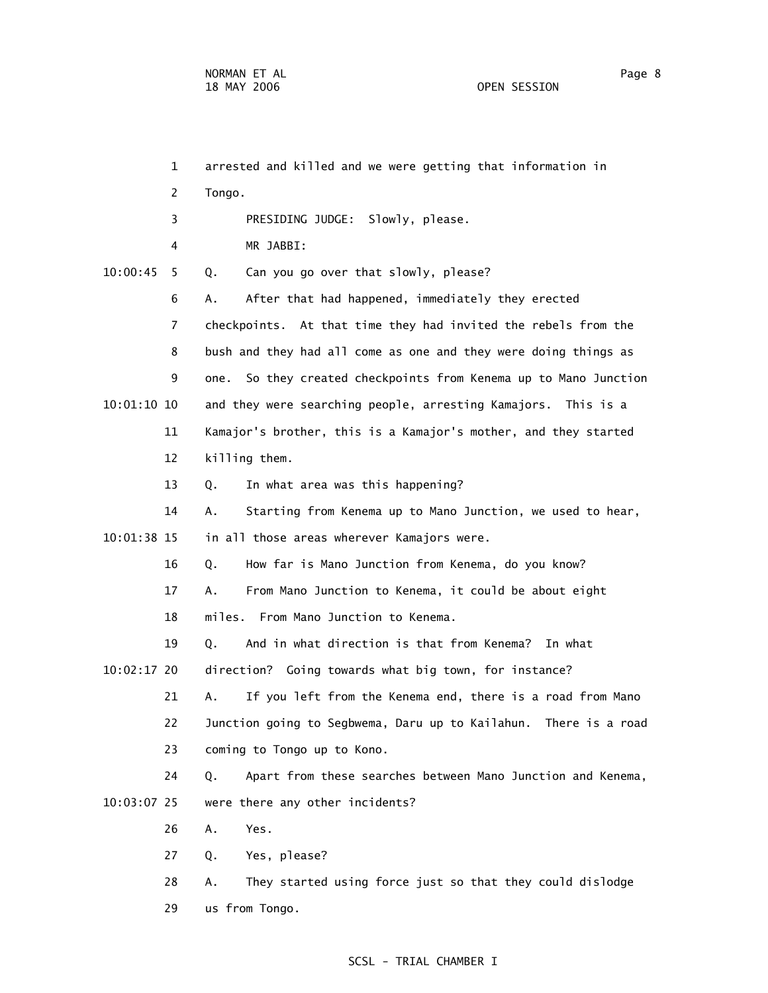|               | $\mathbf{1}$   | arrested and killed and we were getting that information in       |
|---------------|----------------|-------------------------------------------------------------------|
|               | 2              | Tongo.                                                            |
|               | 3              | PRESIDING JUDGE: Slowly, please.                                  |
|               | 4              | MR JABBI:                                                         |
| 10:00:45      | 5              | Can you go over that slowly, please?<br>Q.                        |
|               | 6              | After that had happened, immediately they erected<br>А.           |
|               | $\overline{7}$ | checkpoints. At that time they had invited the rebels from the    |
|               | 8              | bush and they had all come as one and they were doing things as   |
|               | 9              | one. So they created checkpoints from Kenema up to Mano Junction  |
| $10:01:10$ 10 |                | and they were searching people, arresting Kamajors. This is a     |
|               | 11             | Kamajor's brother, this is a Kamajor's mother, and they started   |
|               | 12             | killing them.                                                     |
|               | 13             | In what area was this happening?<br>Q.                            |
|               | 14             | Starting from Kenema up to Mano Junction, we used to hear,<br>Α.  |
| 10:01:38 15   |                | in all those areas wherever Kamajors were.                        |
|               | 16             | How far is Mano Junction from Kenema, do you know?<br>Q.          |
|               | 17             | From Mano Junction to Kenema, it could be about eight<br>А.       |
|               | 18             | From Mano Junction to Kenema.<br>miles.                           |
|               | 19             | And in what direction is that from Kenema? In what<br>Q.          |
| $10:02:17$ 20 |                | direction? Going towards what big town, for instance?             |
|               | 21             | If you left from the Kenema end, there is a road from Mano<br>А.  |
|               | 22             | Junction going to Segbwema, Daru up to Kailahun. There is a road  |
|               | 23             | coming to Tongo up to Kono.                                       |
|               | 24             | Apart from these searches between Mano Junction and Kenema,<br>Q. |
| 10:03:07 25   |                | were there any other incidents?                                   |
|               | 26             | Yes.<br>Α.                                                        |
|               | 27             | Yes, please?<br>Q.                                                |
|               | 28             | They started using force just so that they could dislodge<br>Α.   |
|               |                |                                                                   |

# 29 us from Tongo.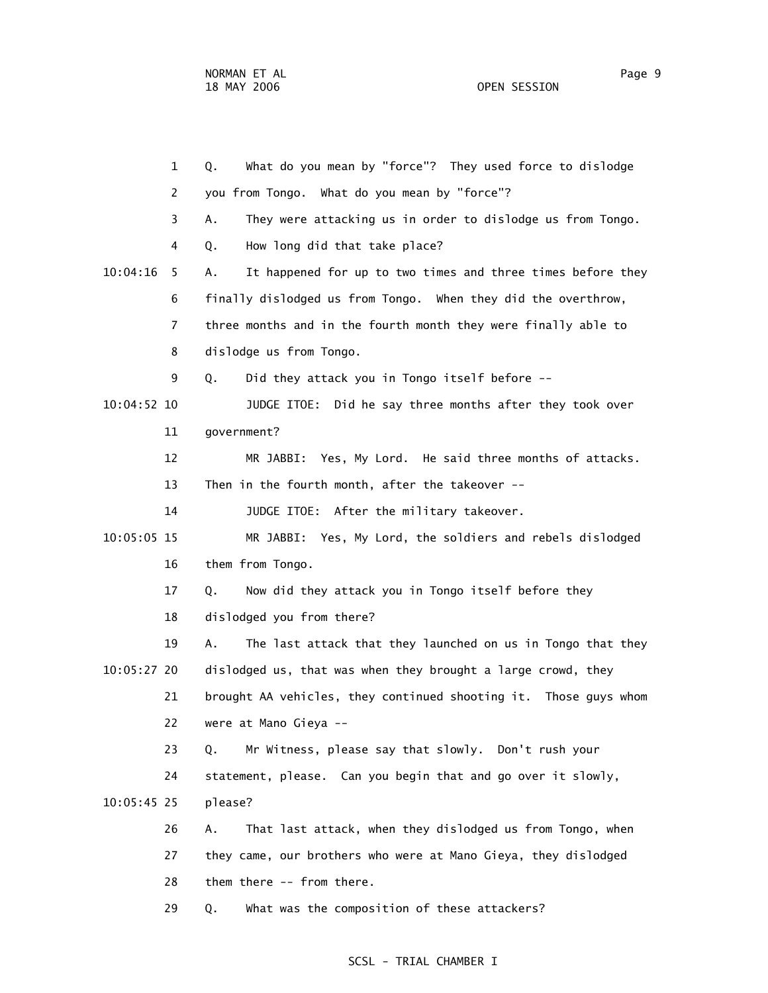|             | $\mathbf{1}$   | What do you mean by "force"? They used force to dislodge<br>Q.    |
|-------------|----------------|-------------------------------------------------------------------|
|             | 2              | you from Tongo. What do you mean by "force"?                      |
|             | 3              | They were attacking us in order to dislodge us from Tongo.<br>Α.  |
|             | 4              | How long did that take place?<br>Q.                               |
| 10:04:16    | 5              | It happened for up to two times and three times before they<br>Α. |
|             | 6              | finally dislodged us from Tongo. When they did the overthrow,     |
|             | $\overline{7}$ | three months and in the fourth month they were finally able to    |
|             | 8              | dislodge us from Tongo.                                           |
|             | 9              | Did they attack you in Tongo itself before --<br>Q.               |
| 10:04:52 10 |                | JUDGE ITOE: Did he say three months after they took over          |
|             | 11             | government?                                                       |
|             | 12             | Yes, My Lord. He said three months of attacks.<br>MR JABBI:       |
|             | 13             | Then in the fourth month, after the takeover --                   |
|             | 14             | JUDGE ITOE: After the military takeover.                          |
| 10:05:05 15 |                | MR JABBI: Yes, My Lord, the soldiers and rebels dislodged         |
|             | 16             | them from Tongo.                                                  |
|             | 17             | Now did they attack you in Tongo itself before they<br>Q.         |
|             | 18             | dislodged you from there?                                         |
|             | 19             | Α.<br>The last attack that they launched on us in Tongo that they |
| 10:05:27 20 |                | dislodged us, that was when they brought a large crowd, they      |
|             | 21             | brought AA vehicles, they continued shooting it. Those guys whom  |
|             | 22             | were at Mano Gieya --                                             |
|             | 23             | Mr Witness, please say that slowly. Don't rush your<br>Q.         |
|             | 24             | statement, please. Can you begin that and go over it slowly,      |
| 10:05:45 25 |                | please?                                                           |
|             | 26             | That last attack, when they dislodged us from Tongo, when<br>Α.   |
|             | 27             | they came, our brothers who were at Mano Gieya, they dislodged    |
|             | 28             | them there -- from there.                                         |
|             | 29             | What was the composition of these attackers?<br>Q.                |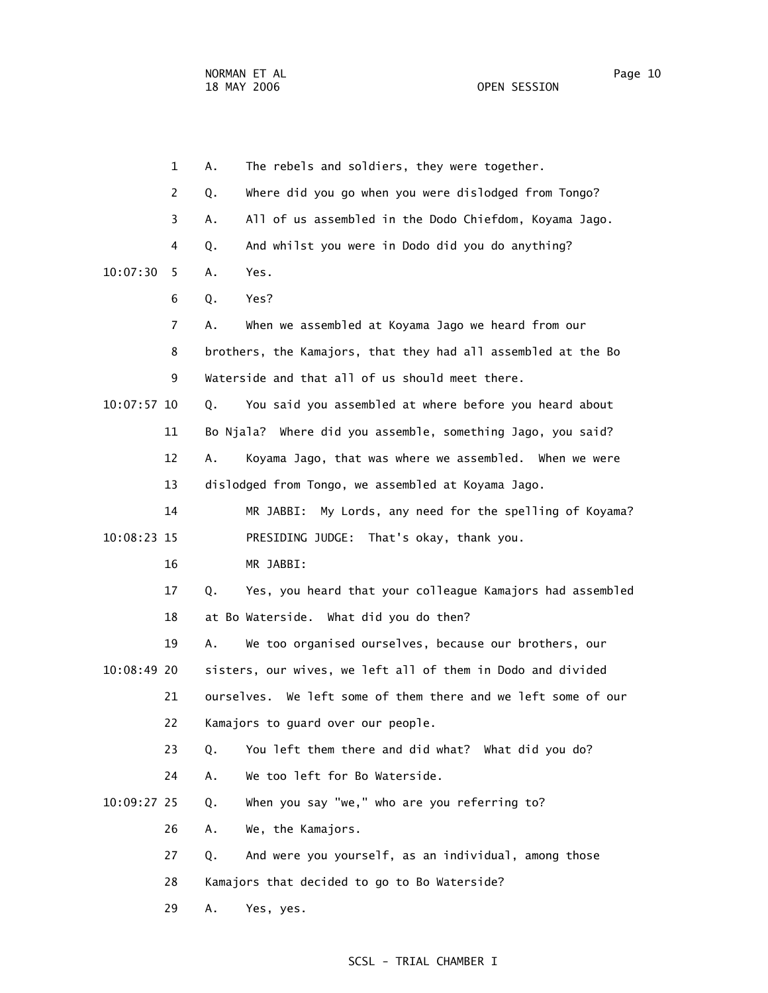1 A. The rebels and soldiers, they were together. 2 Q. Where did you go when you were dislodged from Tongo? 3 A. All of us assembled in the Dodo Chiefdom, Koyama Jago. 4 Q. And whilst you were in Dodo did you do anything? 10:07:30 5 A. Yes. 6 Q. Yes? 7 A. When we assembled at Koyama Jago we heard from our 8 brothers, the Kamajors, that they had all assembled at the Bo 9 Waterside and that all of us should meet there. 10:07:57 10 Q. You said you assembled at where before you heard about 11 Bo Njala? Where did you assemble, something Jago, you said? 12 A. Koyama Jago, that was where we assembled. When we were 13 dislodged from Tongo, we assembled at Koyama Jago. 14 MR JABBI: My Lords, any need for the spelling of Koyama? 10:08:23 15 PRESIDING JUDGE: That's okay, thank you. 16 MR JABBI: 17 Q. Yes, you heard that your colleague Kamajors had assembled 18 at Bo Waterside. What did you do then? 19 A. We too organised ourselves, because our brothers, our 10:08:49 20 sisters, our wives, we left all of them in Dodo and divided 21 ourselves. We left some of them there and we left some of our 22 Kamajors to guard over our people. 23 Q. You left them there and did what? What did you do? 24 A. We too left for Bo Waterside. 10:09:27 25 Q. When you say "we," who are you referring to? 26 A. We, the Kamajors. 27 Q. And were you yourself, as an individual, among those 28 Kamajors that decided to go to Bo Waterside? 29 A. Yes, yes.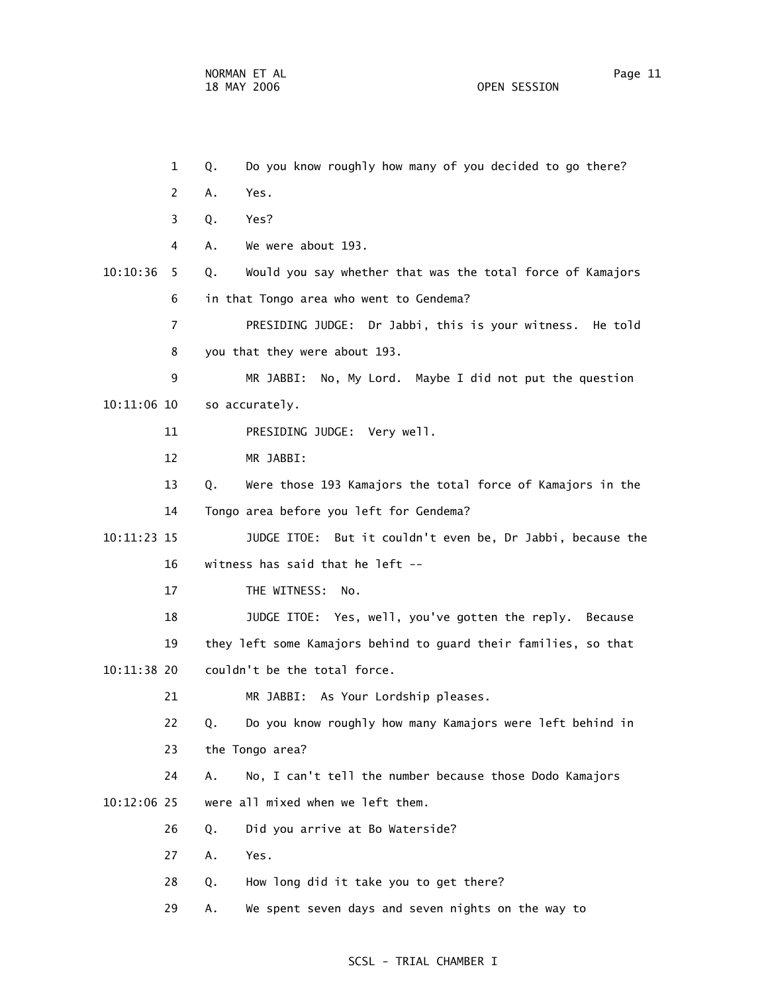1 Q. Do you know roughly how many of you decided to go there? 2 A. Yes. 3 Q. Yes? 4 A. We were about 193. 10:10:36 5 Q. Would you say whether that was the total force of Kamajors 6 in that Tongo area who went to Gendema? 7 PRESIDING JUDGE: Dr Jabbi, this is your witness. He told 8 you that they were about 193. 9 MR JABBI: No, My Lord. Maybe I did not put the question 10:11:06 10 so accurately. 11 PRESIDING JUDGE: Very well. 12 MR JABBI: 13 Q. Were those 193 Kamajors the total force of Kamajors in the 14 Tongo area before you left for Gendema? 10:11:23 15 JUDGE ITOE: But it couldn't even be, Dr Jabbi, because the 16 witness has said that he left -- 17 THE WITNESS: No. 18 JUDGE ITOE: Yes, well, you've gotten the reply. Because 19 they left some Kamajors behind to guard their families, so that 10:11:38 20 couldn't be the total force. 21 MR JABBI: As Your Lordship pleases. 22 Q. Do you know roughly how many Kamajors were left behind in 23 the Tongo area? 24 A. No, I can't tell the number because those Dodo Kamajors 10:12:06 25 were all mixed when we left them. 26 Q. Did you arrive at Bo Waterside? 27 A. Yes. 28 Q. How long did it take you to get there? 29 A. We spent seven days and seven nights on the way to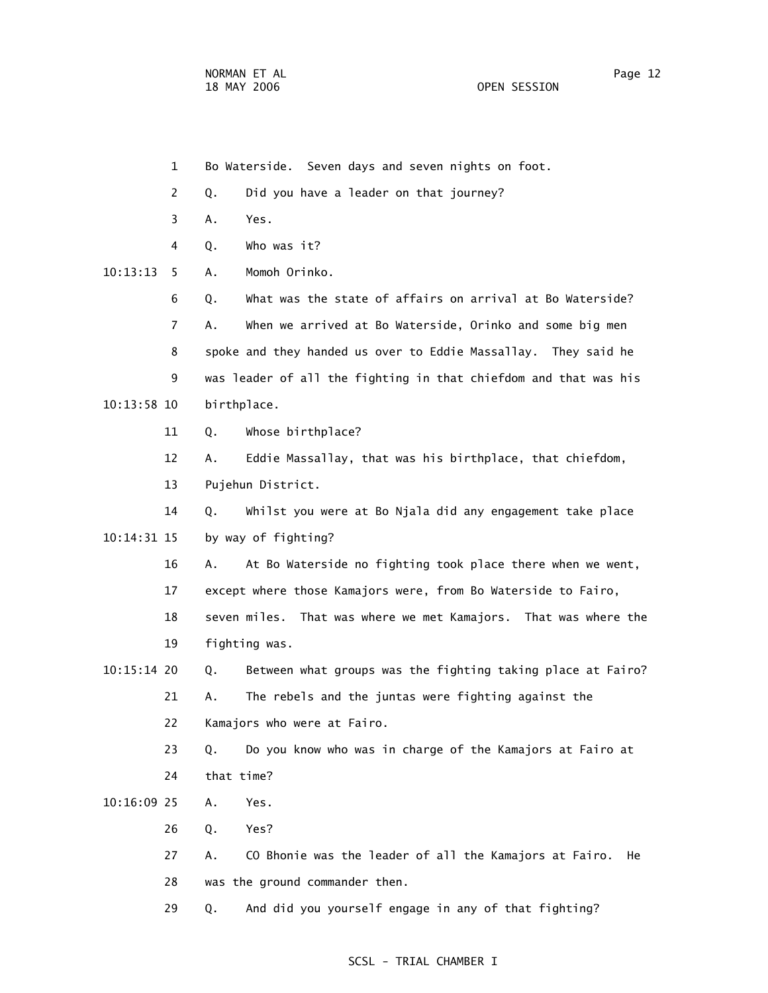1 Bo Waterside. Seven days and seven nights on foot. 2 Q. Did you have a leader on that journey? 3 A. Yes. 4 Q. Who was it? 10:13:13 5 A. Momoh Orinko. 6 Q. What was the state of affairs on arrival at Bo Waterside? 7 A. When we arrived at Bo Waterside, Orinko and some big men 8 spoke and they handed us over to Eddie Massallay. They said he 9 was leader of all the fighting in that chiefdom and that was his 10:13:58 10 birthplace. 11 Q. Whose birthplace? 12 A. Eddie Massallay, that was his birthplace, that chiefdom, 13 Pujehun District. 14 Q. Whilst you were at Bo Njala did any engagement take place 10:14:31 15 by way of fighting? 16 A. At Bo Waterside no fighting took place there when we went, 17 except where those Kamajors were, from Bo Waterside to Fairo, 18 seven miles. That was where we met Kamajors. That was where the 19 fighting was. 10:15:14 20 Q. Between what groups was the fighting taking place at Fairo? 21 A. The rebels and the juntas were fighting against the 22 Kamajors who were at Fairo. 23 Q. Do you know who was in charge of the Kamajors at Fairo at 24 that time? 10:16:09 25 A. Yes. 26 Q. Yes? 27 A. CO Bhonie was the leader of all the Kamajors at Fairo. He 28 was the ground commander then. 29 Q. And did you yourself engage in any of that fighting?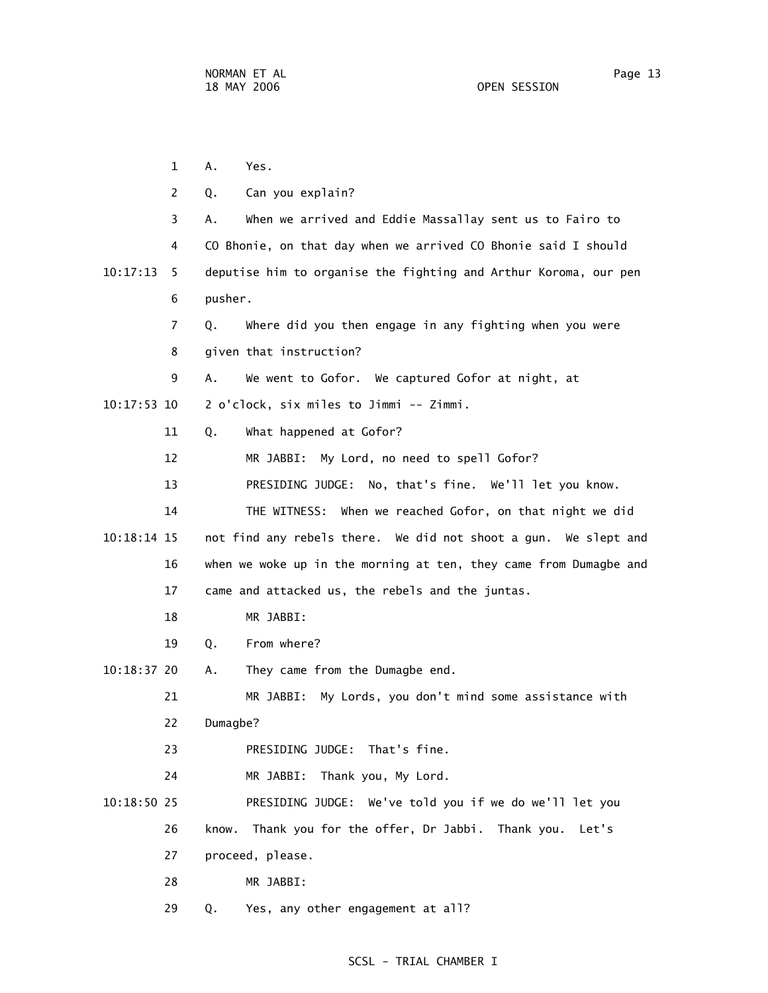|               | $\mathbf 1$    | Α.<br>Yes.                                                        |
|---------------|----------------|-------------------------------------------------------------------|
|               | $\overline{2}$ | Can you explain?<br>Q.                                            |
|               | 3              | When we arrived and Eddie Massallay sent us to Fairo to<br>А.     |
|               | 4              | CO Bhonie, on that day when we arrived CO Bhonie said I should    |
| 10:17:13      | 5              | deputise him to organise the fighting and Arthur Koroma, our pen  |
|               | 6              | pusher.                                                           |
|               | $\overline{7}$ | Where did you then engage in any fighting when you were<br>Q.     |
|               | 8              | given that instruction?                                           |
|               | 9              | We went to Gofor. We captured Gofor at night, at<br>А.            |
| $10:17:53$ 10 |                | 2 o'clock, six miles to Jimmi -- Zimmi.                           |
|               | 11             | What happened at Gofor?<br>Q.                                     |
|               | 12             | MR JABBI: My Lord, no need to spell Gofor?                        |
|               | 13             | PRESIDING JUDGE: No, that's fine. We'll let you know.             |
|               | 14             | THE WITNESS: When we reached Gofor, on that night we did          |
| $10:18:14$ 15 |                | not find any rebels there. We did not shoot a gun. We slept and   |
|               | 16             | when we woke up in the morning at ten, they came from Dumagbe and |
|               | 17             | came and attacked us, the rebels and the juntas.                  |
|               | 18             | MR JABBI:                                                         |
|               | 19             | From where?<br>Q.                                                 |
| $10:18:37$ 20 |                | They came from the Dumagbe end.<br>Α.                             |
|               | 21             | My Lords, you don't mind some assistance with<br>MR JABBI:        |
|               | 22             | Dumagbe?                                                          |
|               | 23             | PRESIDING JUDGE: That's fine.                                     |
|               | 24             | MR JABBI: Thank you, My Lord.                                     |
| $10:18:50$ 25 |                | PRESIDING JUDGE: We've told you if we do we'll let you            |
|               | 26             | Thank you for the offer, Dr Jabbi. Thank you. Let's<br>know.      |
|               | 27             | proceed, please.                                                  |
|               | 28             | MR JABBI:                                                         |
|               | 29             | Yes, any other engagement at all?<br>Q.                           |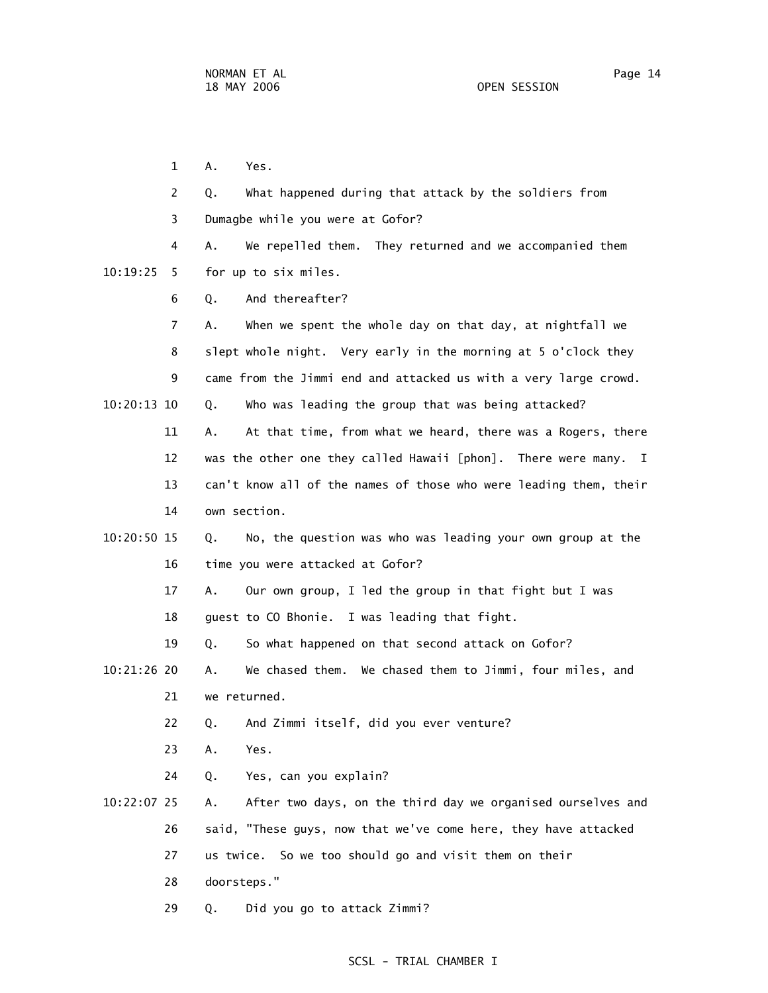1 A. Yes. 2 Q. What happened during that attack by the soldiers from 3 Dumagbe while you were at Gofor? 4 A. We repelled them. They returned and we accompanied them 10:19:25 5 for up to six miles. 6 Q. And thereafter? 7 A. When we spent the whole day on that day, at nightfall we 8 slept whole night. Very early in the morning at 5 o'clock they 9 came from the Jimmi end and attacked us with a very large crowd. 10:20:13 10 Q. Who was leading the group that was being attacked? 11 A. At that time, from what we heard, there was a Rogers, there 12 was the other one they called Hawaii [phon]. There were many. I 13 can't know all of the names of those who were leading them, their 14 own section. 10:20:50 15 Q. No, the question was who was leading your own group at the 16 time you were attacked at Gofor? 17 A. Our own group, I led the group in that fight but I was 18 guest to CO Bhonie. I was leading that fight. 19 Q. So what happened on that second attack on Gofor? 10:21:26 20 A. We chased them. We chased them to Jimmi, four miles, and 21 we returned. 22 Q. And Zimmi itself, did you ever venture? 23 A. Yes. 24 Q. Yes, can you explain? 10:22:07 25 A. After two days, on the third day we organised ourselves and 26 said, "These guys, now that we've come here, they have attacked 27 us twice. So we too should go and visit them on their 28 doorsteps." 29 Q. Did you go to attack Zimmi?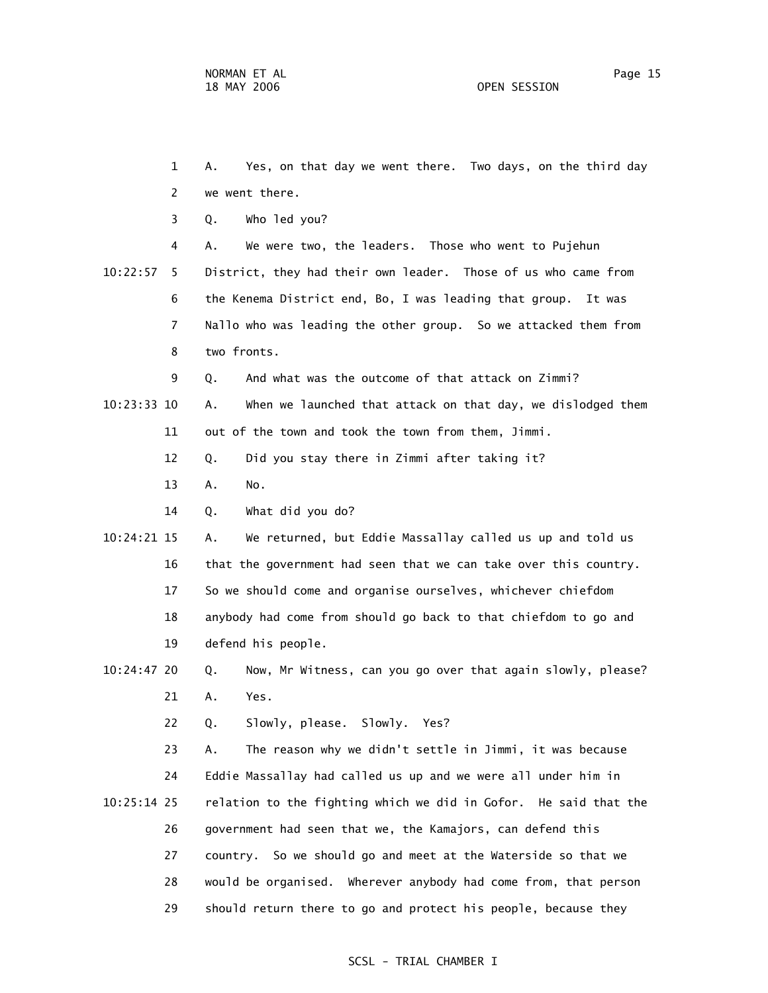1 A. Yes, on that day we went there. Two days, on the third day 2 we went there. 3 Q. Who led you? 4 A. We were two, the leaders. Those who went to Pujehun 10:22:57 5 District, they had their own leader. Those of us who came from 6 the Kenema District end, Bo, I was leading that group. It was 7 Nallo who was leading the other group. So we attacked them from 8 two fronts. 9 Q. And what was the outcome of that attack on Zimmi? 10:23:33 10 A. When we launched that attack on that day, we dislodged them 11 out of the town and took the town from them, Jimmi. 12 Q. Did you stay there in Zimmi after taking it? 13 A. No. 14 Q. What did you do? 10:24:21 15 A. We returned, but Eddie Massallay called us up and told us 16 that the government had seen that we can take over this country. 17 So we should come and organise ourselves, whichever chiefdom 18 anybody had come from should go back to that chiefdom to go and 19 defend his people. 10:24:47 20 Q. Now, Mr Witness, can you go over that again slowly, please? 21 A. Yes. 22 Q. Slowly, please. Slowly. Yes? 23 A. The reason why we didn't settle in Jimmi, it was because 24 Eddie Massallay had called us up and we were all under him in 10:25:14 25 relation to the fighting which we did in Gofor. He said that the 26 government had seen that we, the Kamajors, can defend this 27 country. So we should go and meet at the Waterside so that we 28 would be organised. Wherever anybody had come from, that person 29 should return there to go and protect his people, because they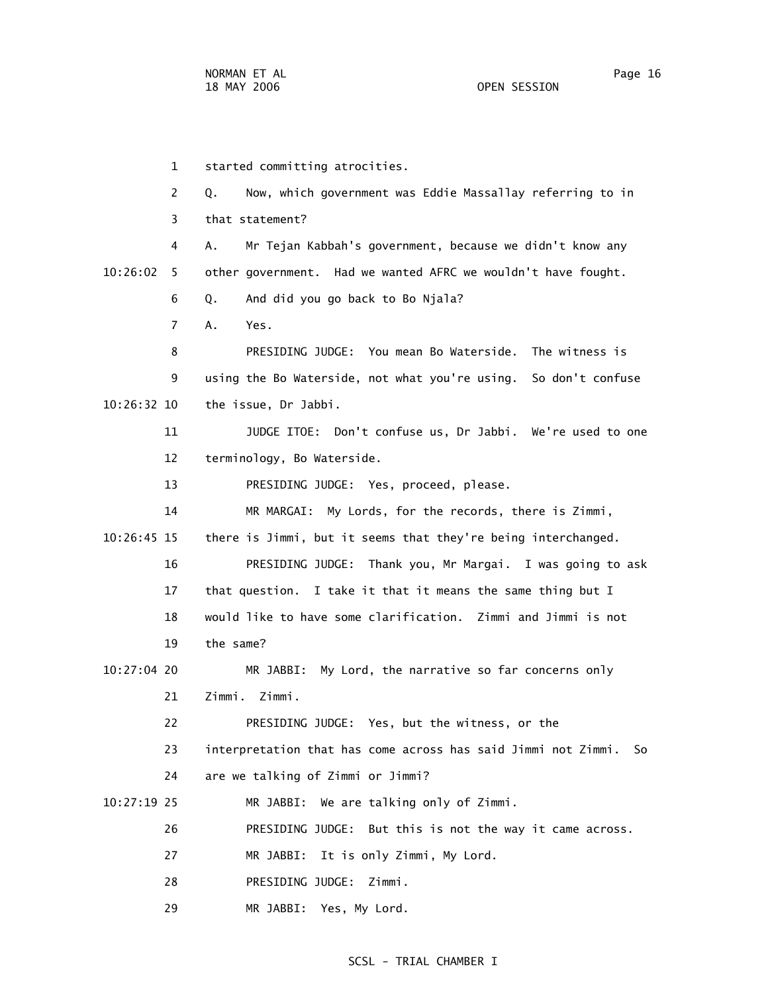1 started committing atrocities. 2 Q. Now, which government was Eddie Massallay referring to in 3 that statement? 4 A. Mr Tejan Kabbah's government, because we didn't know any 10:26:02 5 other government. Had we wanted AFRC we wouldn't have fought. 6 Q. And did you go back to Bo Njala? 7 A. Yes. 8 PRESIDING JUDGE: You mean Bo Waterside. The witness is 9 using the Bo Waterside, not what you're using. So don't confuse 10:26:32 10 the issue, Dr Jabbi. 11 JUDGE ITOE: Don't confuse us, Dr Jabbi. We're used to one 12 terminology, Bo Waterside. 13 PRESIDING JUDGE: Yes, proceed, please. 14 MR MARGAI: My Lords, for the records, there is Zimmi, 10:26:45 15 there is Jimmi, but it seems that they're being interchanged. 16 PRESIDING JUDGE: Thank you, Mr Margai. I was going to ask 17 that question. I take it that it means the same thing but I 18 would like to have some clarification. Zimmi and Jimmi is not 19 the same? 10:27:04 20 MR JABBI: My Lord, the narrative so far concerns only 21 Zimmi. Zimmi. 22 PRESIDING JUDGE: Yes, but the witness, or the 23 interpretation that has come across has said Jimmi not Zimmi. So 24 are we talking of Zimmi or Jimmi? 10:27:19 25 MR JABBI: We are talking only of Zimmi. 26 PRESIDING JUDGE: But this is not the way it came across. 27 MR JABBI: It is only Zimmi, My Lord. 28 PRESIDING JUDGE: Zimmi.

29 MR JABBI: Yes, My Lord.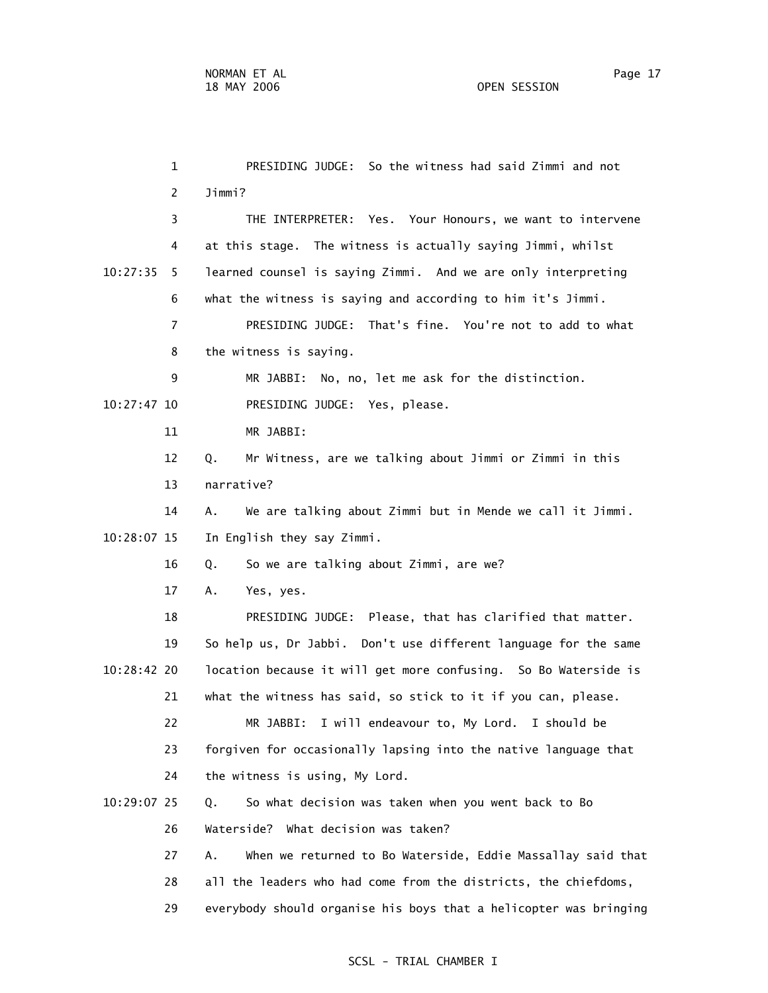1 PRESIDING JUDGE: So the witness had said Zimmi and not 2 Jimmi? 3 THE INTERPRETER: Yes. Your Honours, we want to intervene 4 at this stage. The witness is actually saying Jimmi, whilst 10:27:35 5 learned counsel is saying Zimmi. And we are only interpreting 6 what the witness is saying and according to him it's Jimmi. 7 PRESIDING JUDGE: That's fine. You're not to add to what 8 the witness is saying. 9 MR JABBI: No, no, let me ask for the distinction. 10:27:47 10 PRESIDING JUDGE: Yes, please. 11 MR JABBI: 12 Q. Mr Witness, are we talking about Jimmi or Zimmi in this 13 narrative? 14 A. We are talking about Zimmi but in Mende we call it Jimmi. 10:28:07 15 In English they say Zimmi. 16 Q. So we are talking about Zimmi, are we? 17 A. Yes, yes. 18 PRESIDING JUDGE: Please, that has clarified that matter. 19 So help us, Dr Jabbi. Don't use different language for the same 10:28:42 20 location because it will get more confusing. So Bo Waterside is 21 what the witness has said, so stick to it if you can, please. 22 MR JABBI: I will endeavour to, My Lord. I should be 23 forgiven for occasionally lapsing into the native language that 24 the witness is using, My Lord. 10:29:07 25 Q. So what decision was taken when you went back to Bo 26 Waterside? What decision was taken? 27 A. When we returned to Bo Waterside, Eddie Massallay said that 28 all the leaders who had come from the districts, the chiefdoms, 29 everybody should organise his boys that a helicopter was bringing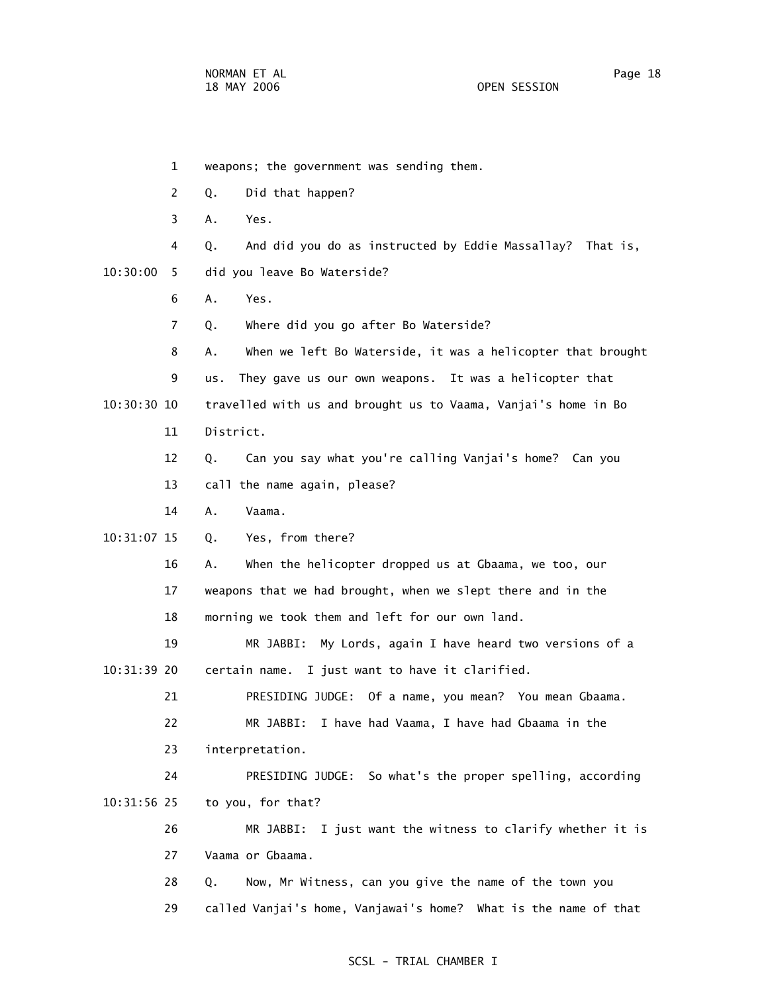1 weapons; the government was sending them. 2 Q. Did that happen? 3 A. Yes. 4 Q. And did you do as instructed by Eddie Massallay? That is, 10:30:00 5 did you leave Bo Waterside? 6 A. Yes. 7 Q. Where did you go after Bo Waterside? 8 A. When we left Bo Waterside, it was a helicopter that brought 9 us. They gave us our own weapons. It was a helicopter that 10:30:30 10 travelled with us and brought us to Vaama, Vanjai's home in Bo 11 District. 12 Q. Can you say what you're calling Vanjai's home? Can you 13 call the name again, please? 14 A. Vaama. 10:31:07 15 Q. Yes, from there? 16 A. When the helicopter dropped us at Gbaama, we too, our 17 weapons that we had brought, when we slept there and in the 18 morning we took them and left for our own land. 19 MR JABBI: My Lords, again I have heard two versions of a 10:31:39 20 certain name. I just want to have it clarified. 21 PRESIDING JUDGE: Of a name, you mean? You mean Gbaama. 22 MR JABBI: I have had Vaama, I have had Gbaama in the 23 interpretation. 24 PRESIDING JUDGE: So what's the proper spelling, according 10:31:56 25 to you, for that? 26 MR JABBI: I just want the witness to clarify whether it is 27 Vaama or Gbaama. 28 Q. Now, Mr Witness, can you give the name of the town you 29 called Vanjai's home, Vanjawai's home? What is the name of that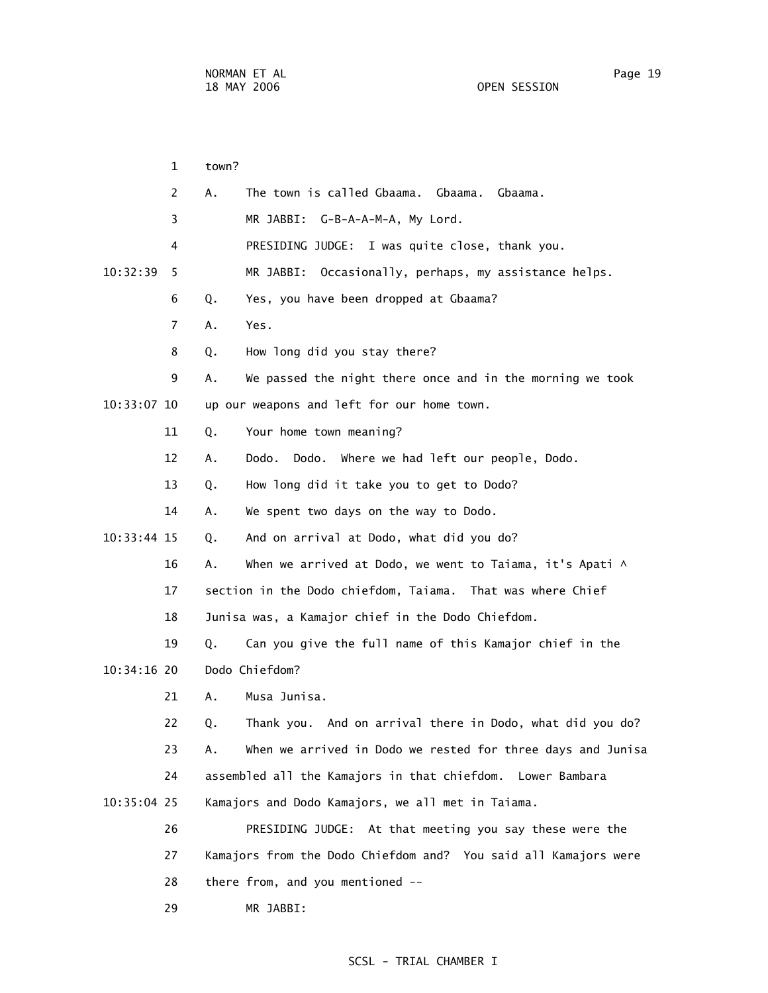1 town? 2 A. The town is called Gbaama. Gbaama. Gbaama. 3 MR JABBI: G-B-A-A-M-A, My Lord. 4 PRESIDING JUDGE: I was quite close, thank you. 10:32:39 5 MR JABBI: Occasionally, perhaps, my assistance helps. 6 Q. Yes, you have been dropped at Gbaama? 7 A. Yes. 8 Q. How long did you stay there? 9 A. We passed the night there once and in the morning we took 10:33:07 10 up our weapons and left for our home town. 11 Q. Your home town meaning? 12 A. Dodo. Dodo. Where we had left our people, Dodo. 13 Q. How long did it take you to get to Dodo? 14 A. We spent two days on the way to Dodo. 10:33:44 15 Q. And on arrival at Dodo, what did you do? 16 A. When we arrived at Dodo, we went to Taiama, it's Apati  $\wedge$  17 section in the Dodo chiefdom, Taiama. That was where Chief 18 Junisa was, a Kamajor chief in the Dodo Chiefdom. 19 Q. Can you give the full name of this Kamajor chief in the 10:34:16 20 Dodo Chiefdom? 21 A. Musa Junisa. 22 Q. Thank you. And on arrival there in Dodo, what did you do? 23 A. When we arrived in Dodo we rested for three days and Junisa 24 assembled all the Kamajors in that chiefdom. Lower Bambara 10:35:04 25 Kamajors and Dodo Kamajors, we all met in Taiama. 26 PRESIDING JUDGE: At that meeting you say these were the 27 Kamajors from the Dodo Chiefdom and? You said all Kamajors were 28 there from, and you mentioned --

29 MR JABBI: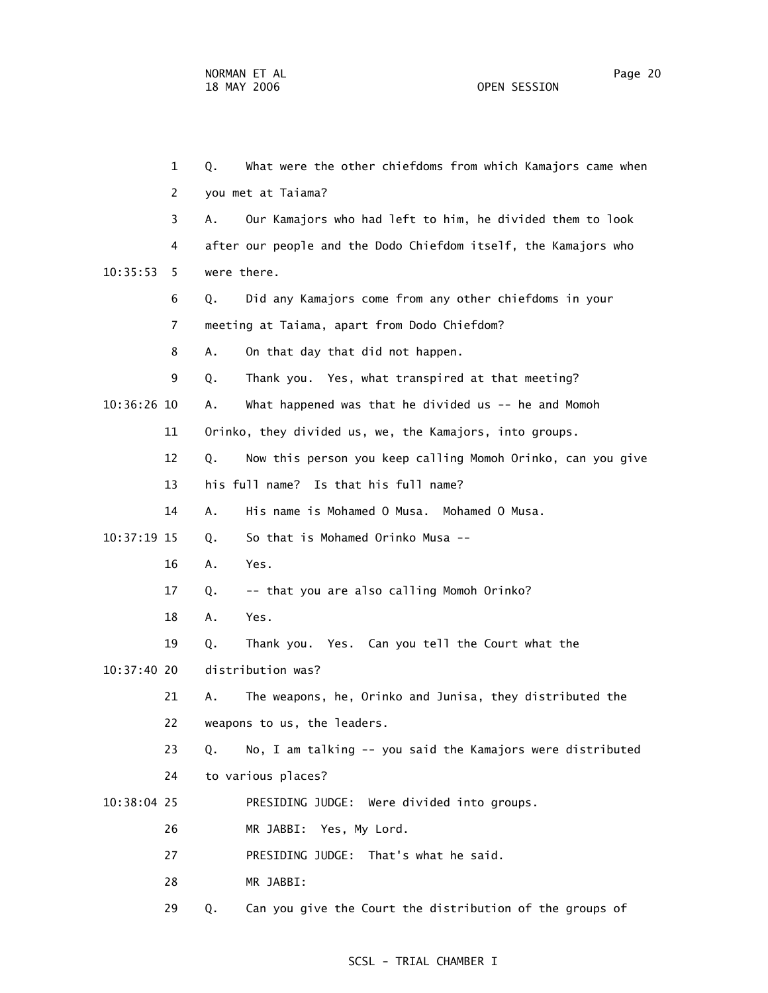1 Q. What were the other chiefdoms from which Kamajors came when 2 you met at Taiama? 3 A. Our Kamajors who had left to him, he divided them to look 4 after our people and the Dodo Chiefdom itself, the Kamajors who 10:35:53 5 were there. 6 Q. Did any Kamajors come from any other chiefdoms in your 7 meeting at Taiama, apart from Dodo Chiefdom? 8 A. On that day that did not happen. 9 Q. Thank you. Yes, what transpired at that meeting? 10:36:26 10 A. What happened was that he divided us -- he and Momoh 11 Orinko, they divided us, we, the Kamajors, into groups. 12 Q. Now this person you keep calling Momoh Orinko, can you give 13 his full name? Is that his full name? 14 A. His name is Mohamed O Musa. Mohamed O Musa. 10:37:19 15 Q. So that is Mohamed Orinko Musa -- 16 A. Yes. 17 Q. -- that you are also calling Momoh Orinko? 18 A. Yes. 19 Q. Thank you. Yes. Can you tell the Court what the 10:37:40 20 distribution was? 21 A. The weapons, he, Orinko and Junisa, they distributed the 22 weapons to us, the leaders. 23 Q. No, I am talking -- you said the Kamajors were distributed 24 to various places? 10:38:04 25 PRESIDING JUDGE: Were divided into groups. 26 MR JABBI: Yes, My Lord. 27 PRESIDING JUDGE: That's what he said. 28 MR JABBI: 29 Q. Can you give the Court the distribution of the groups of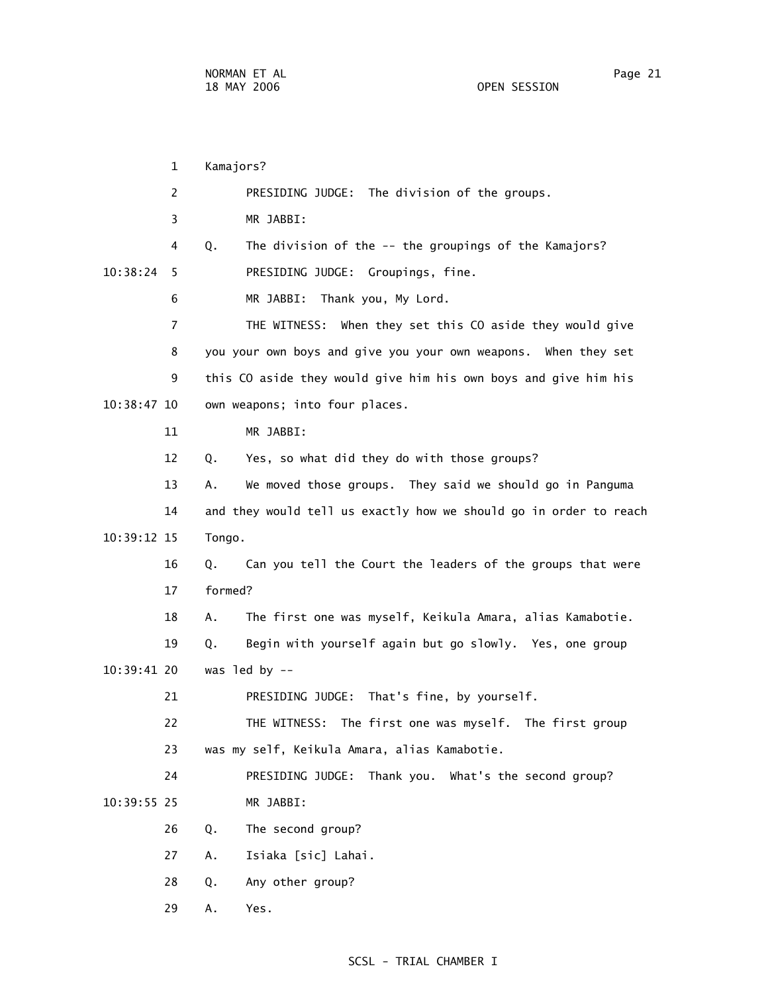1 Kamajors? 2 PRESIDING JUDGE: The division of the groups. 3 MR JABBI: 4 Q. The division of the -- the groupings of the Kamajors? 10:38:24 5 PRESIDING JUDGE: Groupings, fine. 6 MR JABBI: Thank you, My Lord. 7 THE WITNESS: When they set this CO aside they would give 8 you your own boys and give you your own weapons. When they set 9 this CO aside they would give him his own boys and give him his 10:38:47 10 own weapons; into four places. 11 MR JABBI: 12 Q. Yes, so what did they do with those groups? 13 A. We moved those groups. They said we should go in Panguma 14 and they would tell us exactly how we should go in order to reach 10:39:12 15 Tongo. 16 Q. Can you tell the Court the leaders of the groups that were 17 formed? 18 A. The first one was myself, Keikula Amara, alias Kamabotie. 19 Q. Begin with yourself again but go slowly. Yes, one group 10:39:41 20 was led by -- 21 PRESIDING JUDGE: That's fine, by yourself. 22 THE WITNESS: The first one was myself. The first group 23 was my self, Keikula Amara, alias Kamabotie. 24 PRESIDING JUDGE: Thank you. What's the second group? 10:39:55 25 MR JABBI: 26 Q. The second group? 27 A. Isiaka [sic] Lahai. 28 Q. Any other group? 29 A. Yes.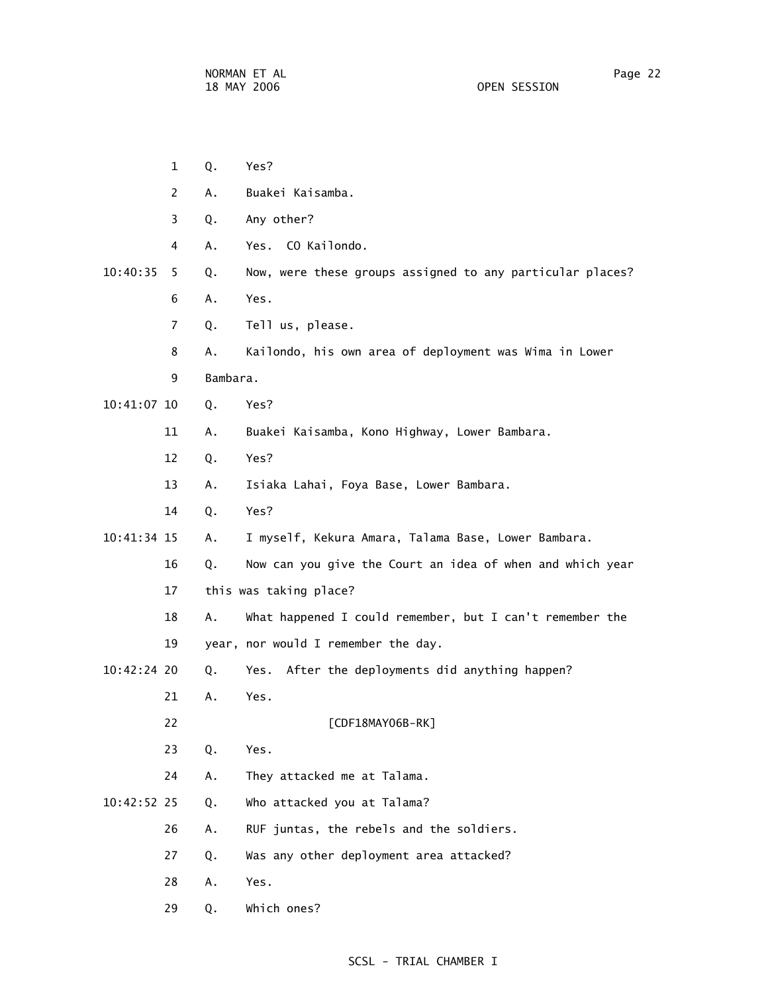1 Q. Yes? 2 A. Buakei Kaisamba. 3 Q. Any other? 4 A. Yes. CO Kailondo. 10:40:35 5 Q. Now, were these groups assigned to any particular places? 6 A. Yes. 7 Q. Tell us, please. 8 A. Kailondo, his own area of deployment was Wima in Lower 9 Bambara. 10:41:07 10 Q. Yes? 11 A. Buakei Kaisamba, Kono Highway, Lower Bambara. 12 Q. Yes? 13 A. Isiaka Lahai, Foya Base, Lower Bambara. 14 Q. Yes? 10:41:34 15 A. I myself, Kekura Amara, Talama Base, Lower Bambara. 16 Q. Now can you give the Court an idea of when and which year 17 this was taking place? 18 A. What happened I could remember, but I can't remember the 19 year, nor would I remember the day. 10:42:24 20 Q. Yes. After the deployments did anything happen? 21 A. Yes. 22 [CDF18MAY06B-RK] 23 Q. Yes. 24 A. They attacked me at Talama. 10:42:52 25 Q. Who attacked you at Talama? 26 A. RUF juntas, the rebels and the soldiers. 27 Q. Was any other deployment area attacked? 28 A. Yes. 29 Q. Which ones?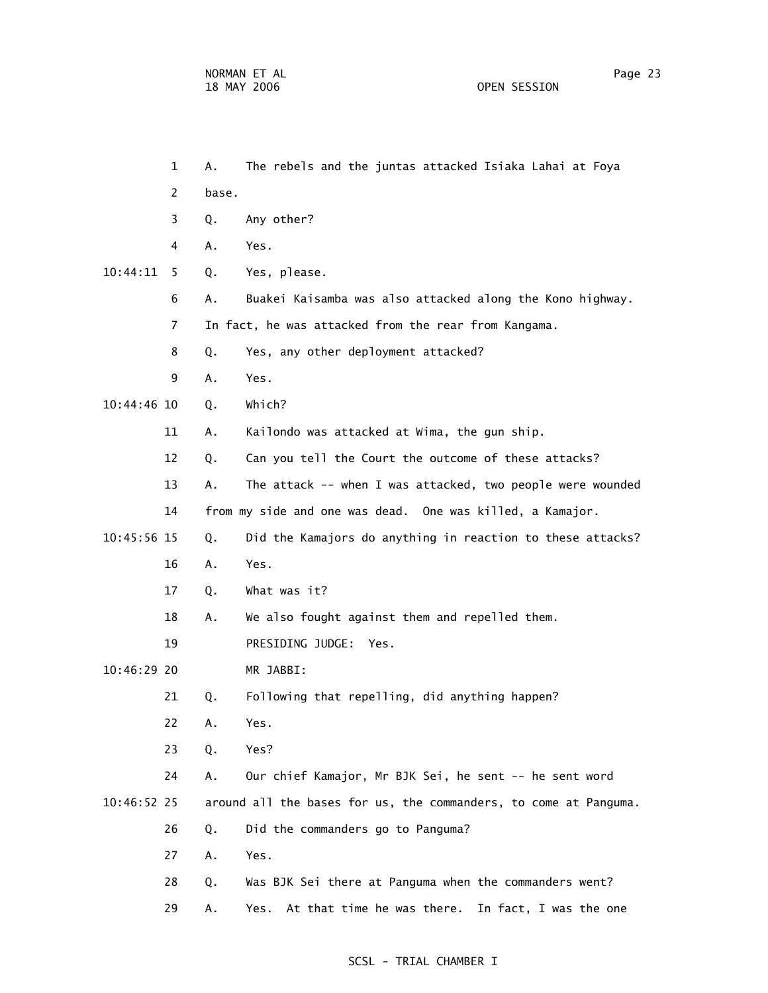1 A. The rebels and the juntas attacked Isiaka Lahai at Foya

- 2 base.
- 3 Q. Any other?
- 4 A. Yes.
- 10:44:11 5 Q. Yes, please.
	- 6 A. Buakei Kaisamba was also attacked along the Kono highway.
	- 7 In fact, he was attacked from the rear from Kangama.
	- 8 Q. Yes, any other deployment attacked?
	- 9 A. Yes.

10:44:46 10 Q. Which?

- 11 A. Kailondo was attacked at Wima, the gun ship.
- 12 Q. Can you tell the Court the outcome of these attacks?
- 13 A. The attack -- when I was attacked, two people were wounded 14 from my side and one was dead. One was killed, a Kamajor.
- 10:45:56 15 Q. Did the Kamajors do anything in reaction to these attacks?
	- 16 A. Yes.
	- 17 Q. What was it?
	- 18 A. We also fought against them and repelled them.
	- 19 PRESIDING JUDGE: Yes.
- 10:46:29 20 MR JABBI:

21 Q. Following that repelling, did anything happen?

- 22 A. Yes.
- 23 Q. Yes?

 24 A. Our chief Kamajor, Mr BJK Sei, he sent -- he sent word 10:46:52 25 around all the bases for us, the commanders, to come at Panguma.

- 26 Q. Did the commanders go to Panguma?
- 27 A. Yes.
- 28 Q. Was BJK Sei there at Panguma when the commanders went?
- 29 A. Yes. At that time he was there. In fact, I was the one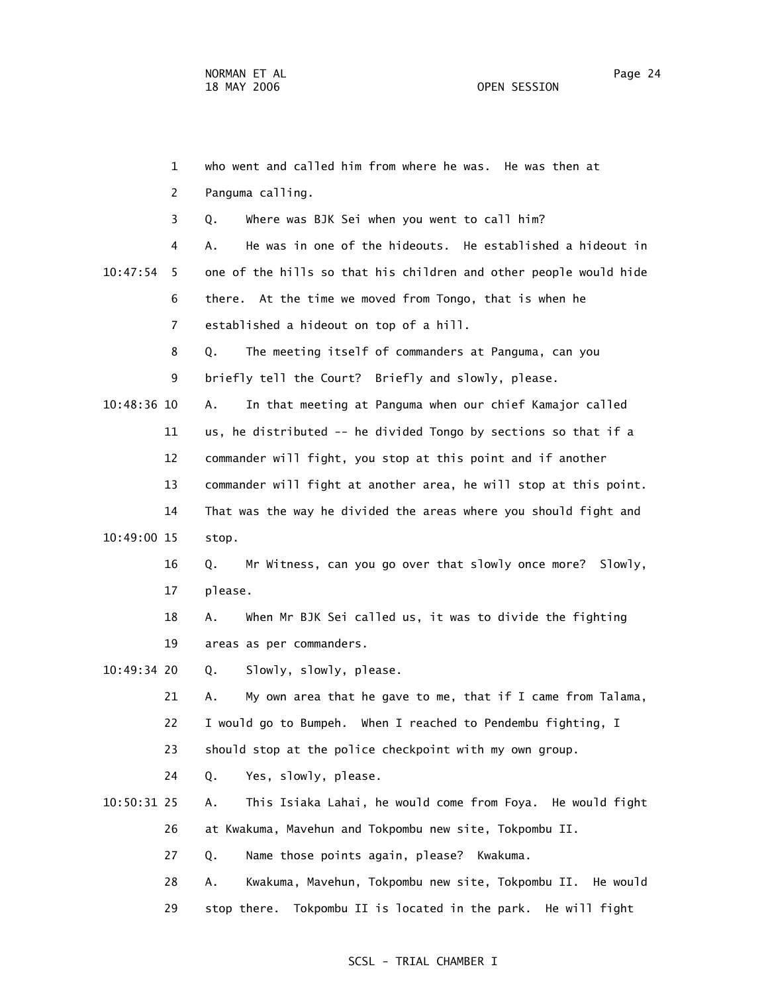1 who went and called him from where he was. He was then at 2 Panguma calling. 3 Q. Where was BJK Sei when you went to call him? 4 A. He was in one of the hideouts. He established a hideout in 10:47:54 5 one of the hills so that his children and other people would hide 6 there. At the time we moved from Tongo, that is when he 7 established a hideout on top of a hill. 8 Q. The meeting itself of commanders at Panguma, can you 9 briefly tell the Court? Briefly and slowly, please. 10:48:36 10 A. In that meeting at Panguma when our chief Kamajor called 11 us, he distributed -- he divided Tongo by sections so that if a 12 commander will fight, you stop at this point and if another 13 commander will fight at another area, he will stop at this point. 14 That was the way he divided the areas where you should fight and 10:49:00 15 stop. 16 Q. Mr Witness, can you go over that slowly once more? Slowly, 17 please. 18 A. When Mr BJK Sei called us, it was to divide the fighting 19 areas as per commanders. 10:49:34 20 Q. Slowly, slowly, please. 21 A. My own area that he gave to me, that if I came from Talama, 22 I would go to Bumpeh. When I reached to Pendembu fighting, I 23 should stop at the police checkpoint with my own group. 24 Q. Yes, slowly, please. 10:50:31 25 A. This Isiaka Lahai, he would come from Foya. He would fight 26 at Kwakuma, Mavehun and Tokpombu new site, Tokpombu II. 27 Q. Name those points again, please? Kwakuma. 28 A. Kwakuma, Mavehun, Tokpombu new site, Tokpombu II. He would 29 stop there. Tokpombu II is located in the park. He will fight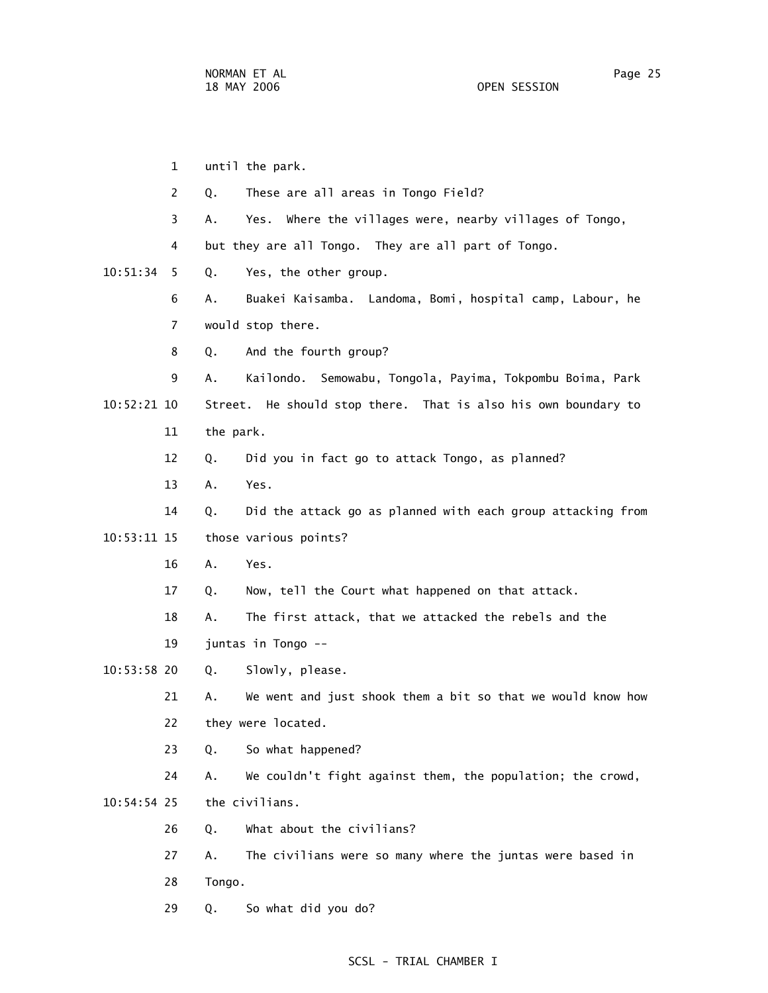1 until the park. 2 Q. These are all areas in Tongo Field? 3 A. Yes. Where the villages were, nearby villages of Tongo, 4 but they are all Tongo. They are all part of Tongo. 10:51:34 5 Q. Yes, the other group. 6 A. Buakei Kaisamba. Landoma, Bomi, hospital camp, Labour, he 7 would stop there. 8 Q. And the fourth group? 9 A. Kailondo. Semowabu, Tongola, Payima, Tokpombu Boima, Park 10:52:21 10 Street. He should stop there. That is also his own boundary to 11 the park. 12 Q. Did you in fact go to attack Tongo, as planned? 13 A. Yes. 14 Q. Did the attack go as planned with each group attacking from 10:53:11 15 those various points? 16 A. Yes. 17 Q. Now, tell the Court what happened on that attack. 18 A. The first attack, that we attacked the rebels and the 19 juntas in Tongo -- 10:53:58 20 Q. Slowly, please. 21 A. We went and just shook them a bit so that we would know how 22 they were located. 23 Q. So what happened? 24 A. We couldn't fight against them, the population; the crowd, 10:54:54 25 the civilians. 26 Q. What about the civilians? 27 A. The civilians were so many where the juntas were based in 28 Tongo. 29 Q. So what did you do?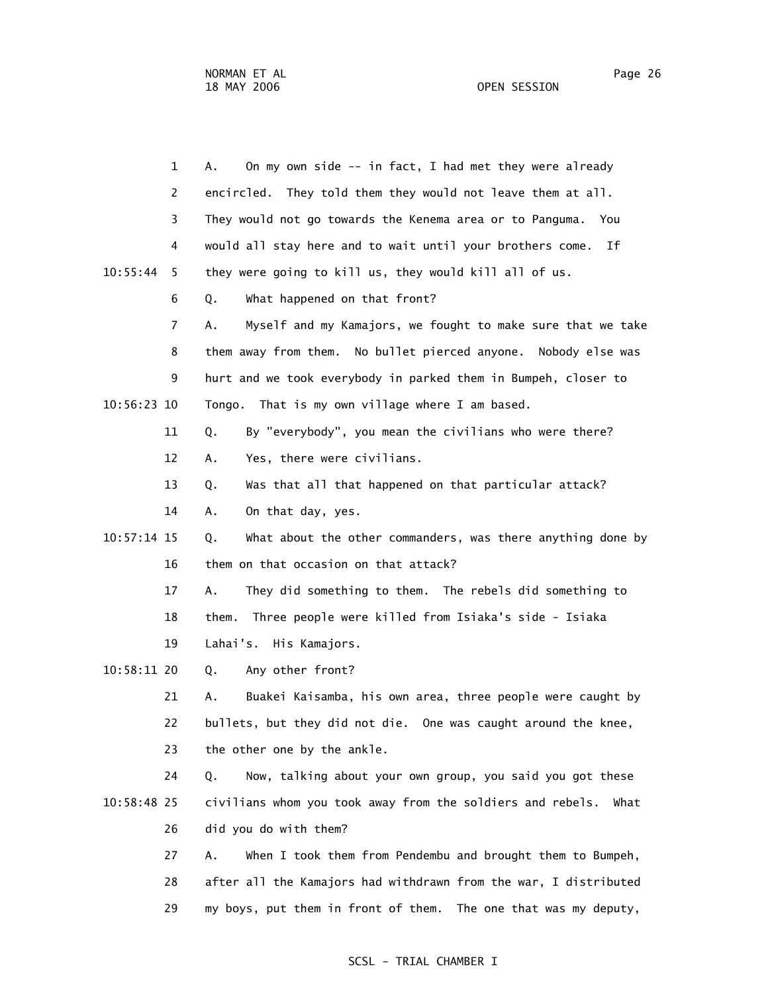| $\mathbf{1}$   | On my own side -- in fact, I had met they were already<br>А.       |
|----------------|--------------------------------------------------------------------|
| 2              | encircled. They told them they would not leave them at all.        |
| 3              | They would not go towards the Kenema area or to Panguma.<br>You    |
| 4              | would all stay here and to wait until your brothers come.<br>Ιf    |
| 10:55:44<br>5  | they were going to kill us, they would kill all of us.             |
| 6              | What happened on that front?<br>Q.                                 |
| $\overline{7}$ | Myself and my Kamajors, we fought to make sure that we take<br>Α.  |
| 8              | them away from them. No bullet pierced anyone. Nobody else was     |
| 9              | hurt and we took everybody in parked them in Bumpeh, closer to     |
| 10:56:23 10    | That is my own village where I am based.<br>Tongo.                 |
| 11             | Q.<br>By "everybody", you mean the civilians who were there?       |
| 12             | Yes, there were civilians.<br>Α.                                   |
| 13             | Was that all that happened on that particular attack?<br>Q.        |
| 14             | On that day, yes.<br>А.                                            |
| 10:57:14 15    | What about the other commanders, was there anything done by<br>Q.  |
| 16             | them on that occasion on that attack?                              |
| 17             | They did something to them. The rebels did something to<br>Α.      |
| 18             | Three people were killed from Isiaka's side - Isiaka<br>them.      |
| 19             | Lahai's. His Kamajors.                                             |
| $10:58:11$ 20  | Any other front?<br>Q.                                             |
| 21             | Α.<br>Buakei Kaisamba, his own area, three people were caught by   |
| 22             | bullets, but they did not die. One was caught around the knee,     |
| 23             | the other one by the ankle.                                        |
| 24             | Now, talking about your own group, you said you got these<br>Q.    |
| 10:58:48 25    | civilians whom you took away from the soldiers and rebels.<br>What |
| 26             | did you do with them?                                              |
| 27             | When I took them from Pendembu and brought them to Bumpeh,<br>Α.   |
| 28             | after all the Kamajors had withdrawn from the war, I distributed   |

29 my boys, put them in front of them. The one that was my deputy,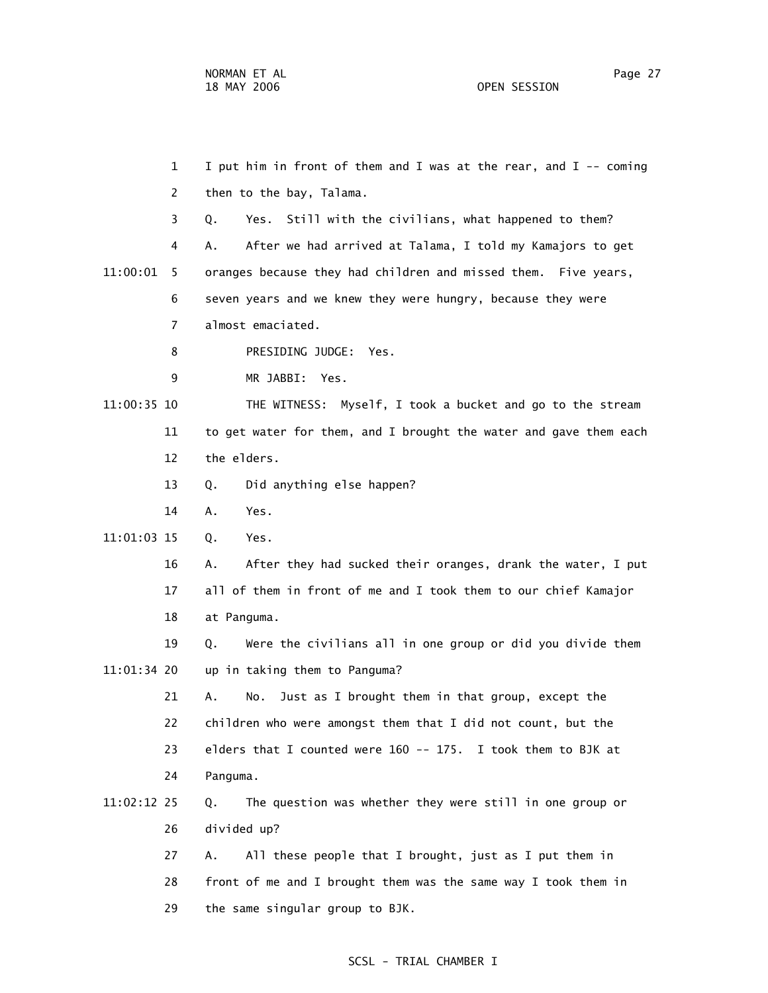1 I put him in front of them and I was at the rear, and I -- coming 2 then to the bay, Talama. 3 Q. Yes. Still with the civilians, what happened to them? 4 A. After we had arrived at Talama, I told my Kamajors to get 11:00:01 5 oranges because they had children and missed them. Five years, 6 seven years and we knew they were hungry, because they were 7 almost emaciated. 8 PRESIDING JUDGE: Yes. 9 MR JABBI: Yes. 11:00:35 10 THE WITNESS: Myself, I took a bucket and go to the stream 11 to get water for them, and I brought the water and gave them each 12 the elders. 13 Q. Did anything else happen? 14 A. Yes. 11:01:03 15 Q. Yes. 16 A. After they had sucked their oranges, drank the water, I put 17 all of them in front of me and I took them to our chief Kamajor 18 at Panguma. 19 Q. Were the civilians all in one group or did you divide them 11:01:34 20 up in taking them to Panguma? 21 A. No. Just as I brought them in that group, except the 22 children who were amongst them that I did not count, but the 23 elders that I counted were 160 -- 175. I took them to BJK at 24 Panguma. 11:02:12 25 Q. The question was whether they were still in one group or 26 divided up? 27 A. All these people that I brought, just as I put them in 28 front of me and I brought them was the same way I took them in

29 the same singular group to BJK.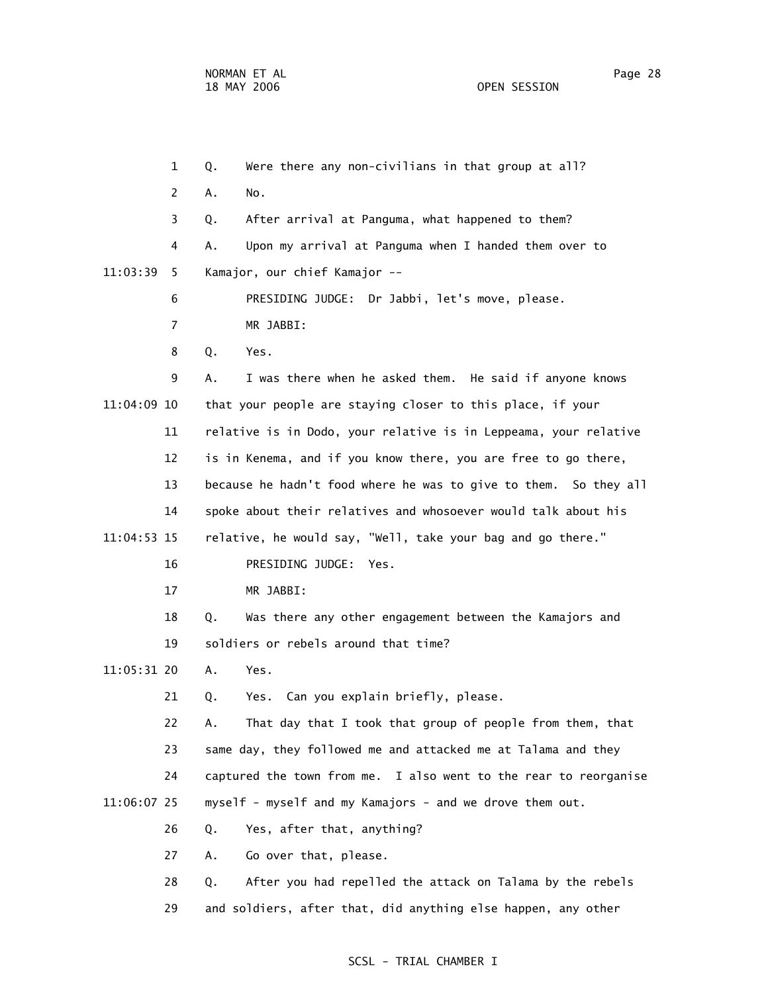1 Q. Were there any non-civilians in that group at all? 2 A. No. 3 Q. After arrival at Panguma, what happened to them? 4 A. Upon my arrival at Panguma when I handed them over to 11:03:39 5 Kamajor, our chief Kamajor -- 6 PRESIDING JUDGE: Dr Jabbi, let's move, please. 7 MR JABBI: 8 Q. Yes. 9 A. I was there when he asked them. He said if anyone knows 11:04:09 10 that your people are staying closer to this place, if your 11 relative is in Dodo, your relative is in Leppeama, your relative 12 is in Kenema, and if you know there, you are free to go there, 13 because he hadn't food where he was to give to them. So they all 14 spoke about their relatives and whosoever would talk about his 11:04:53 15 relative, he would say, "Well, take your bag and go there." 16 PRESIDING JUDGE: Yes. 17 MR JABBI: 18 Q. Was there any other engagement between the Kamajors and 19 soldiers or rebels around that time? 11:05:31 20 A. Yes. 21 Q. Yes. Can you explain briefly, please. 22 A. That day that I took that group of people from them, that 23 same day, they followed me and attacked me at Talama and they 24 captured the town from me. I also went to the rear to reorganise 11:06:07 25 myself - myself and my Kamajors - and we drove them out. 26 Q. Yes, after that, anything? 27 A. Go over that, please. 28 Q. After you had repelled the attack on Talama by the rebels

29 and soldiers, after that, did anything else happen, any other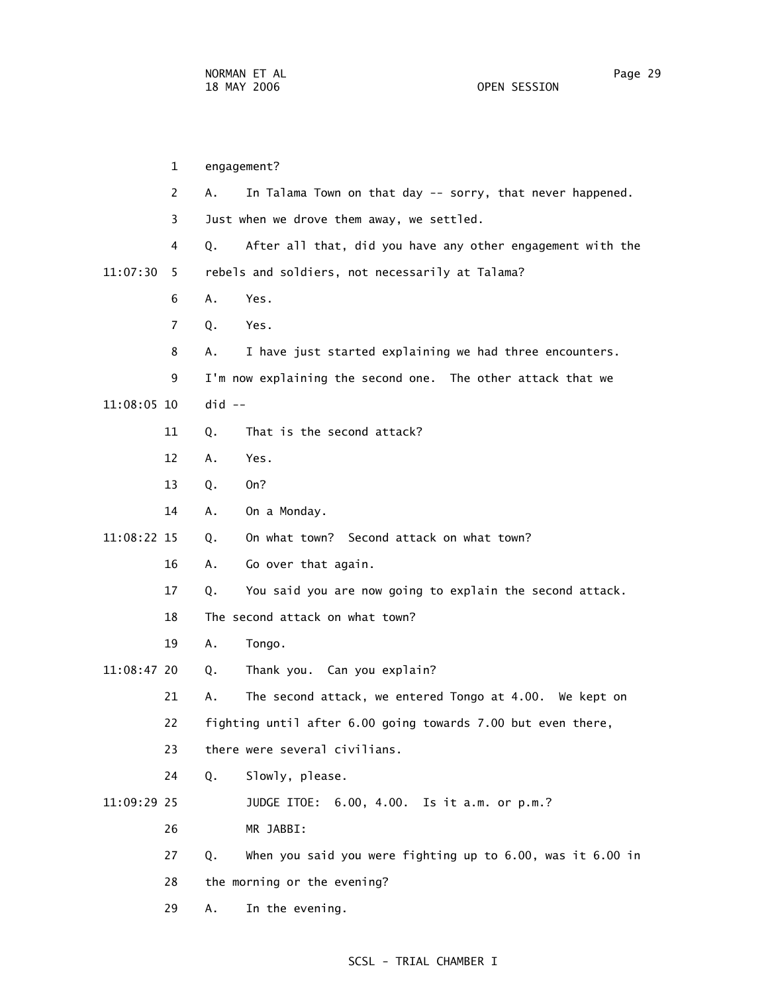1 engagement? 2 A. In Talama Town on that day -- sorry, that never happened. 3 Just when we drove them away, we settled. 4 Q. After all that, did you have any other engagement with the 11:07:30 5 rebels and soldiers, not necessarily at Talama? 6 A. Yes. 7 Q. Yes. 8 A. I have just started explaining we had three encounters. 9 I'm now explaining the second one. The other attack that we 11:08:05 10 did -- 11 Q. That is the second attack? 12 A. Yes. 13 Q. On? 14 A. On a Monday. 11:08:22 15 Q. On what town? Second attack on what town? 16 A. Go over that again. 17 Q. You said you are now going to explain the second attack. 18 The second attack on what town? 19 A. Tongo. 11:08:47 20 Q. Thank you. Can you explain? 21 A. The second attack, we entered Tongo at 4.00. We kept on 22 fighting until after 6.00 going towards 7.00 but even there, 23 there were several civilians. 24 Q. Slowly, please. 11:09:29 25 JUDGE ITOE: 6.00, 4.00. Is it a.m. or p.m.? 26 MR JABBI: 27 Q. When you said you were fighting up to 6.00, was it 6.00 in 28 the morning or the evening? 29 A. In the evening.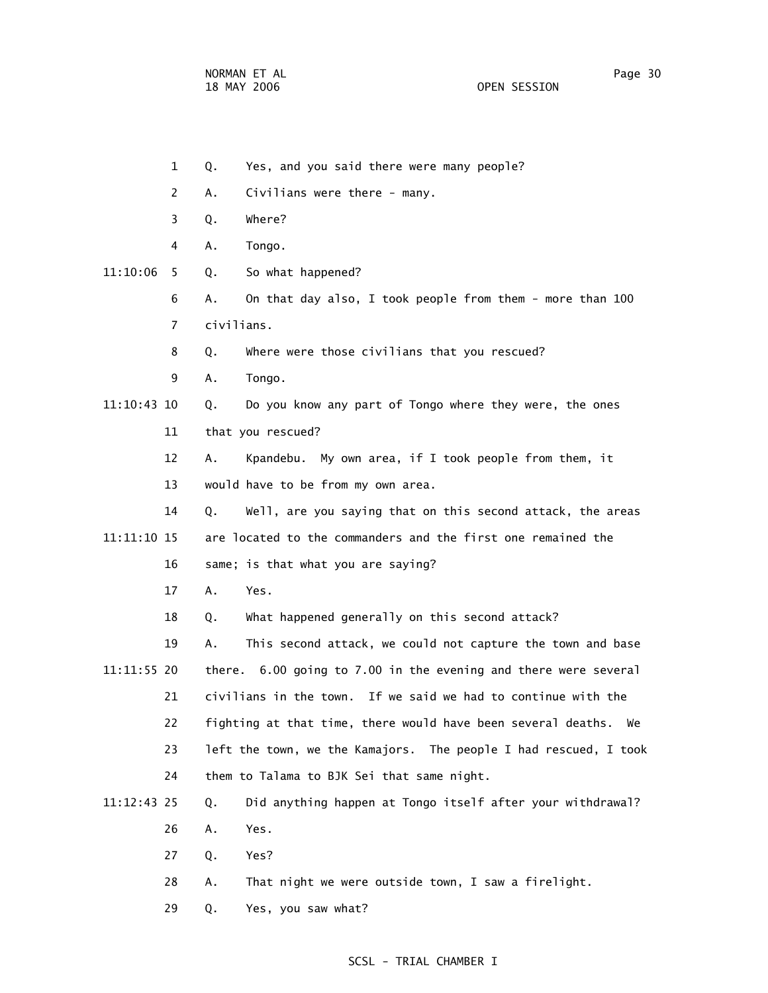- 1 Q. Yes, and you said there were many people?
- 2 A. Civilians were there many.
- 3 Q. Where?
- 4 A. Tongo.
- 11:10:06 5 Q. So what happened?
	- 6 A. On that day also, I took people from them more than 100 7 civilians.
	- 8 Q. Where were those civilians that you rescued?
	- 9 A. Tongo.

11:10:43 10 Q. Do you know any part of Tongo where they were, the ones

11 that you rescued?

 12 A. Kpandebu. My own area, if I took people from them, it 13 would have to be from my own area.

 14 Q. Well, are you saying that on this second attack, the areas 11:11:10 15 are located to the commanders and the first one remained the

- 16 same; is that what you are saying?
- 17 A. Yes.

18 Q. What happened generally on this second attack?

- 19 A. This second attack, we could not capture the town and base 11:11:55 20 there. 6.00 going to 7.00 in the evening and there were several 21 civilians in the town. If we said we had to continue with the 22 fighting at that time, there would have been several deaths. We 23 left the town, we the Kamajors. The people I had rescued, I took 24 them to Talama to BJK Sei that same night.
- 11:12:43 25 Q. Did anything happen at Tongo itself after your withdrawal? 26 A. Yes.
	-
	- 27 Q. Yes?
	- 28 A. That night we were outside town, I saw a firelight.
	- 29 Q. Yes, you saw what?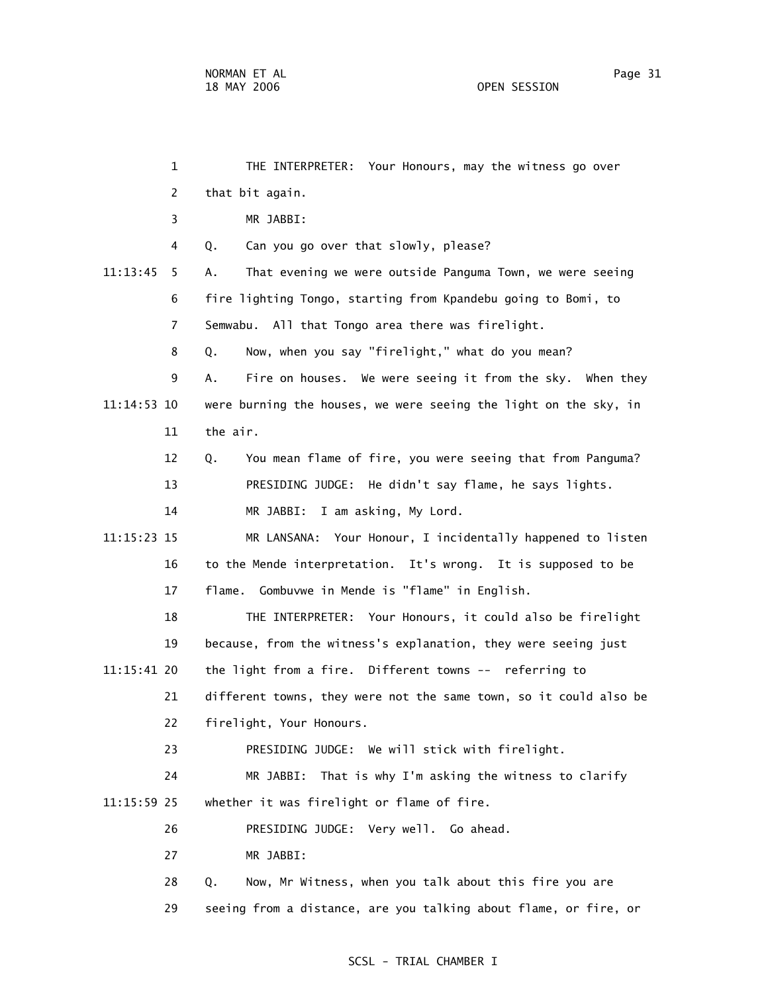1 THE INTERPRETER: Your Honours, may the witness go over 2 that bit again. 3 MR JABBI: 4 Q. Can you go over that slowly, please? 11:13:45 5 A. That evening we were outside Panguma Town, we were seeing 6 fire lighting Tongo, starting from Kpandebu going to Bomi, to 7 Semwabu. All that Tongo area there was firelight. 8 Q. Now, when you say "firelight," what do you mean? 9 A. Fire on houses. We were seeing it from the sky. When they 11:14:53 10 were burning the houses, we were seeing the light on the sky, in 11 the air. 12 Q. You mean flame of fire, you were seeing that from Panguma? 13 PRESIDING JUDGE: He didn't say flame, he says lights. 14 MR JABBI: I am asking, My Lord. 11:15:23 15 MR LANSANA: Your Honour, I incidentally happened to listen 16 to the Mende interpretation. It's wrong. It is supposed to be 17 flame. Gombuvwe in Mende is "flame" in English. 18 THE INTERPRETER: Your Honours, it could also be firelight 19 because, from the witness's explanation, they were seeing just 11:15:41 20 the light from a fire. Different towns -- referring to 21 different towns, they were not the same town, so it could also be 22 firelight, Your Honours. 23 PRESIDING JUDGE: We will stick with firelight. 24 MR JABBI: That is why I'm asking the witness to clarify 11:15:59 25 whether it was firelight or flame of fire. 26 PRESIDING JUDGE: Very well. Go ahead. 27 MR JABBI: 28 Q. Now, Mr Witness, when you talk about this fire you are 29 seeing from a distance, are you talking about flame, or fire, or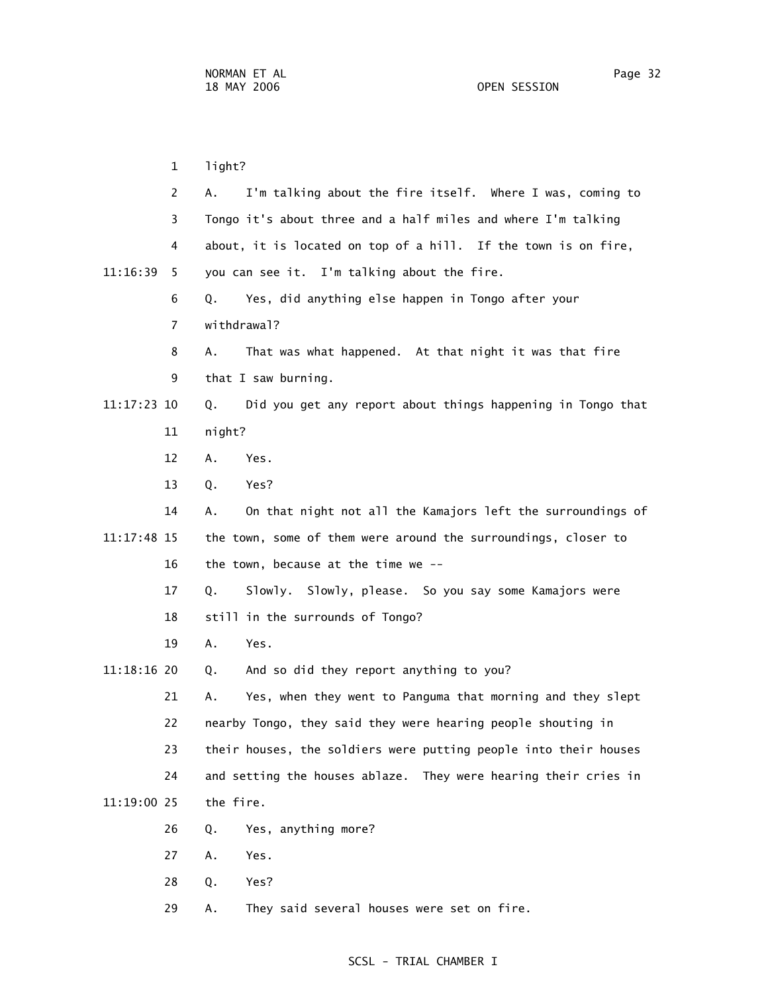1 light? 2 A. I'm talking about the fire itself. Where I was, coming to 3 Tongo it's about three and a half miles and where I'm talking 4 about, it is located on top of a hill. If the town is on fire, 11:16:39 5 you can see it. I'm talking about the fire. 6 Q. Yes, did anything else happen in Tongo after your 7 withdrawal? 8 A. That was what happened. At that night it was that fire 9 that I saw burning. 11:17:23 10 Q. Did you get any report about things happening in Tongo that 11 night? 12 A. Yes. 13 Q. Yes? 14 A. On that night not all the Kamajors left the surroundings of 11:17:48 15 the town, some of them were around the surroundings, closer to 16 the town, because at the time we -- 17 Q. Slowly. Slowly, please. So you say some Kamajors were 18 still in the surrounds of Tongo? 19 A. Yes. 11:18:16 20 Q. And so did they report anything to you? 21 A. Yes, when they went to Panguma that morning and they slept 22 nearby Tongo, they said they were hearing people shouting in 23 their houses, the soldiers were putting people into their houses 24 and setting the houses ablaze. They were hearing their cries in 11:19:00 25 the fire. 26 Q. Yes, anything more? 27 A. Yes. 28 Q. Yes? 29 A. They said several houses were set on fire.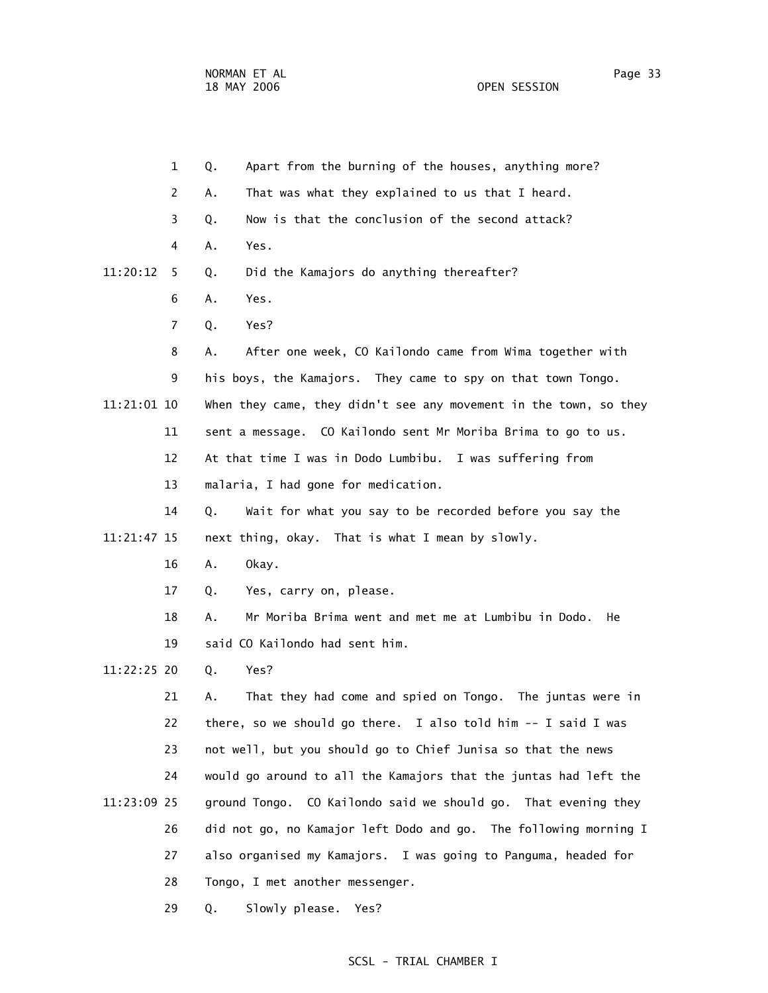| $\mathbf 1$    | Apart from the burning of the houses, anything more?<br>Q.        |
|----------------|-------------------------------------------------------------------|
| 2              | That was what they explained to us that I heard.<br>Α.            |
| 3              | Now is that the conclusion of the second attack?<br>Q.            |
| 4              | Yes.<br>Α.                                                        |
| 11:20:12<br>5  | Did the Kamajors do anything thereafter?<br>Q.                    |
| 6              | Yes.<br>Α.                                                        |
| $\overline{7}$ | Yes?<br>Q.                                                        |
| 8              | After one week, CO Kailondo came from Wima together with<br>Α.    |
| 9              | his boys, the Kamajors. They came to spy on that town Tongo.      |
| 11:21:01 10    | When they came, they didn't see any movement in the town, so they |
| 11             | sent a message. CO Kailondo sent Mr Moriba Brima to go to us.     |
| 12             | At that time I was in Dodo Lumbibu. I was suffering from          |
| 13             | malaria, I had gone for medication.                               |
| 14             | Wait for what you say to be recorded before you say the<br>Q.     |
| 11:21:47 15    | next thing, okay. That is what I mean by slowly.                  |
| 16             | Okay.<br>Α.                                                       |
| 17             | Yes, carry on, please.<br>Q.                                      |
| 18             | Mr Moriba Brima went and met me at Lumbibu in Dodo.<br>А.<br>He   |
| 19             | said CO Kailondo had sent him.                                    |
| 11:22:25 20    | Yes?<br>Q.                                                        |
| 21             | That they had come and spied on Tongo. The juntas were in<br>Α.   |
| 22             | there, so we should go there. I also told him -- I said I was     |
| 23             | not well, but you should go to Chief Junisa so that the news      |
| 24             | would go around to all the Kamajors that the juntas had left the  |
| 11:23:09 25    | ground Tongo. CO Kailondo said we should go. That evening they    |
| 26             | did not go, no Kamajor left Dodo and go. The following morning I  |
| 27             | also organised my Kamajors. I was going to Panguma, headed for    |
| 28             | Tongo, I met another messenger.                                   |
| 29             | Slowly please.<br>Q.<br>Yes?                                      |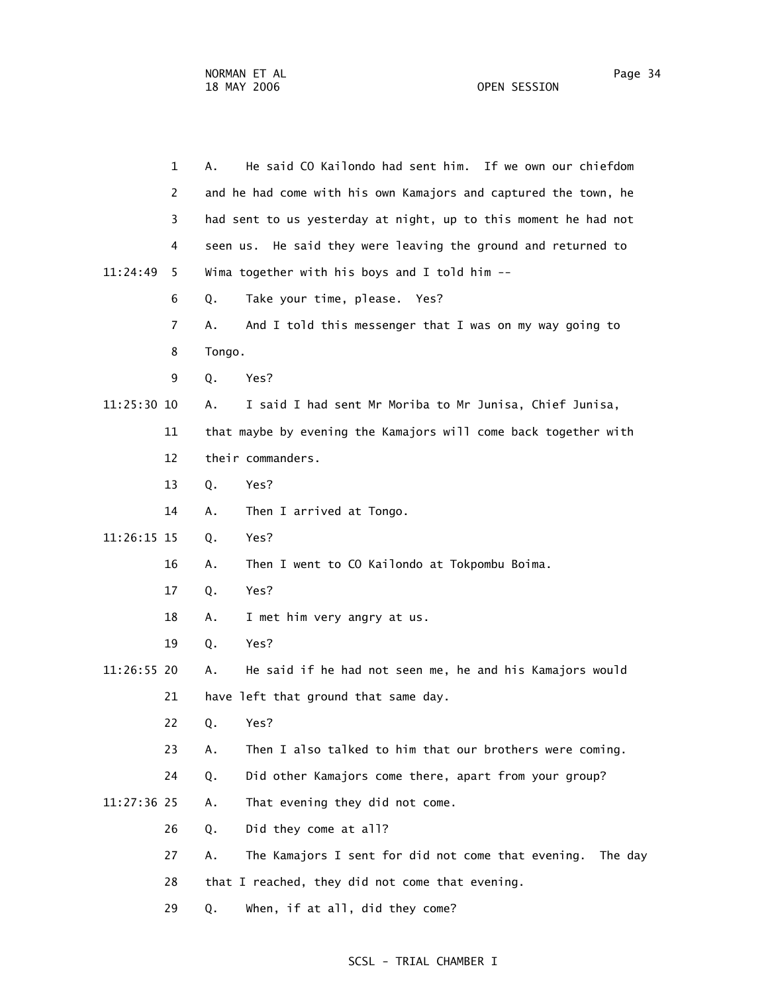|             | $\mathbf{1}$   | He said CO Kailondo had sent him. If we own our chiefdom<br>А.      |  |
|-------------|----------------|---------------------------------------------------------------------|--|
|             | $\overline{2}$ | and he had come with his own Kamajors and captured the town, he     |  |
|             | 3              | had sent to us yesterday at night, up to this moment he had not     |  |
|             | 4              | seen us. He said they were leaving the ground and returned to       |  |
| 11:24:49    | 5              | Wima together with his boys and I told him --                       |  |
|             | 6              | Take your time, please. Yes?<br>Q.                                  |  |
|             | $\overline{7}$ | And I told this messenger that I was on my way going to<br>А.       |  |
|             | 8              | Tongo.                                                              |  |
|             | 9              | Q.<br>Yes?                                                          |  |
| 11:25:30 10 |                | I said I had sent Mr Moriba to Mr Junisa, Chief Junisa,<br>А.       |  |
|             | 11             | that maybe by evening the Kamajors will come back together with     |  |
|             | 12             | their commanders.                                                   |  |
|             | 13             | Q.<br>Yes?                                                          |  |
|             | 14             | Then I arrived at Tongo.<br>Α.                                      |  |
| 11:26:15 15 |                | Yes?<br>Q.                                                          |  |
|             | 16             | Then I went to CO Kailondo at Tokpombu Boima.<br>Α.                 |  |
|             | 17             | Yes?<br>Q.                                                          |  |
|             | 18             | I met him very angry at us.<br>Α.                                   |  |
|             | 19             | Yes?<br>Q.                                                          |  |
| 11:26:55 20 |                | He said if he had not seen me, he and his Kamajors would<br>Α.      |  |
|             | 21             | have left that ground that same day.                                |  |
|             | 22             | Q.<br>Yes?                                                          |  |
|             | 23             | Then I also talked to him that our brothers were coming.<br>Α.      |  |
|             | 24             | Did other Kamajors come there, apart from your group?<br>Q.         |  |
| 11:27:36 25 |                | That evening they did not come.<br>Α.                               |  |
|             | 26             | Did they come at all?<br>Q.                                         |  |
|             | 27             | The Kamajors I sent for did not come that evening.<br>Α.<br>The day |  |
|             | 28             | that I reached, they did not come that evening.                     |  |
|             | 29             | When, if at all, did they come?<br>Q.                               |  |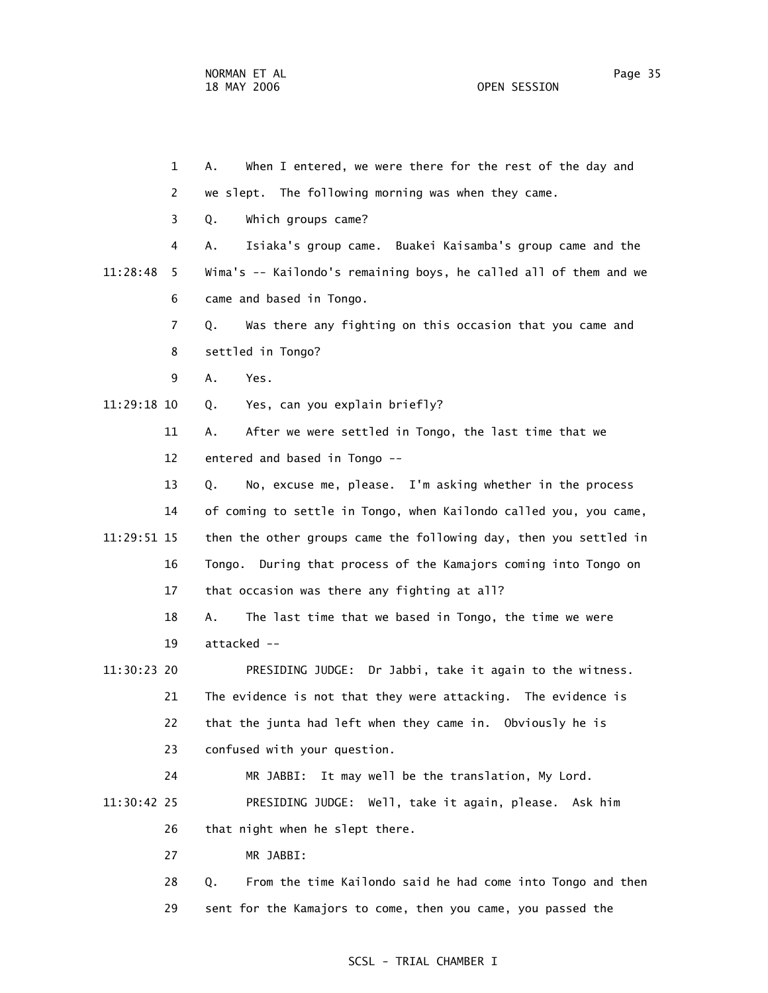1 A. When I entered, we were there for the rest of the day and 2 we slept. The following morning was when they came. 3 Q. Which groups came? 4 A. Isiaka's group came. Buakei Kaisamba's group came and the 11:28:48 5 Wima's -- Kailondo's remaining boys, he called all of them and we 6 came and based in Tongo. 7 Q. Was there any fighting on this occasion that you came and 8 settled in Tongo? 9 A. Yes. 11:29:18 10 Q. Yes, can you explain briefly? 11 A. After we were settled in Tongo, the last time that we 12 entered and based in Tongo -- 13 Q. No, excuse me, please. I'm asking whether in the process 14 of coming to settle in Tongo, when Kailondo called you, you came, 11:29:51 15 then the other groups came the following day, then you settled in 16 Tongo. During that process of the Kamajors coming into Tongo on 17 that occasion was there any fighting at all? 18 A. The last time that we based in Tongo, the time we were 19 attacked -- 11:30:23 20 PRESIDING JUDGE: Dr Jabbi, take it again to the witness. 21 The evidence is not that they were attacking. The evidence is 22 that the junta had left when they came in. Obviously he is 23 confused with your question. 24 MR JABBI: It may well be the translation, My Lord. 11:30:42 25 PRESIDING JUDGE: Well, take it again, please. Ask him 26 that night when he slept there. 27 MR JABBI: 28 Q. From the time Kailondo said he had come into Tongo and then 29 sent for the Kamajors to come, then you came, you passed the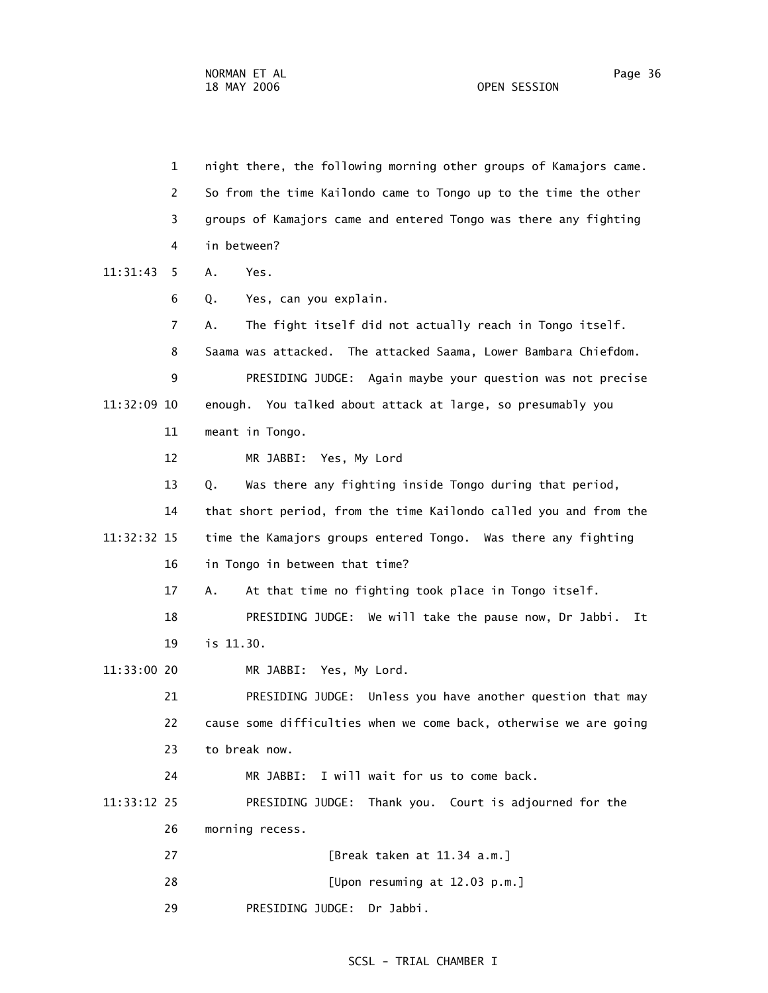1 night there, the following morning other groups of Kamajors came. 2 So from the time Kailondo came to Tongo up to the time the other 3 groups of Kamajors came and entered Tongo was there any fighting 4 in between? 11:31:43 5 A. Yes. 6 Q. Yes, can you explain. 7 A. The fight itself did not actually reach in Tongo itself. 8 Saama was attacked. The attacked Saama, Lower Bambara Chiefdom. 9 PRESIDING JUDGE: Again maybe your question was not precise 11:32:09 10 enough. You talked about attack at large, so presumably you 11 meant in Tongo. 12 MR JABBI: Yes, My Lord 13 Q. Was there any fighting inside Tongo during that period, 14 that short period, from the time Kailondo called you and from the 11:32:32 15 time the Kamajors groups entered Tongo. Was there any fighting 16 in Tongo in between that time? 17 A. At that time no fighting took place in Tongo itself. 18 PRESIDING JUDGE: We will take the pause now, Dr Jabbi. It 19 is 11.30. 11:33:00 20 MR JABBI: Yes, My Lord. 21 PRESIDING JUDGE: Unless you have another question that may 22 cause some difficulties when we come back, otherwise we are going 23 to break now. 24 MR JABBI: I will wait for us to come back. 11:33:12 25 PRESIDING JUDGE: Thank you. Court is adjourned for the 26 morning recess. 27 [Break taken at 11.34 a.m.] 28 [Upon resuming at 12.03 p.m.] 29 PRESIDING JUDGE: Dr Jabbi.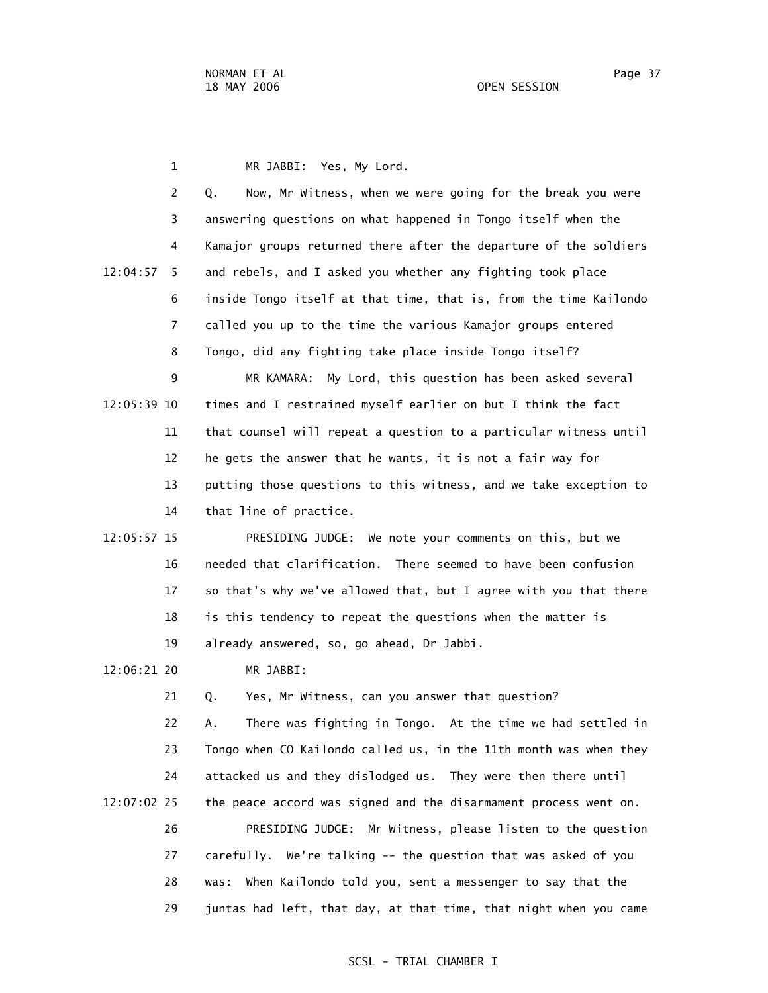1 MR JABBI: Yes, My Lord. 2 Q. Now, Mr Witness, when we were going for the break you were 3 answering questions on what happened in Tongo itself when the 4 Kamajor groups returned there after the departure of the soldiers 12:04:57 5 and rebels, and I asked you whether any fighting took place 6 inside Tongo itself at that time, that is, from the time Kailondo 7 called you up to the time the various Kamajor groups entered 8 Tongo, did any fighting take place inside Tongo itself? 9 MR KAMARA: My Lord, this question has been asked several 12:05:39 10 times and I restrained myself earlier on but I think the fact 11 that counsel will repeat a question to a particular witness until 12 he gets the answer that he wants, it is not a fair way for 13 putting those questions to this witness, and we take exception to

14 that line of practice.

 12:05:57 15 PRESIDING JUDGE: We note your comments on this, but we 16 needed that clarification. There seemed to have been confusion 17 so that's why we've allowed that, but I agree with you that there 18 is this tendency to repeat the questions when the matter is 19 already answered, so, go ahead, Dr Jabbi.

12:06:21 20 MR JABBI:

 21 Q. Yes, Mr Witness, can you answer that question? 22 A. There was fighting in Tongo. At the time we had settled in 23 Tongo when CO Kailondo called us, in the 11th month was when they 24 attacked us and they dislodged us. They were then there until 12:07:02 25 the peace accord was signed and the disarmament process went on. 26 PRESIDING JUDGE: Mr Witness, please listen to the question 27 carefully. We're talking -- the question that was asked of you 28 was: When Kailondo told you, sent a messenger to say that the 29 juntas had left, that day, at that time, that night when you came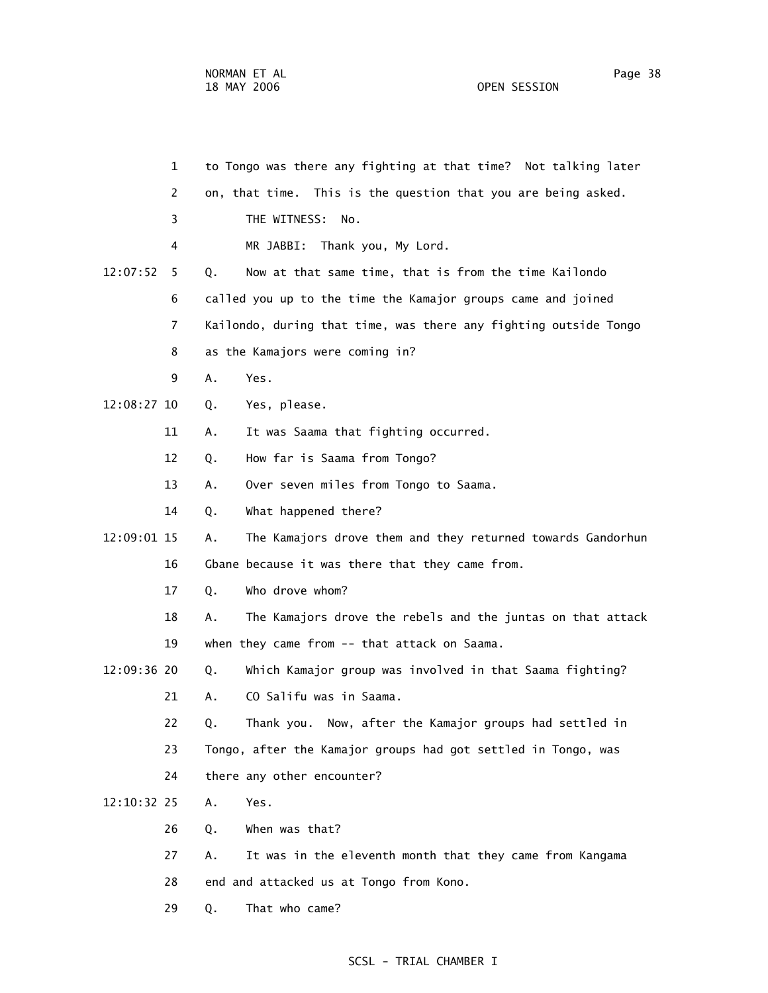1 to Tongo was there any fighting at that time? Not talking later 2 on, that time. This is the question that you are being asked. 3 THE WITNESS: No. 4 MR JABBI: Thank you, My Lord. 12:07:52 5 Q. Now at that same time, that is from the time Kailondo 6 called you up to the time the Kamajor groups came and joined 7 Kailondo, during that time, was there any fighting outside Tongo 8 as the Kamajors were coming in? 9 A. Yes. 12:08:27 10 Q. Yes, please. 11 A. It was Saama that fighting occurred. 12 Q. How far is Saama from Tongo? 13 A. Over seven miles from Tongo to Saama. 14 Q. What happened there? 12:09:01 15 A. The Kamajors drove them and they returned towards Gandorhun 16 Gbane because it was there that they came from. 17 Q. Who drove whom? 18 A. The Kamajors drove the rebels and the juntas on that attack 19 when they came from -- that attack on Saama. 12:09:36 20 Q. Which Kamajor group was involved in that Saama fighting? 21 A. CO Salifu was in Saama. 22 Q. Thank you. Now, after the Kamajor groups had settled in 23 Tongo, after the Kamajor groups had got settled in Tongo, was 24 there any other encounter? 12:10:32 25 A. Yes. 26 Q. When was that? 27 A. It was in the eleventh month that they came from Kangama 28 end and attacked us at Tongo from Kono. 29 Q. That who came?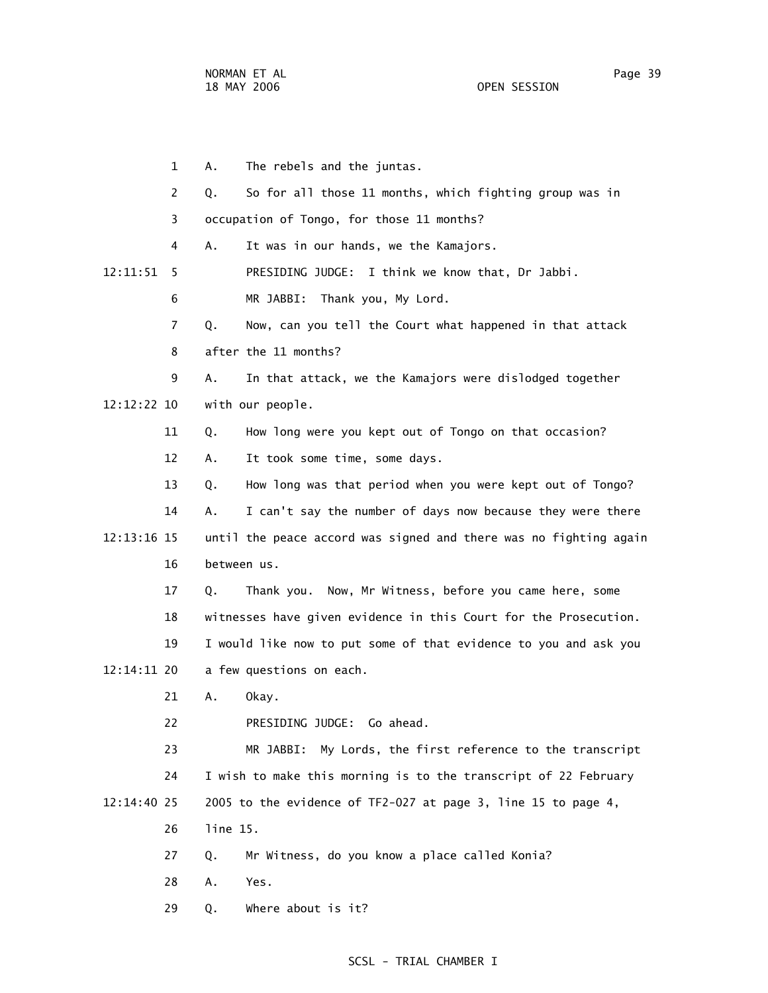1 A. The rebels and the juntas. 2 Q. So for all those 11 months, which fighting group was in 3 occupation of Tongo, for those 11 months? 4 A. It was in our hands, we the Kamajors. 12:11:51 5 PRESIDING JUDGE: I think we know that, Dr Jabbi. 6 MR JABBI: Thank you, My Lord. 7 Q. Now, can you tell the Court what happened in that attack 8 after the 11 months? 9 A. In that attack, we the Kamajors were dislodged together 12:12:22 10 with our people. 11 Q. How long were you kept out of Tongo on that occasion? 12 A. It took some time, some days. 13 Q. How long was that period when you were kept out of Tongo? 14 A. I can't say the number of days now because they were there 12:13:16 15 until the peace accord was signed and there was no fighting again 16 between us. 17 Q. Thank you. Now, Mr Witness, before you came here, some 18 witnesses have given evidence in this Court for the Prosecution. 19 I would like now to put some of that evidence to you and ask you 12:14:11 20 a few questions on each. 21 A. Okay. 22 PRESIDING JUDGE: Go ahead. 23 MR JABBI: My Lords, the first reference to the transcript 24 I wish to make this morning is to the transcript of 22 February 12:14:40 25 2005 to the evidence of TF2-027 at page 3, line 15 to page 4, 26 line 15. 27 Q. Mr Witness, do you know a place called Konia? 28 A. Yes. 29 Q. Where about is it?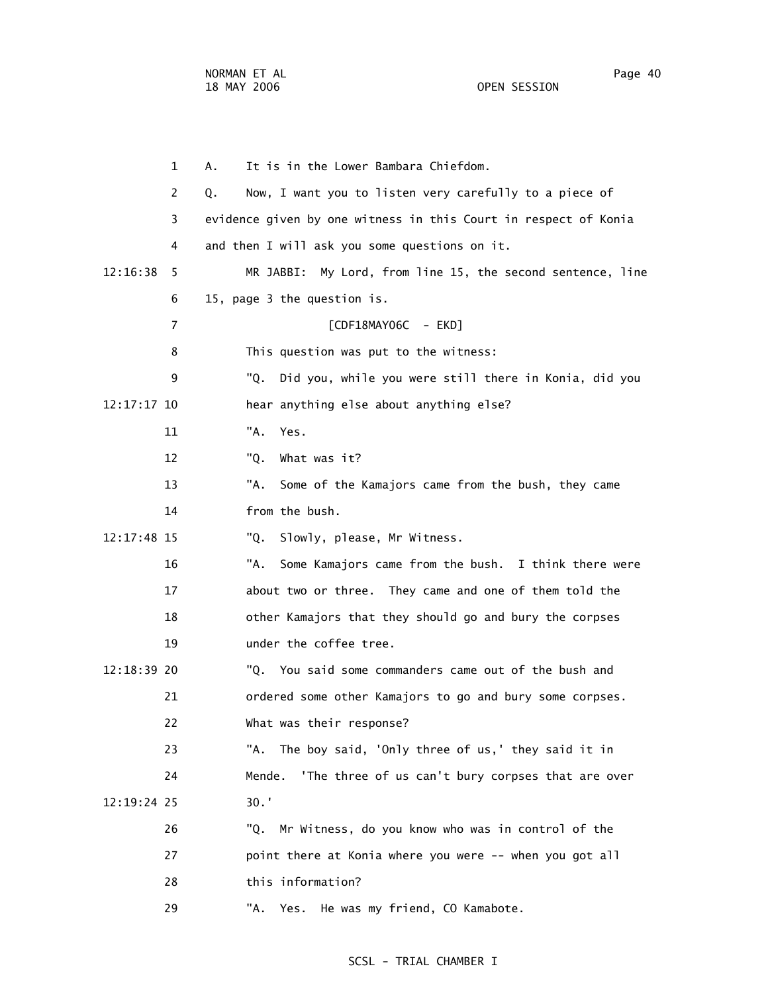1 A. It is in the Lower Bambara Chiefdom.

| 2             | Now, I want you to listen very carefully to a piece of<br>Q.    |
|---------------|-----------------------------------------------------------------|
| 3             | evidence given by one witness in this Court in respect of Konia |
| 4             | and then I will ask you some questions on it.                   |
| 12:16:38<br>5 | MR JABBI: My Lord, from line 15, the second sentence, line      |
| 6             | 15, page 3 the question is.                                     |
| 7             | [CDF18MAY06C - EKD]                                             |
| 8             | This question was put to the witness:                           |
| 9             | "Q.<br>Did you, while you were still there in Konia, did you    |
| 12:17:17 10   | hear anything else about anything else?                         |
| 11            | "A. Yes.                                                        |
| 12            | What was it?<br>"Q.                                             |
| 13            | "A.<br>Some of the Kamajors came from the bush, they came       |
| 14            | from the bush.                                                  |
| 12:17:48 15   | Slowly, please, Mr Witness.<br>"Q.                              |
| 16            | "A.<br>Some Kamajors came from the bush. I think there were     |
| 17            | about two or three. They came and one of them told the          |
| 18            | other Kamajors that they should go and bury the corpses         |
| 19            | under the coffee tree.                                          |
| 12:18:39 20   | "Q. You said some commanders came out of the bush and           |
| 21            | ordered some other Kamajors to go and bury some corpses.        |
| 22            | What was their response?                                        |
| 23            | "A. The boy said, 'Only three of us,' they said it in           |
| 24            | 'The three of us can't bury corpses that are over<br>Mende.     |
| 12:19:24 25   | $30.$ '                                                         |
| 26            | Mr Witness, do you know who was in control of the<br>"Q.        |
| 27            | point there at Konia where you were -- when you got all         |
| 28            | this information?                                               |
| 29            | "A.<br>He was my friend, CO Kamabote.<br>Yes.                   |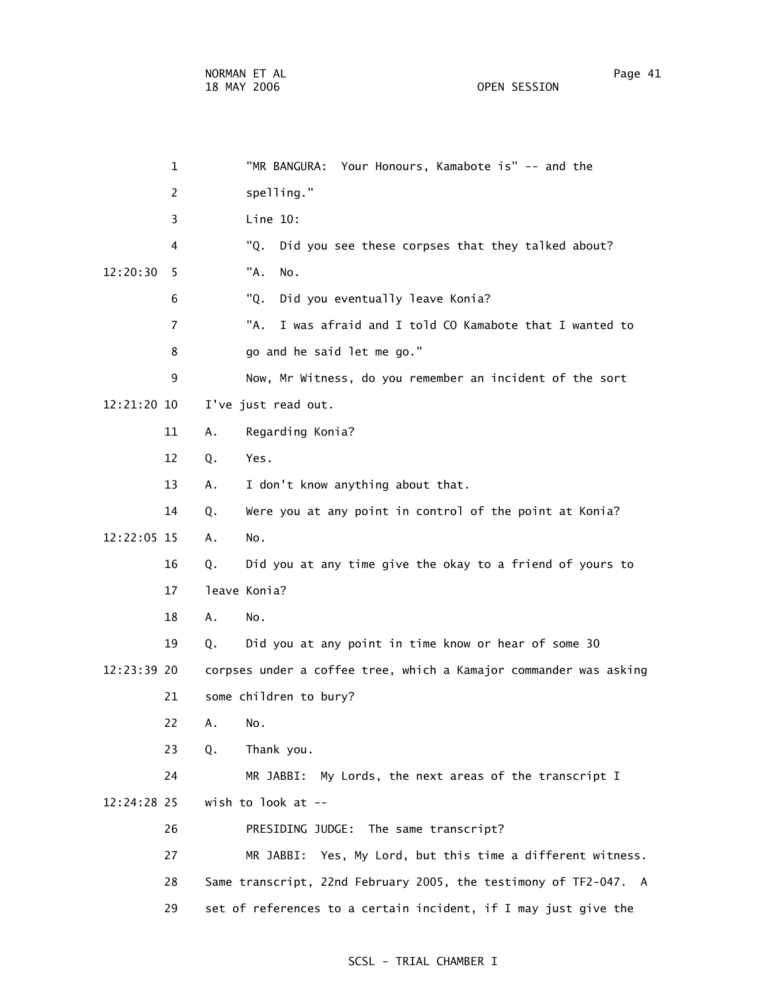1 "MR BANGURA: Your Honours, Kamabote is" -- and the 2 spelling." 3 Line 10: 4 "Q. Did you see these corpses that they talked about? 12:20:30 5 "A. No. 6 "Q. Did you eventually leave Konia? 7 "A. I was afraid and I told CO Kamabote that I wanted to 8 go and he said let me go." 9 Now, Mr Witness, do you remember an incident of the sort 12:21:20 10 I've just read out. 11 A. Regarding Konia? 12 Q. Yes. 13 A. I don't know anything about that. 14 Q. Were you at any point in control of the point at Konia? 12:22:05 15 A. No. 16 Q. Did you at any time give the okay to a friend of yours to 17 leave Konia? 18 A. No. 19 Q. Did you at any point in time know or hear of some 30 12:23:39 20 corpses under a coffee tree, which a Kamajor commander was asking 21 some children to bury? 22 A. No. 23 Q. Thank you. 24 MR JABBI: My Lords, the next areas of the transcript I 12:24:28 25 wish to look at -- 26 PRESIDING JUDGE: The same transcript? 27 MR JABBI: Yes, My Lord, but this time a different witness. 28 Same transcript, 22nd February 2005, the testimony of TF2-047. A 29 set of references to a certain incident, if I may just give the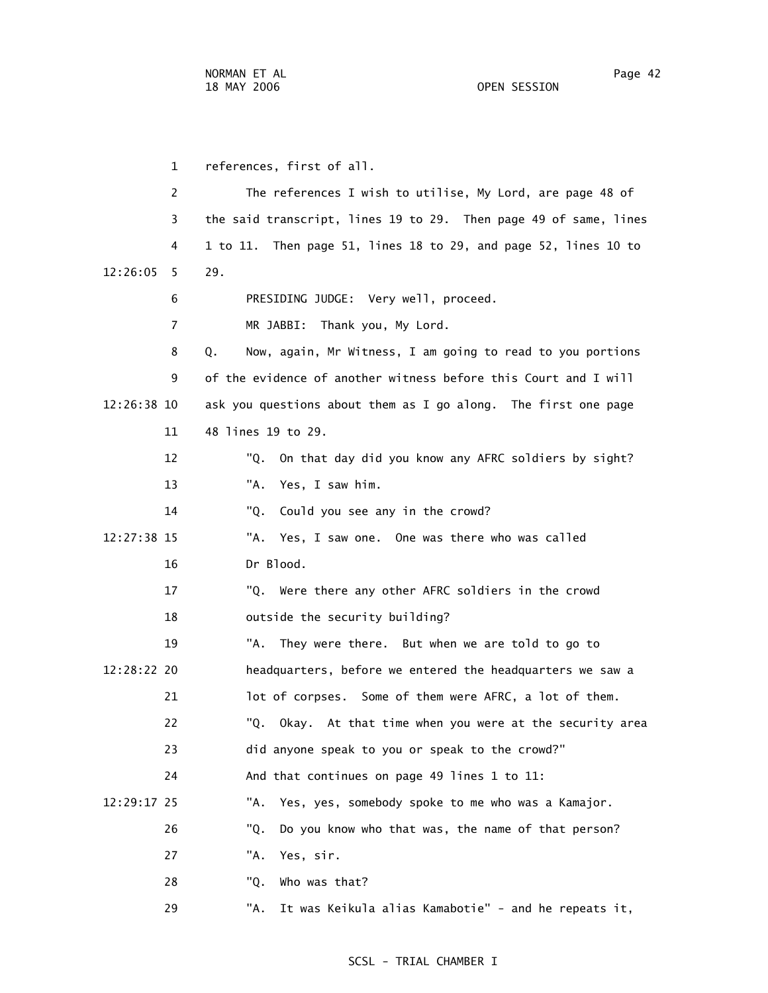1 references, first of all. 2 The references I wish to utilise, My Lord, are page 48 of 3 the said transcript, lines 19 to 29. Then page 49 of same, lines 4 1 to 11. Then page 51, lines 18 to 29, and page 52, lines 10 to 12:26:05 5 29. 6 PRESIDING JUDGE: Very well, proceed. 7 MR JABBI: Thank you, My Lord. 8 Q. Now, again, Mr Witness, I am going to read to you portions 9 of the evidence of another witness before this Court and I will 12:26:38 10 ask you questions about them as I go along. The first one page 11 48 lines 19 to 29. 12 "Q. On that day did you know any AFRC soldiers by sight? 13 "A. Yes, I saw him. 14 "Q. Could you see any in the crowd? 12:27:38 15 "A. Yes, I saw one. One was there who was called 16 Dr Blood. 17 "Q. Were there any other AFRC soldiers in the crowd 18 outside the security building? 19 "A. They were there. But when we are told to go to 12:28:22 20 headquarters, before we entered the headquarters we saw a 21 lot of corpses. Some of them were AFRC, a lot of them. 22 "Q. Okay. At that time when you were at the security area 23 did anyone speak to you or speak to the crowd?" 24 And that continues on page 49 lines 1 to 11: 12:29:17 25 "A. Yes, yes, somebody spoke to me who was a Kamajor. 26 "Q. Do you know who that was, the name of that person? 27 "A. Yes, sir. 28 "Q. Who was that?

29 "A. It was Keikula alias Kamabotie" - and he repeats it,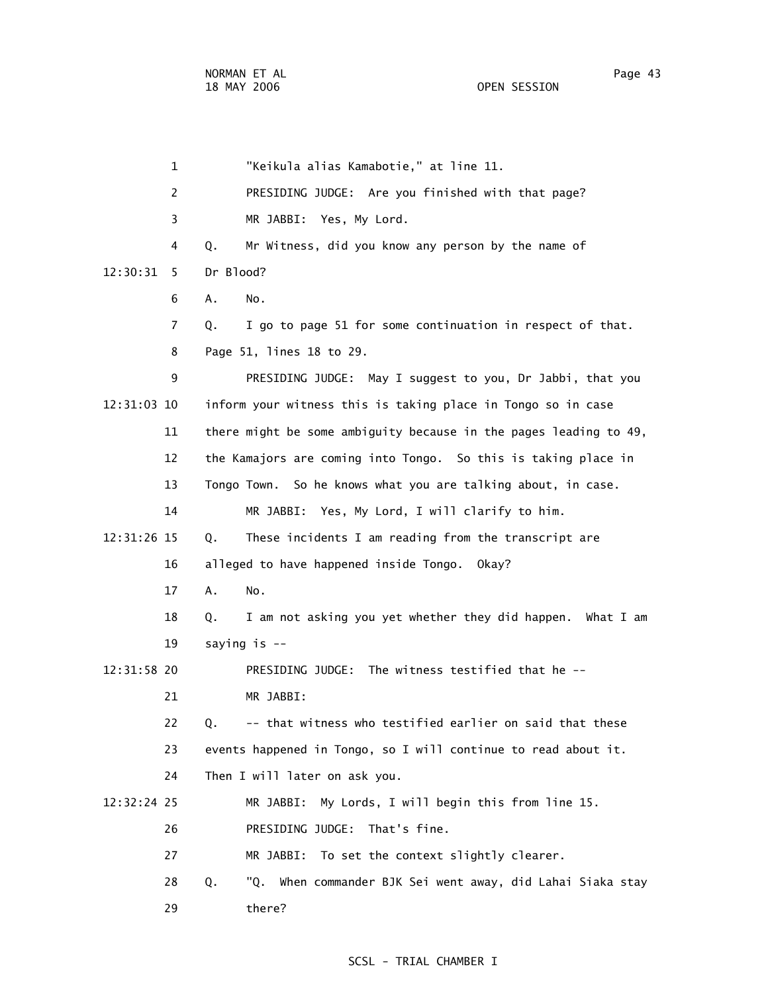|             | $\mathbf{1}$ | "Keikula alias Kamabotie," at line 11.                            |
|-------------|--------------|-------------------------------------------------------------------|
|             | 2            | PRESIDING JUDGE: Are you finished with that page?                 |
|             | 3            | MR JABBI: Yes, My Lord.                                           |
|             | 4            | Mr Witness, did you know any person by the name of<br>Q.          |
| 12:30:31    | 5            | Dr Blood?                                                         |
|             | 6            | Α.<br>No.                                                         |
|             | 7            | I go to page 51 for some continuation in respect of that.<br>Q.   |
|             | 8            | Page 51, lines 18 to 29.                                          |
|             | 9            | PRESIDING JUDGE: May I suggest to you, Dr Jabbi, that you         |
| 12:31:03 10 |              | inform your witness this is taking place in Tongo so in case      |
|             | 11           | there might be some ambiguity because in the pages leading to 49, |
|             | 12           | the Kamajors are coming into Tongo. So this is taking place in    |
|             | 13           | Tongo Town. So he knows what you are talking about, in case.      |
|             | 14           | MR JABBI: Yes, My Lord, I will clarify to him.                    |
| 12:31:26 15 |              | These incidents I am reading from the transcript are<br>Q.        |
|             | 16           | alleged to have happened inside Tongo. Okay?                      |
|             | 17           | Α.<br>No.                                                         |
|             | 18           | I am not asking you yet whether they did happen. What I am<br>Q.  |
|             | 19           | saying is --                                                      |
| 12:31:58 20 |              | PRESIDING JUDGE: The witness testified that he --                 |
|             | 21           | MR JABBI:                                                         |
|             | 22           | -- that witness who testified earlier on said that these<br>Q.    |
|             | 23           | events happened in Tongo, so I will continue to read about it.    |
|             | 24           | Then I will later on ask you.                                     |
| 12:32:24 25 |              | My Lords, I will begin this from line 15.<br>MR JABBI:            |
|             | 26           | PRESIDING JUDGE:<br>That's fine.                                  |
|             | 27           | To set the context slightly clearer.<br>MR JABBI:                 |
|             | 28           | Q.<br>"Q. When commander BJK Sei went away, did Lahai Siaka stay  |
|             | 29           | there?                                                            |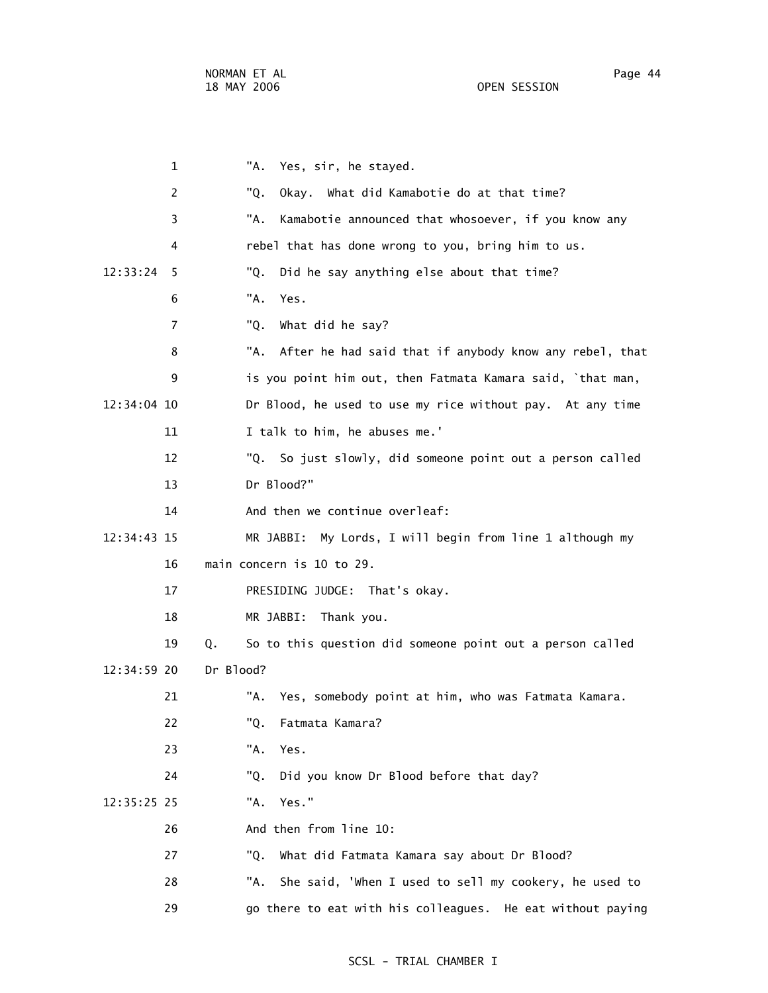| $\mathbf 1$   | "A.<br>Yes, sir, he stayed.                                     |
|---------------|-----------------------------------------------------------------|
| 2             | Okay. What did Kamabotie do at that time?<br>"Q.                |
| 3             | "A.<br>Kamabotie announced that whosoever, if you know any      |
| 4             | rebel that has done wrong to you, bring him to us.              |
| 12:33:24<br>5 | Did he say anything else about that time?<br>"Q.                |
| 6             | "A.<br>Yes.                                                     |
| 7             | "Q.<br>What did he say?                                         |
| 8             | "A.<br>After he had said that if anybody know any rebel, that   |
| 9             | is you point him out, then Fatmata Kamara said, `that man,      |
| 12:34:04 10   | Dr Blood, he used to use my rice without pay. At any time       |
| 11            | I talk to him, he abuses me.'                                   |
| 12            | "Q. So just slowly, did someone point out a person called       |
| 13            | Dr Blood?"                                                      |
| 14            | And then we continue overleaf:                                  |
| 12:34:43 15   | MR JABBI: My Lords, I will begin from line 1 although my        |
| 16            | main concern is 10 to 29.                                       |
| 17            | PRESIDING JUDGE: That's okay.                                   |
| 18            | MR JABBI:<br>Thank you.                                         |
| 19            | So to this question did someone point out a person called<br>Q. |
| 12:34:59 20   | Dr Blood?                                                       |
| 21            | "A.<br>Yes, somebody point at him, who was Fatmata Kamara.      |
| 22            | "Q.<br>Fatmata Kamara?                                          |
| 23            | "A.<br>Yes.                                                     |
| 24            | Did you know Dr Blood before that day?<br>"0.                   |
| 12:35:25 25   | Yes."<br>"A.                                                    |
| 26            | And then from line 10:                                          |
| 27            | "Q.<br>What did Fatmata Kamara say about Dr Blood?              |
| 28            | She said, 'When I used to sell my cookery, he used to<br>"A.    |
| 29            | go there to eat with his colleagues. He eat without paying      |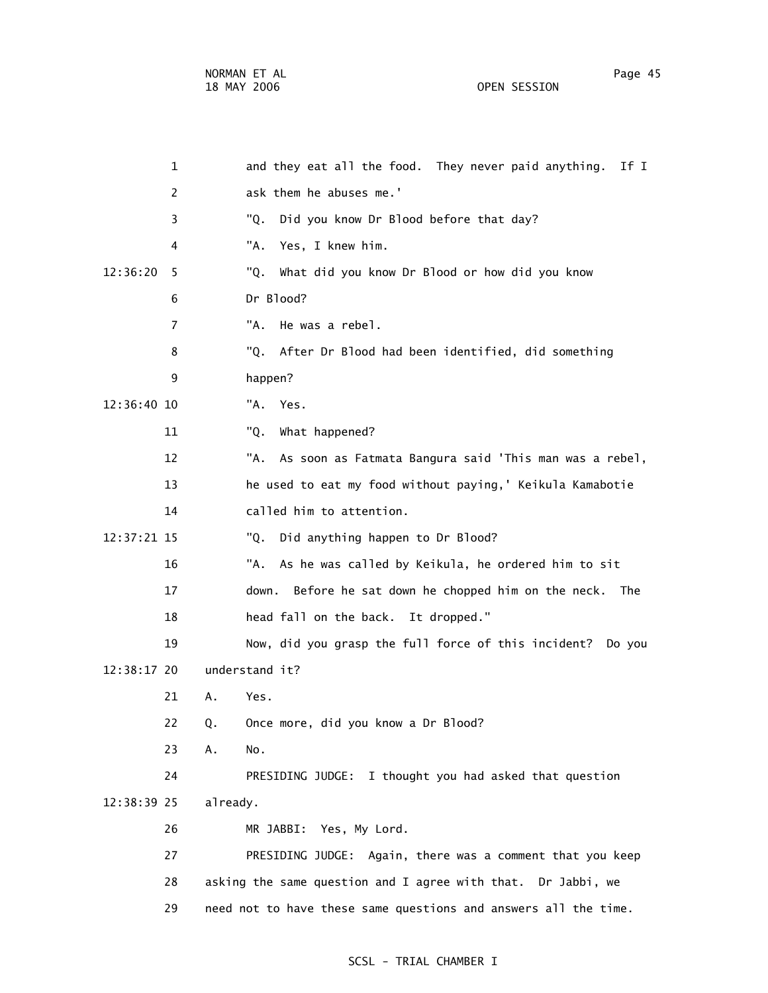OPEN SESSION

| 1              | and they eat all the food. They never paid anything.<br>If I    |
|----------------|-----------------------------------------------------------------|
| 2              | ask them he abuses me.'                                         |
| 3              | Did you know Dr Blood before that day?<br>"Q.                   |
| 4              | Yes, I knew him.<br>"A.                                         |
| 12:36:20<br>5  | What did you know Dr Blood or how did you know<br>"Q.           |
| 6              | Dr Blood?                                                       |
| $\overline{7}$ | "A.<br>He was a rebel.                                          |
| 8              | After Dr Blood had been identified, did something<br>"Q.        |
| 9              | happen?                                                         |
| 12:36:40 10    | "A.<br>Yes.                                                     |
| 11             | "Q.<br>What happened?                                           |
| 12             | "A.<br>As soon as Fatmata Bangura said 'This man was a rebel,   |
| 13             | he used to eat my food without paying,' Keikula Kamabotie       |
| 14             | called him to attention.                                        |
| 12:37:21 15    | Did anything happen to Dr Blood?<br>"Q.                         |
| 16             | "A.<br>As he was called by Keikula, he ordered him to sit       |
| 17             | Before he sat down he chopped him on the neck.<br>down.<br>The  |
| 18             | head fall on the back. It dropped."                             |
| 19             | Now, did you grasp the full force of this incident? Do you      |
| 12:38:17 20    | understand it?                                                  |
| 21             | Yes.<br>Α.                                                      |
| 22             | Once more, did you know a Dr Blood?<br>Q.                       |
| 23             | Α.<br>No.                                                       |
| 24             | I thought you had asked that question<br>PRESIDING JUDGE:       |
| 12:38:39 25    | already.                                                        |
| 26             | MR JABBI: Yes, My Lord.                                         |
| 27             | PRESIDING JUDGE: Again, there was a comment that you keep       |
| 28             | asking the same question and I agree with that. Dr Jabbi, we    |
| 29             | need not to have these same questions and answers all the time. |
|                |                                                                 |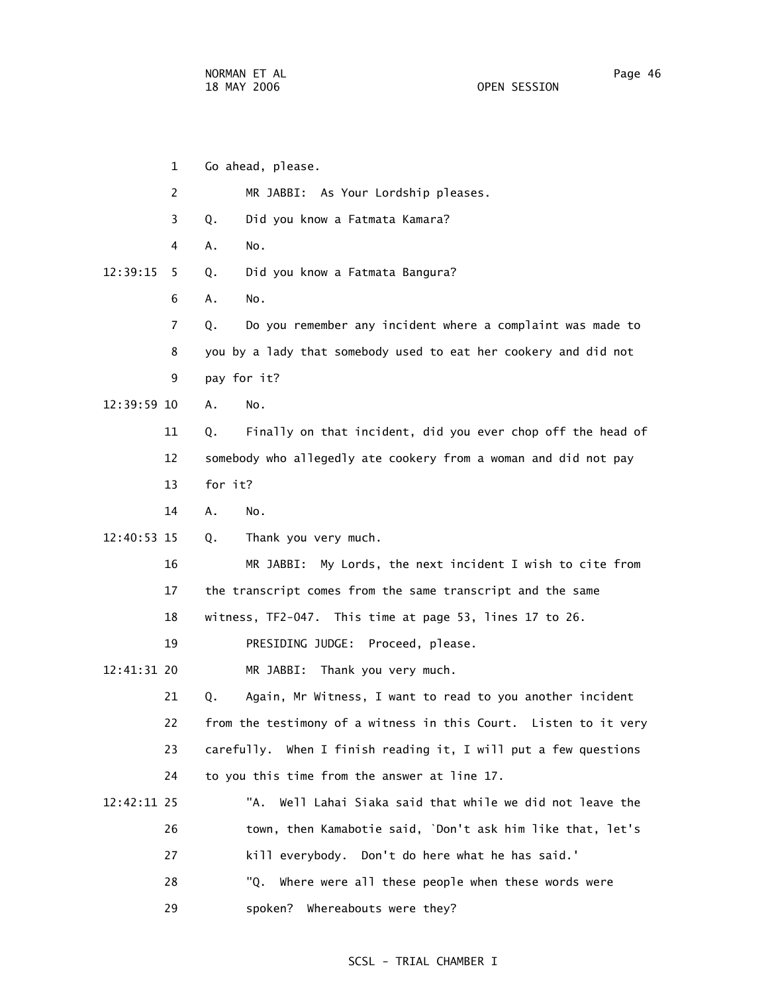1 Go ahead, please. 2 MR JABBI: As Your Lordship pleases. 3 Q. Did you know a Fatmata Kamara? 4 A. No. 12:39:15 5 Q. Did you know a Fatmata Bangura? 6 A. No. 7 Q. Do you remember any incident where a complaint was made to 8 you by a lady that somebody used to eat her cookery and did not 9 pay for it? 12:39:59 10 A. No. 11 Q. Finally on that incident, did you ever chop off the head of 12 somebody who allegedly ate cookery from a woman and did not pay 13 for it? 14 A. No. 12:40:53 15 Q. Thank you very much. 16 MR JABBI: My Lords, the next incident I wish to cite from 17 the transcript comes from the same transcript and the same 18 witness, TF2-047. This time at page 53, lines 17 to 26. 19 PRESIDING JUDGE: Proceed, please. 12:41:31 20 MR JABBI: Thank you very much. 21 Q. Again, Mr Witness, I want to read to you another incident 22 from the testimony of a witness in this Court. Listen to it very 23 carefully. When I finish reading it, I will put a few questions 24 to you this time from the answer at line 17. 12:42:11 25 "A. Well Lahai Siaka said that while we did not leave the 26 town, then Kamabotie said, `Don't ask him like that, let's 27 kill everybody. Don't do here what he has said.' 28 "Q. Where were all these people when these words were

29 spoken? Whereabouts were they?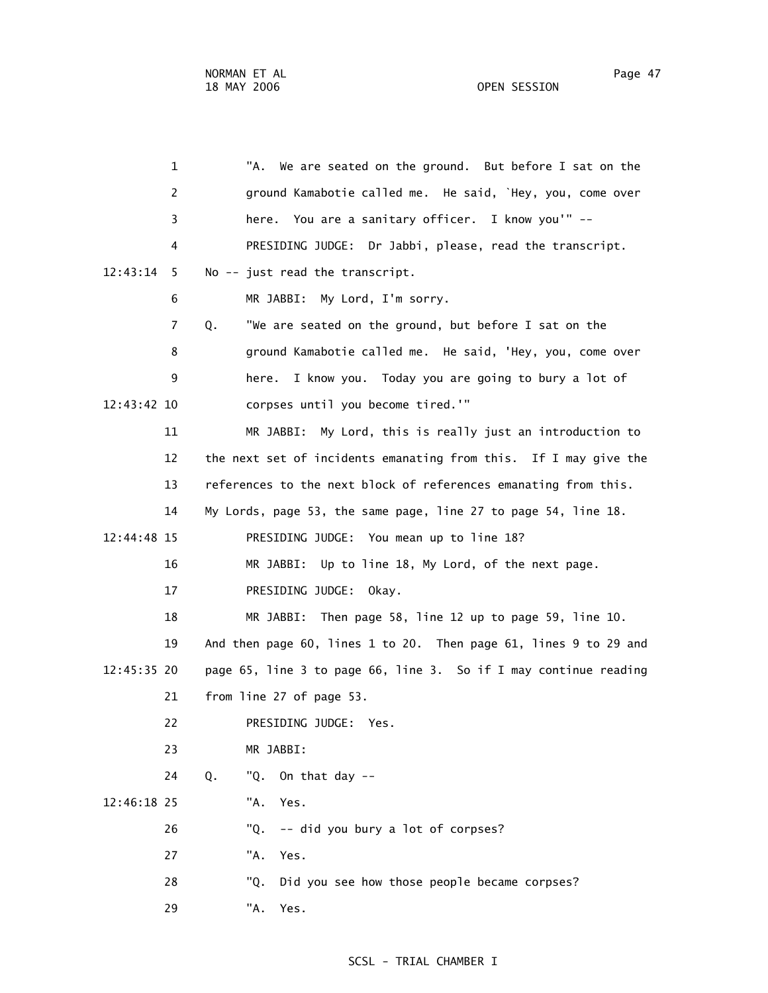1 "A. We are seated on the ground. But before I sat on the 2 ground Kamabotie called me. He said, `Hey, you, come over 3 here. You are a sanitary officer. I know you'" -- 4 PRESIDING JUDGE: Dr Jabbi, please, read the transcript. 12:43:14 5 No -- just read the transcript. 6 MR JABBI: My Lord, I'm sorry. 7 Q. "We are seated on the ground, but before I sat on the 8 ground Kamabotie called me. He said, 'Hey, you, come over 9 here. I know you. Today you are going to bury a lot of 12:43:42 10 corpses until you become tired.'" 11 MR JABBI: My Lord, this is really just an introduction to 12 the next set of incidents emanating from this. If I may give the 13 references to the next block of references emanating from this. 14 My Lords, page 53, the same page, line 27 to page 54, line 18. 12:44:48 15 PRESIDING JUDGE: You mean up to line 18? 16 MR JABBI: Up to line 18, My Lord, of the next page. 17 PRESIDING JUDGE: Okay. 18 MR JABBI: Then page 58, line 12 up to page 59, line 10. 19 And then page 60, lines 1 to 20. Then page 61, lines 9 to 29 and 12:45:35 20 page 65, line 3 to page 66, line 3. So if I may continue reading 21 from line 27 of page 53. 22 PRESIDING JUDGE: Yes. 23 MR JABBI: 24 Q. "Q. On that day -- 12:46:18 25 "A. Yes. 26 "Q. -- did you bury a lot of corpses? 27 "A. Yes. 28 "Q. Did you see how those people became corpses? 29 "A. Yes.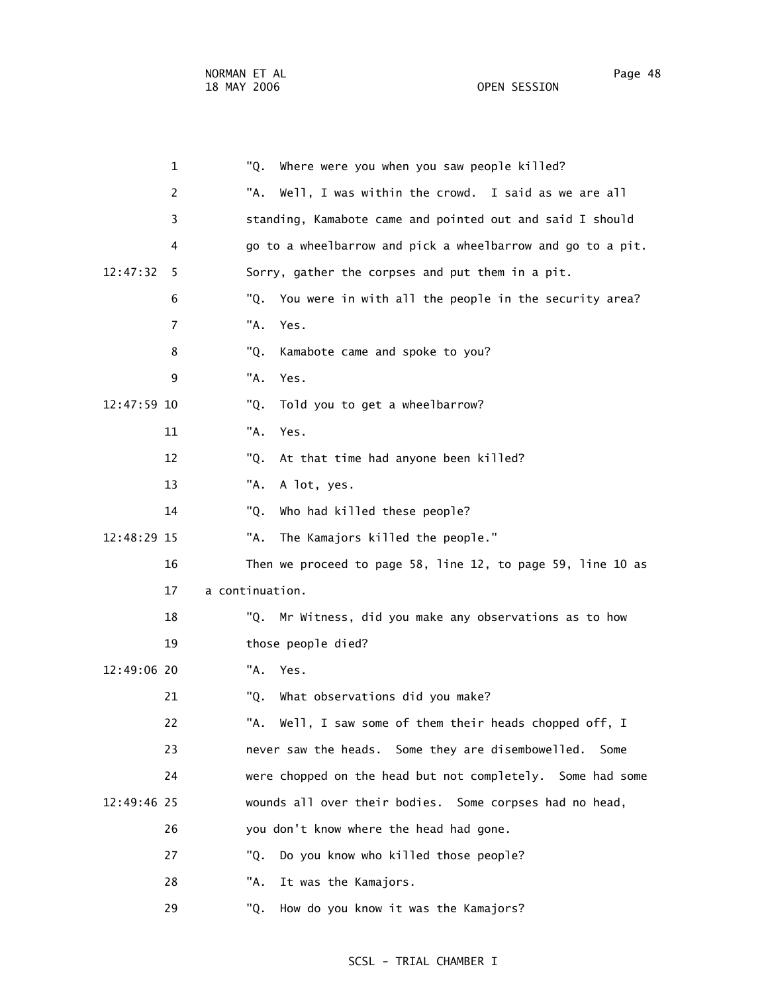|             | 1              | "Q.<br>Where were you when you saw people killed?            |
|-------------|----------------|--------------------------------------------------------------|
|             | 2              | "A.<br>Well, I was within the crowd. I said as we are all    |
|             | 3              | standing, Kamabote came and pointed out and said I should    |
|             | 4              | go to a wheelbarrow and pick a wheelbarrow and go to a pit.  |
| 12:47:32    | 5              | Sorry, gather the corpses and put them in a pit.             |
|             | 6              | "Q.<br>You were in with all the people in the security area? |
|             | $\overline{7}$ | "A.<br>Yes.                                                  |
|             | 8              | Kamabote came and spoke to you?<br>"Q.                       |
|             | 9              | "A.<br>Yes.                                                  |
| 12:47:59 10 |                | "Q.<br>Told you to get a wheelbarrow?                        |
|             | 11             | "A.<br>Yes.                                                  |
|             | 12             | "Q.<br>At that time had anyone been killed?                  |
|             | 13             | "A.<br>A lot, yes.                                           |
|             | 14             | "Q.<br>Who had killed these people?                          |
| 12:48:29 15 |                | "A.<br>The Kamajors killed the people."                      |
|             | 16             | Then we proceed to page 58, line 12, to page 59, line 10 as  |
|             | 17             | a continuation.                                              |
|             | 18             | Mr Witness, did you make any observations as to how<br>"Q.   |
|             | 19             | those people died?                                           |
| 12:49:06 20 |                | "A.<br>Yes.                                                  |
|             | 21             | "Q.<br>What observations did you make?                       |
|             | 22             | "A. Well, I saw some of them their heads chopped off, I      |
|             | 23             | never saw the heads. Some they are disembowelled.<br>Some    |
|             | 24             | were chopped on the head but not completely. Some had some   |
| 12:49:46 25 |                | wounds all over their bodies. Some corpses had no head,      |
|             | 26             | you don't know where the head had gone.                      |
|             | 27             | Do you know who killed those people?<br>"Q.                  |
|             | 28             | It was the Kamajors.<br>"A.                                  |
|             |                |                                                              |

29 "Q. How do you know it was the Kamajors?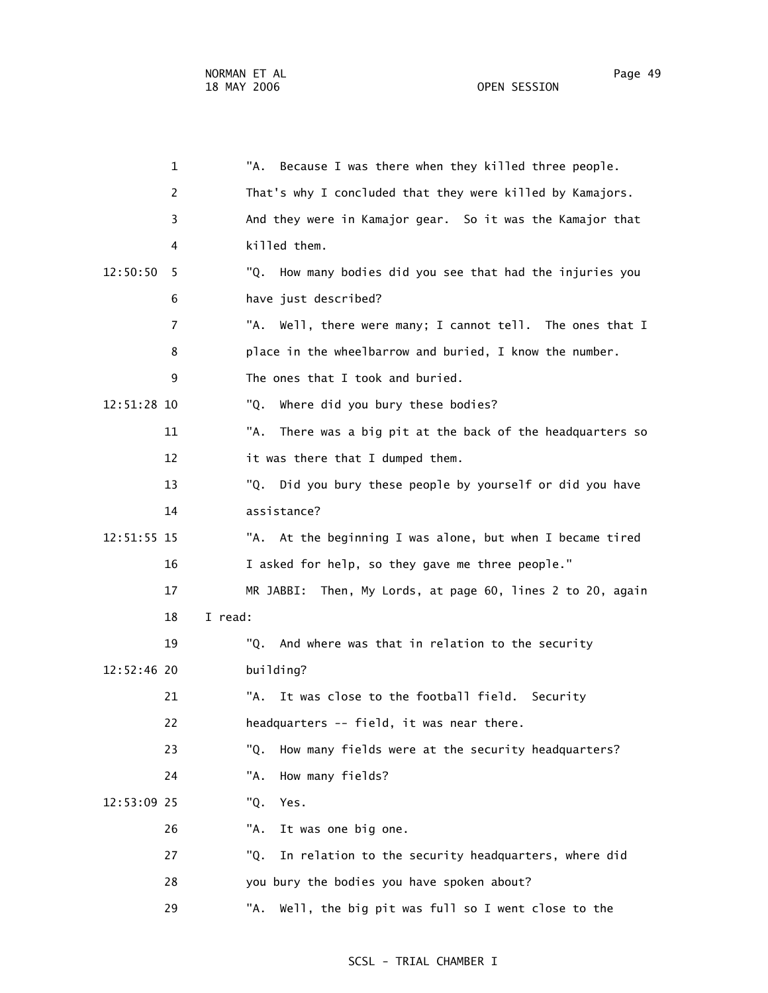1 "A. Because I was there when they killed three people. 2 That's why I concluded that they were killed by Kamajors. 3 And they were in Kamajor gear. So it was the Kamajor that 4 killed them. 12:50:50 5 "Q. How many bodies did you see that had the injuries you 6 have just described? 7 "A. Well, there were many; I cannot tell. The ones that I 8 place in the wheelbarrow and buried, I know the number. 9 The ones that I took and buried. 12:51:28 10 "Q. Where did you bury these bodies? 11 "A. There was a big pit at the back of the headquarters so 12 it was there that I dumped them. 13 "Q. Did you bury these people by yourself or did you have 14 assistance? 12:51:55 15 "A. At the beginning I was alone, but when I became tired 16 I asked for help, so they gave me three people." 17 MR JABBI: Then, My Lords, at page 60, lines 2 to 20, again 18 I read: 19 "Q. And where was that in relation to the security 12:52:46 20 building? 21 "A. It was close to the football field. Security 22 headquarters -- field, it was near there. 23 "Q. How many fields were at the security headquarters? 24 "A. How many fields? 12:53:09 25 "Q. Yes. 26 "A. It was one big one. 27 "Q. In relation to the security headquarters, where did 28 you bury the bodies you have spoken about? 29 "A. Well, the big pit was full so I went close to the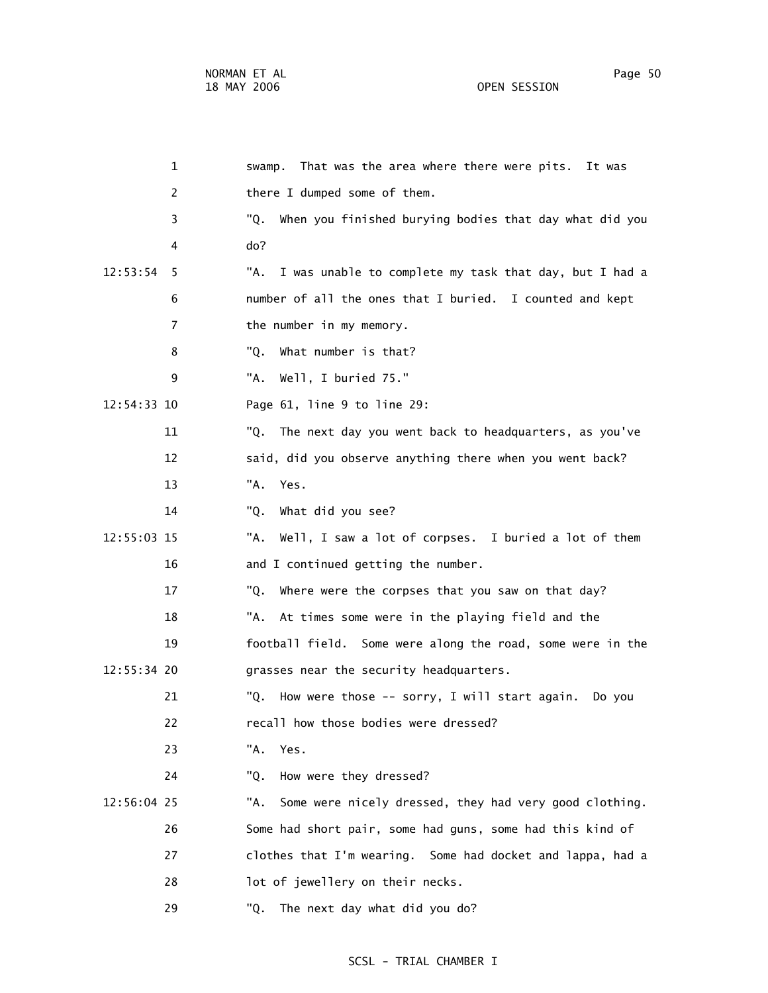1 swamp. That was the area where there were pits. It was 2 there I dumped some of them. 3 "Q. When you finished burying bodies that day what did you 4 do? 12:53:54 5 "A. I was unable to complete my task that day, but I had a 6 number of all the ones that I buried. I counted and kept 7 the number in my memory. 8 "Q. What number is that? 9 "A. Well, I buried 75." 12:54:33 10 Page 61, line 9 to line 29: 11 "Q. The next day you went back to headquarters, as you've 12 said, did you observe anything there when you went back? 13 "A. Yes. 14 "Q. What did you see? 12:55:03 15 "A. Well, I saw a lot of corpses. I buried a lot of them 16 and I continued getting the number. 17 "Q. Where were the corpses that you saw on that day? 18 "A. At times some were in the playing field and the 19 football field. Some were along the road, some were in the 12:55:34 20 grasses near the security headquarters. 21 "Q. How were those -- sorry, I will start again. Do you

22 recall how those bodies were dressed?

23 "A. Yes.

24 "Q. How were they dressed?

 12:56:04 25 "A. Some were nicely dressed, they had very good clothing. 26 Some had short pair, some had guns, some had this kind of 27 clothes that I'm wearing. Some had docket and lappa, had a 28 lot of jewellery on their necks.

29 "Q. The next day what did you do?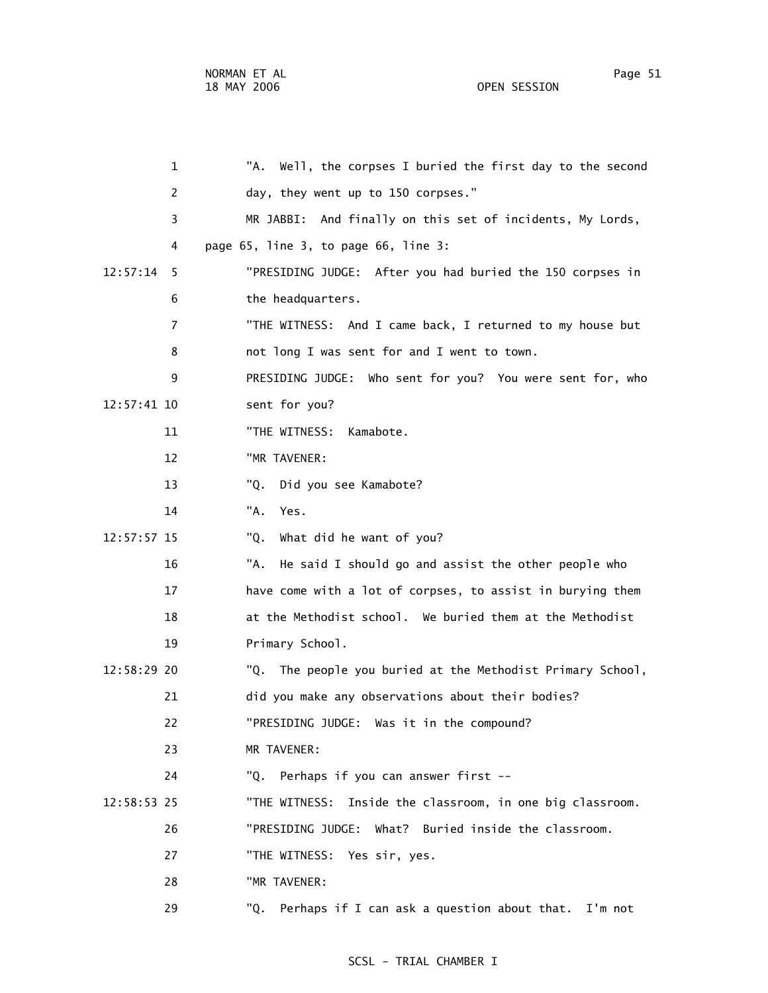1 "A. Well, the corpses I buried the first day to the second 2 day, they went up to 150 corpses." 3 MR JABBI: And finally on this set of incidents, My Lords, 4 page 65, line 3, to page 66, line 3: 12:57:14 5 "PRESIDING JUDGE: After you had buried the 150 corpses in 6 the headquarters. 7 "THE WITNESS: And I came back, I returned to my house but 8 not long I was sent for and I went to town.

9 PRESIDING JUDGE: Who sent for you? You were sent for, who

12:57:41 10 sent for you?

11 "THE WITNESS: Kamabote.

12 "MR TAVENER:

13 "Q. Did you see Kamabote?

14 "A. Yes.

12:57:57 15 "Q. What did he want of you?

 16 "A. He said I should go and assist the other people who 17 have come with a lot of corpses, to assist in burying them 18 at the Methodist school. We buried them at the Methodist 19 Primary School.

 12:58:29 20 "Q. The people you buried at the Methodist Primary School, 21 did you make any observations about their bodies? 22 "PRESIDING JUDGE: Was it in the compound?

23 MR TAVENER:

24 "Q. Perhaps if you can answer first --

12:58:53 25 "THE WITNESS: Inside the classroom, in one big classroom.

26 "PRESIDING JUDGE: What? Buried inside the classroom.

27 "THE WITNESS: Yes sir, yes.

28 "MR TAVENER:

29 "Q. Perhaps if I can ask a question about that. I'm not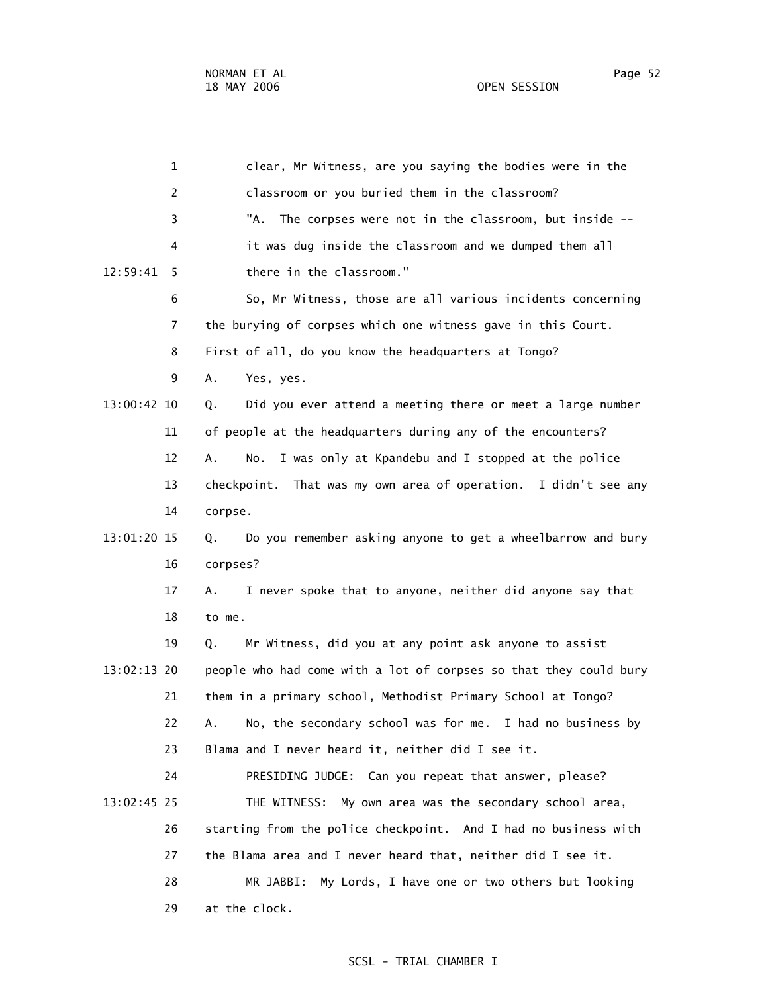1 clear, Mr Witness, are you saying the bodies were in the 2 classroom or you buried them in the classroom? 3 "A. The corpses were not in the classroom, but inside -- 4 it was dug inside the classroom and we dumped them all 12:59:41 5 there in the classroom." 6 So, Mr Witness, those are all various incidents concerning 7 the burying of corpses which one witness gave in this Court. 8 First of all, do you know the headquarters at Tongo? 9 A. Yes, yes. 13:00:42 10 Q. Did you ever attend a meeting there or meet a large number 11 of people at the headquarters during any of the encounters? 12 A. No. I was only at Kpandebu and I stopped at the police 13 checkpoint. That was my own area of operation. I didn't see any 14 corpse. 13:01:20 15 Q. Do you remember asking anyone to get a wheelbarrow and bury 16 corpses? 17 A. I never spoke that to anyone, neither did anyone say that 18 to me. 19 Q. Mr Witness, did you at any point ask anyone to assist 13:02:13 20 people who had come with a lot of corpses so that they could bury 21 them in a primary school, Methodist Primary School at Tongo? 22 A. No, the secondary school was for me. I had no business by 23 Blama and I never heard it, neither did I see it. 24 PRESIDING JUDGE: Can you repeat that answer, please? 13:02:45 25 THE WITNESS: My own area was the secondary school area, 26 starting from the police checkpoint. And I had no business with 27 the Blama area and I never heard that, neither did I see it. 28 MR JABBI: My Lords, I have one or two others but looking 29 at the clock.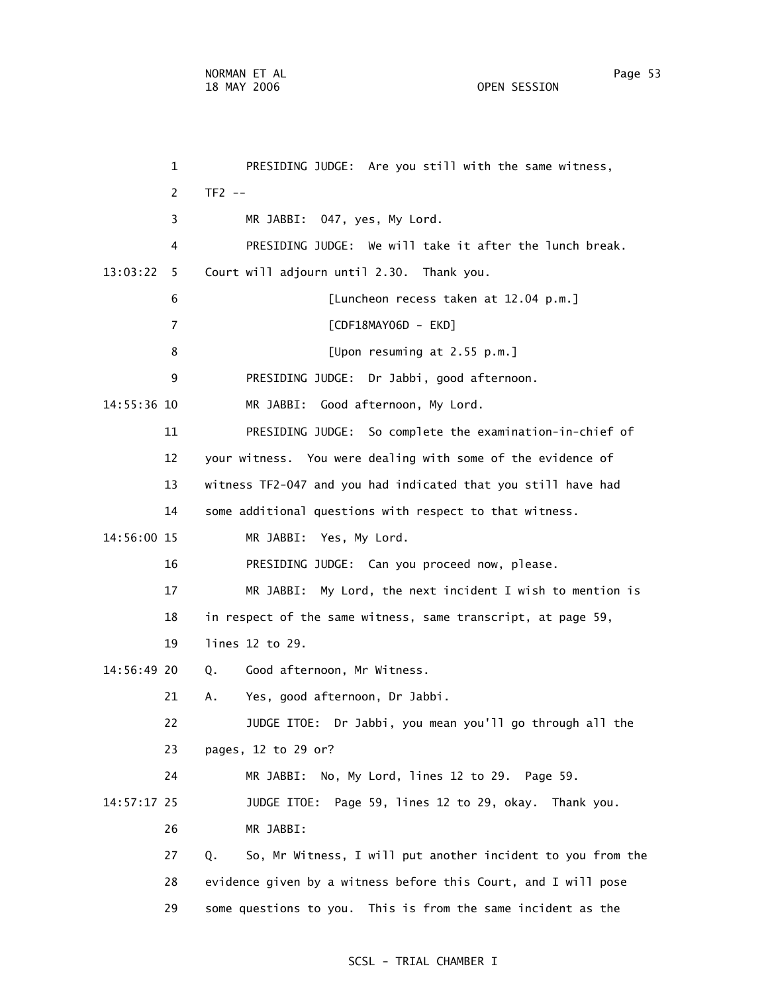1 PRESIDING JUDGE: Are you still with the same witness, 2 TF2 -- 3 MR JABBI: 047, yes, My Lord. 4 PRESIDING JUDGE: We will take it after the lunch break. 13:03:22 5 Court will adjourn until 2.30. Thank you. 6 [Luncheon recess taken at 12.04 p.m.] 7 [CDF18MAY06D - EKD] 8 [Upon resuming at 2.55 p.m.] 9 PRESIDING JUDGE: Dr Jabbi, good afternoon. 14:55:36 10 MR JABBI: Good afternoon, My Lord. 11 PRESIDING JUDGE: So complete the examination-in-chief of 12 your witness. You were dealing with some of the evidence of 13 witness TF2-047 and you had indicated that you still have had 14 some additional questions with respect to that witness. 14:56:00 15 MR JABBI: Yes, My Lord. 16 PRESIDING JUDGE: Can you proceed now, please. 17 MR JABBI: My Lord, the next incident I wish to mention is 18 in respect of the same witness, same transcript, at page 59, 19 lines 12 to 29. 14:56:49 20 Q. Good afternoon, Mr Witness. 21 A. Yes, good afternoon, Dr Jabbi. 22 JUDGE ITOE: Dr Jabbi, you mean you'll go through all the 23 pages, 12 to 29 or? 24 MR JABBI: No, My Lord, lines 12 to 29. Page 59. 14:57:17 25 JUDGE ITOE: Page 59, lines 12 to 29, okay. Thank you. 26 MR JABBI: 27 Q. So, Mr Witness, I will put another incident to you from the 28 evidence given by a witness before this Court, and I will pose 29 some questions to you. This is from the same incident as the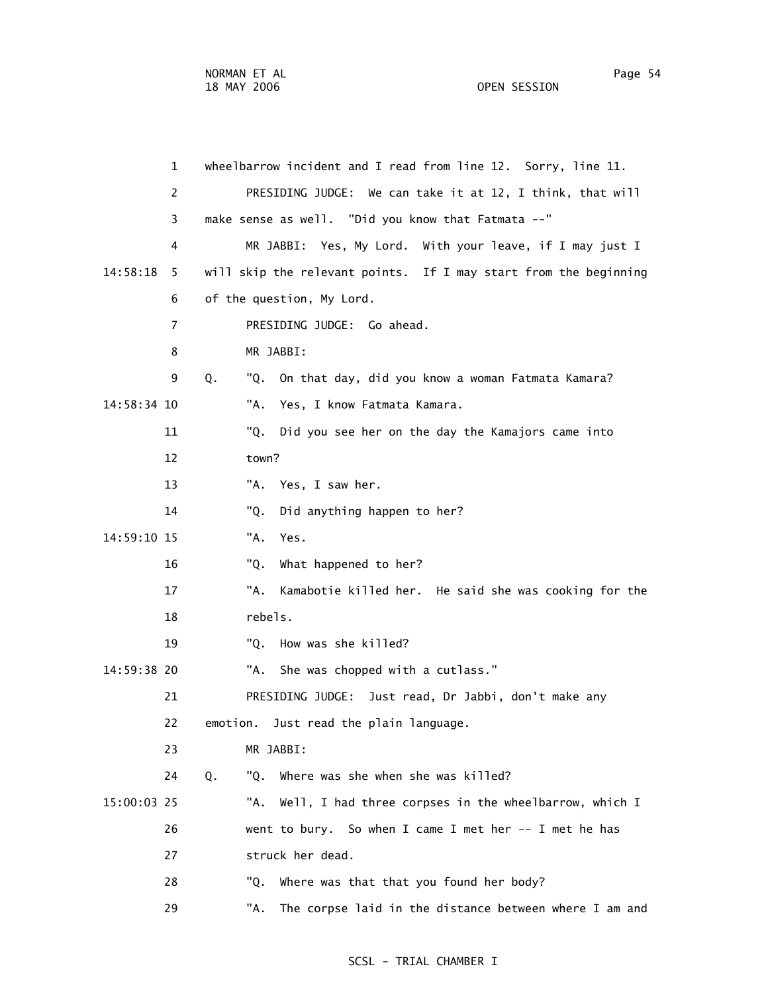1 wheelbarrow incident and I read from line 12. Sorry, line 11. 2 PRESIDING JUDGE: We can take it at 12, I think, that will 3 make sense as well. "Did you know that Fatmata --" 4 MR JABBI: Yes, My Lord. With your leave, if I may just I 14:58:18 5 will skip the relevant points. If I may start from the beginning 6 of the question, My Lord. 7 PRESIDING JUDGE: Go ahead. 8 MR JABBI: 9 Q. "Q. On that day, did you know a woman Fatmata Kamara? 14:58:34 10 "A. Yes, I know Fatmata Kamara. 11 "Q. Did you see her on the day the Kamajors came into 12 town? 13 "A. Yes, I saw her. 14 "Q. Did anything happen to her? 14:59:10 15 "A. Yes. 16 "Q. What happened to her? 17 "A. Kamabotie killed her. He said she was cooking for the 18 rebels. 19 "Q. How was she killed? 14:59:38 20 "A. She was chopped with a cutlass." 21 PRESIDING JUDGE: Just read, Dr Jabbi, don't make any 22 emotion. Just read the plain language. 23 MR JABBI: 24 Q. "Q. Where was she when she was killed? 15:00:03 25 "A. Well, I had three corpses in the wheelbarrow, which I 26 went to bury. So when I came I met her -- I met he has 27 struck her dead. 28 "Q. Where was that that you found her body? 29 "A. The corpse laid in the distance between where I am and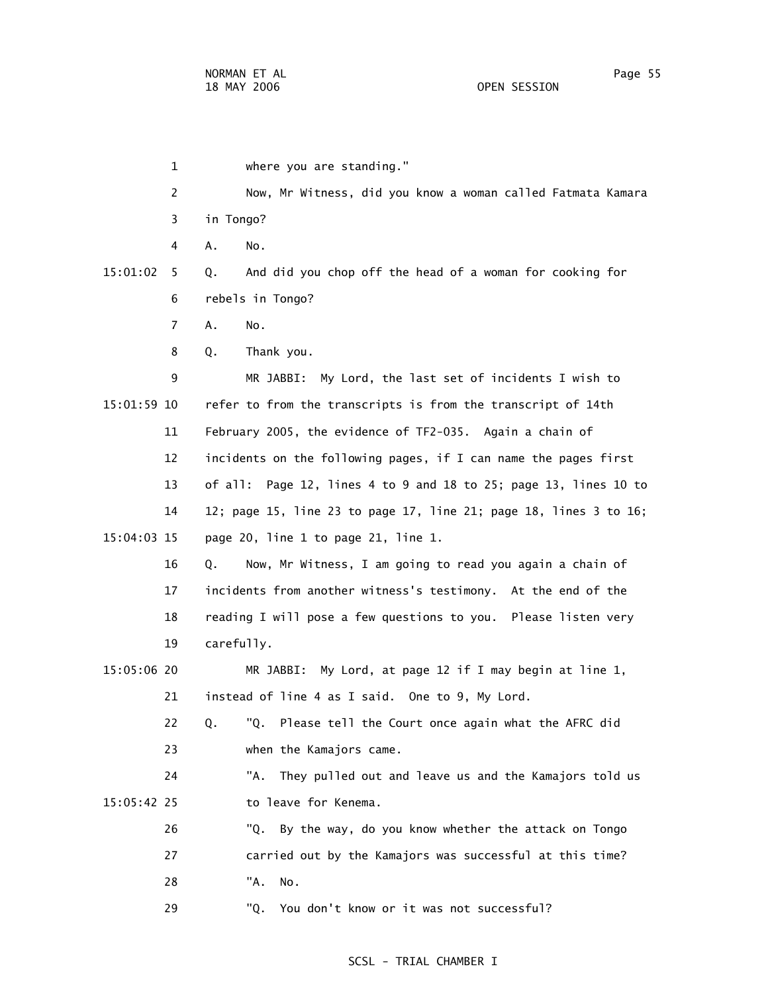1 where you are standing." 2 Now, Mr Witness, did you know a woman called Fatmata Kamara 3 in Tongo? 4 A. No. 15:01:02 5 Q. And did you chop off the head of a woman for cooking for 6 rebels in Tongo? 7 A. No. 8 Q. Thank you. 9 MR JABBI: My Lord, the last set of incidents I wish to 15:01:59 10 refer to from the transcripts is from the transcript of 14th 11 February 2005, the evidence of TF2-035. Again a chain of 12 incidents on the following pages, if I can name the pages first 13 of all: Page 12, lines 4 to 9 and 18 to 25; page 13, lines 10 to 14 12; page 15, line 23 to page 17, line 21; page 18, lines 3 to 16; 15:04:03 15 page 20, line 1 to page 21, line 1. 16 Q. Now, Mr Witness, I am going to read you again a chain of 17 incidents from another witness's testimony. At the end of the 18 reading I will pose a few questions to you. Please listen very 19 carefully. 15:05:06 20 MR JABBI: My Lord, at page 12 if I may begin at line 1, 21 instead of line 4 as I said. One to 9, My Lord. 22 Q. "Q. Please tell the Court once again what the AFRC did 23 when the Kamajors came. 24 "A. They pulled out and leave us and the Kamajors told us 15:05:42 25 to leave for Kenema. 26 "Q. By the way, do you know whether the attack on Tongo 27 carried out by the Kamajors was successful at this time? 28 "A. No. 29 "Q. You don't know or it was not successful?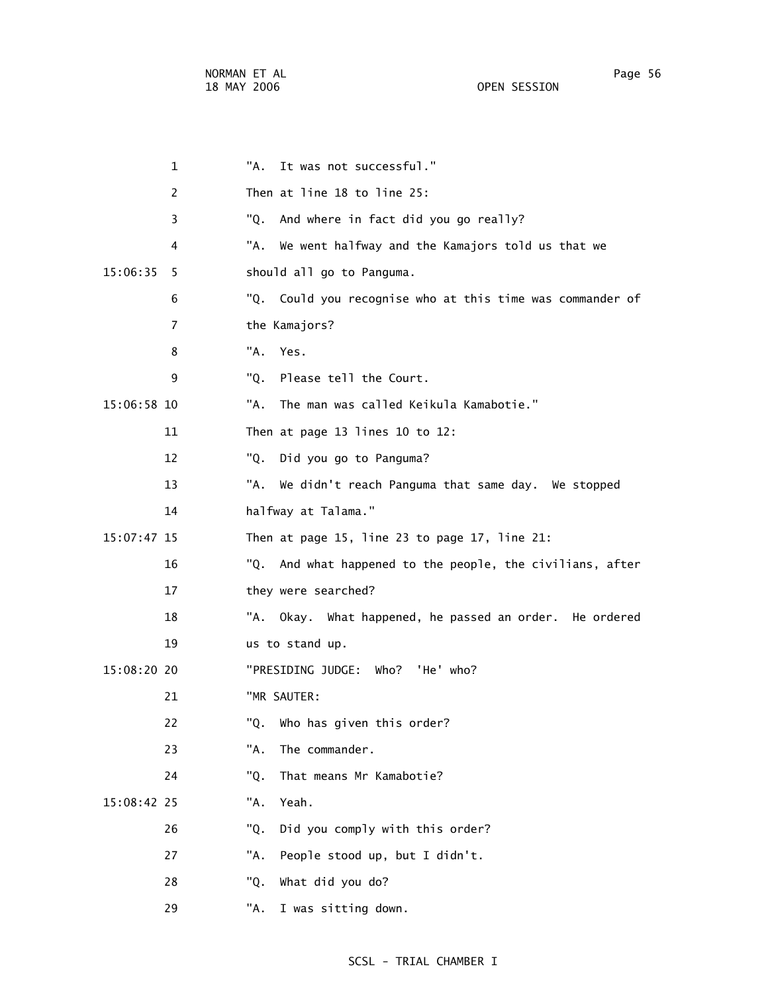|             | 1  | "А. | It was not successful."                                   |
|-------------|----|-----|-----------------------------------------------------------|
|             | 2  |     | Then at line 18 to line 25:                               |
|             | 3  | "Q. | And where in fact did you go really?                      |
|             | 4  |     | "A. We went halfway and the Kamajors told us that we      |
| 15:06:35    | 5  |     | should all go to Panguma.                                 |
|             | 6  |     | "Q. Could you recognise who at this time was commander of |
|             | 7  |     | the Kamajors?                                             |
|             | 8  |     | "A. Yes.                                                  |
|             | 9  | "Q. | Please tell the Court.                                    |
| 15:06:58 10 |    | "A. | The man was called Keikula Kamabotie."                    |
|             | 11 |     | Then at page 13 lines 10 to 12:                           |
|             | 12 | "Q. | Did you go to Panguma?                                    |
|             | 13 |     | "A. We didn't reach Panguma that same day. We stopped     |
|             | 14 |     | halfway at Talama."                                       |
| 15:07:47 15 |    |     | Then at page 15, line 23 to page 17, line 21:             |
|             | 16 |     | "Q. And what happened to the people, the civilians, after |
|             | 17 |     | they were searched?                                       |
|             | 18 |     | "A. Okay. What happened, he passed an order. He ordered   |
|             | 19 |     | us to stand up.                                           |
| 15:08:20 20 |    |     | "PRESIDING JUDGE: Who? 'He' who?                          |
|             | 21 |     | "MR SAUTER:                                               |
|             | 22 | "Q. | Who has given this order?                                 |
|             | 23 | "A. | The commander.                                            |
|             | 24 | "Q. | That means Mr Kamabotie?                                  |
| 15:08:42 25 |    | "A. | Yeah.                                                     |
|             | 26 | "Q. | Did you comply with this order?                           |
|             | 27 | "A. | People stood up, but I didn't.                            |
|             | 28 | "Q. | What did you do?                                          |
|             | 29 | "A. | I was sitting down.                                       |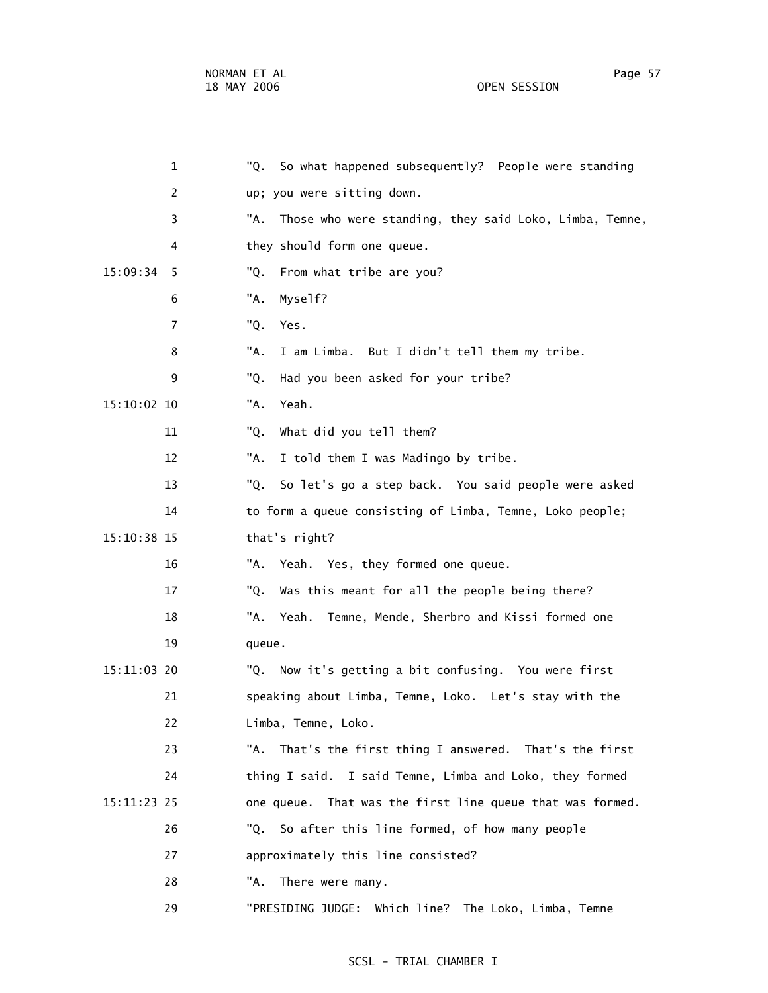1 "Q. So what happened subsequently? People were standing 2 up; you were sitting down. 3 "A. Those who were standing, they said Loko, Limba, Temne, 4 they should form one queue. 15:09:34 5 "Q. From what tribe are you? 6 "A. Myself? 7 "Q. Yes. 8 "A. I am Limba. But I didn't tell them my tribe. 9 "Q. Had you been asked for your tribe? 15:10:02 10 "A. Yeah. 11 "Q. What did you tell them? 12 "A. I told them I was Madingo by tribe. 13 "Q. So let's go a step back. You said people were asked 14 to form a queue consisting of Limba, Temne, Loko people; 15:10:38 15 that's right? 16 "A. Yeah. Yes, they formed one queue. 17 "Q. Was this meant for all the people being there? 18 "A. Yeah. Temne, Mende, Sherbro and Kissi formed one 19 queue. 15:11:03 20 "Q. Now it's getting a bit confusing. You were first 21 speaking about Limba, Temne, Loko. Let's stay with the 22 Limba, Temne, Loko. 23 "A. That's the first thing I answered. That's the first 24 thing I said. I said Temne, Limba and Loko, they formed 15:11:23 25 one queue. That was the first line queue that was formed. 26 "Q. So after this line formed, of how many people 27 approximately this line consisted? 28 "A. There were many.

### SCSL - TRIAL CHAMBER I

29 "PRESIDING JUDGE: Which line? The Loko, Limba, Temne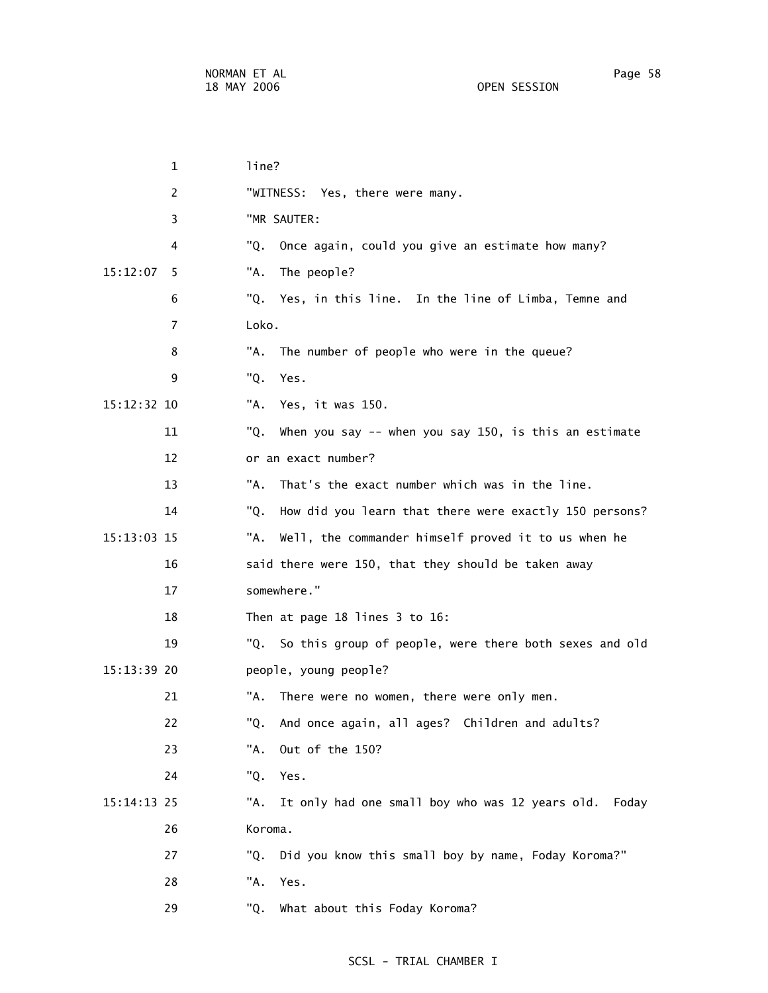1 line? 2 "WITNESS: Yes, there were many. 3 "MR SAUTER: 4 "Q. Once again, could you give an estimate how many? 15:12:07 5 "A. The people? 6 "Q. Yes, in this line. In the line of Limba, Temne and 7 Loko. 8 "A. The number of people who were in the queue? 9 "Q. Yes. 15:12:32 10 "A. Yes, it was 150. 11 "Q. When you say -- when you say 150, is this an estimate 12 or an exact number? 13 "A. That's the exact number which was in the line. 14 "Q. How did you learn that there were exactly 150 persons? 15:13:03 15 "A. Well, the commander himself proved it to us when he 16 said there were 150, that they should be taken away 17 somewhere." 18 Then at page 18 lines 3 to 16: 19 "Q. So this group of people, were there both sexes and old 15:13:39 20 people, young people? 21 "A. There were no women, there were only men. 22 "Q. And once again, all ages? Children and adults? 23 "A. Out of the 150? 24 "Q. Yes. 15:14:13 25 "A. It only had one small boy who was 12 years old. Foday 26 Koroma. 27 "Q. Did you know this small boy by name, Foday Koroma?" 28 "A. Yes. 29 "Q. What about this Foday Koroma?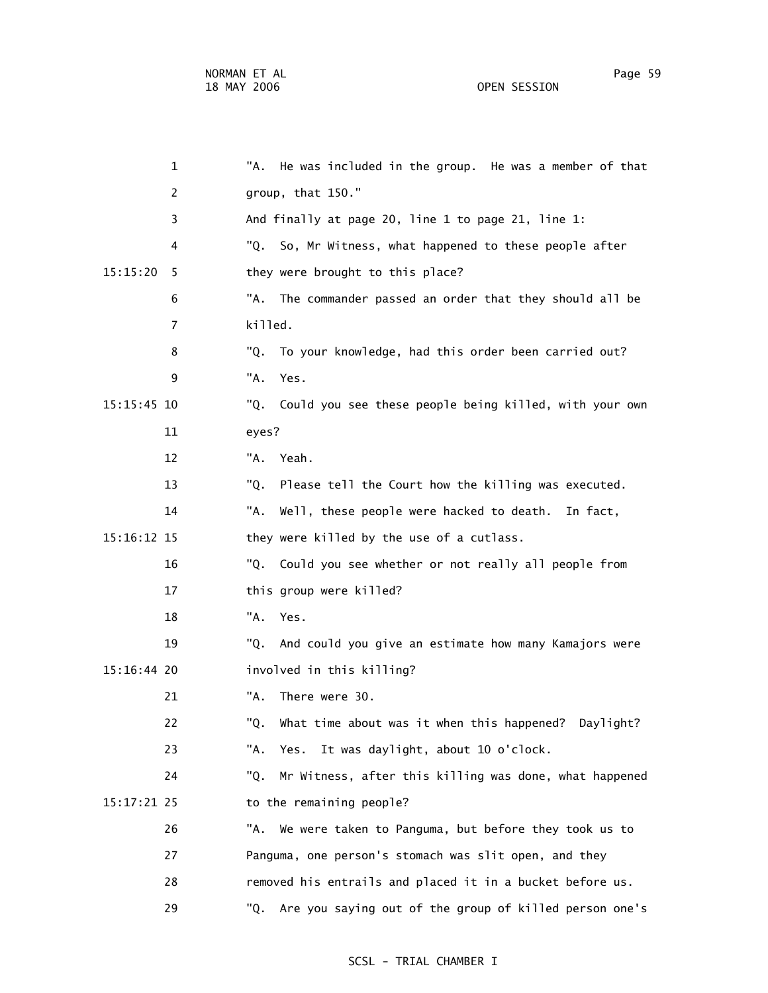1 "A. He was included in the group. He was a member of that 2 group, that 150." 3 And finally at page 20, line 1 to page 21, line 1: 4 "Q. So, Mr Witness, what happened to these people after 15:15:20 5 they were brought to this place? 6 "A. The commander passed an order that they should all be 8 "Q. To your knowledge, had this order been carried out?

- 15:15:45 10 "Q. Could you see these people being killed, with your own 11 eyes?
	- 12 "A. Yeah.

7 killed.

9 "A. Yes.

- 13 "Q. Please tell the Court how the killing was executed.
- 14 "A. Well, these people were hacked to death. In fact,
- 15:16:12 15 they were killed by the use of a cutlass.
	- 16 "Q. Could you see whether or not really all people from 17 this group were killed?
		- 18 "A. Yes.
- 19 "Q. And could you give an estimate how many Kamajors were 15:16:44 20 involved in this killing?
	- 21 "A. There were 30.
		- 22 "Q. What time about was it when this happened? Daylight?
			- 23 "A. Yes. It was daylight, about 10 o'clock.
- 24 "Q. Mr Witness, after this killing was done, what happened 15:17:21 25 to the remaining people?
	- 26 "A. We were taken to Panguma, but before they took us to 27 Panguma, one person's stomach was slit open, and they 28 removed his entrails and placed it in a bucket before us. 29 "Q. Are you saying out of the group of killed person one's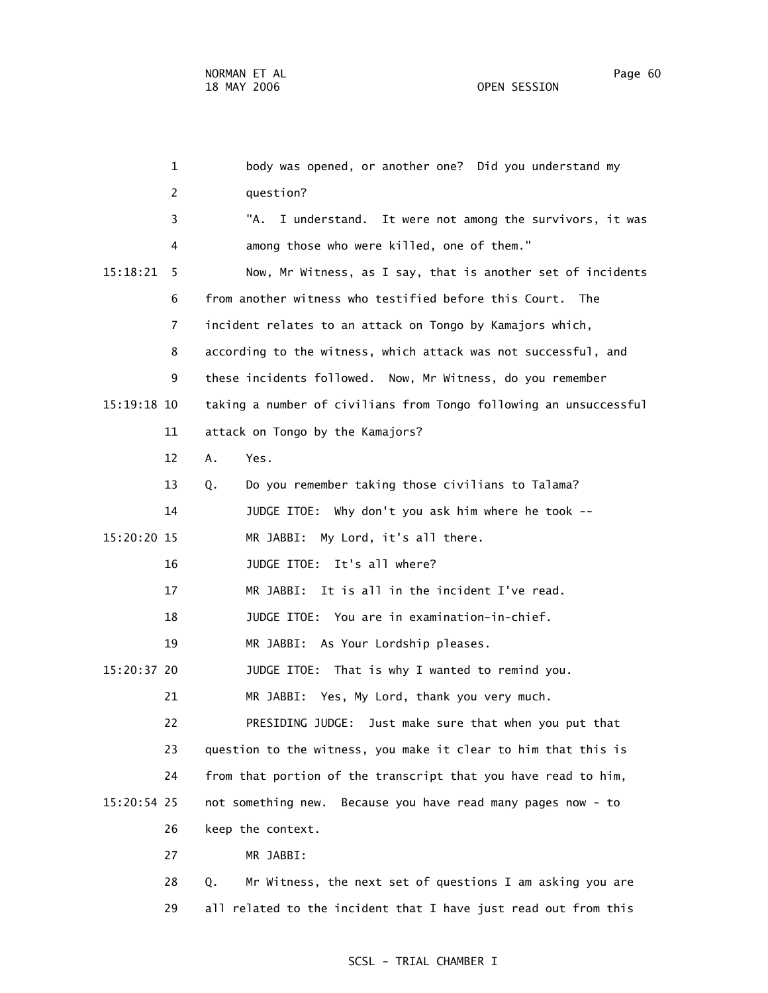1 body was opened, or another one? Did you understand my 2 question? 3 "A. I understand. It were not among the survivors, it was 4 among those who were killed, one of them." 15:18:21 5 Now, Mr Witness, as I say, that is another set of incidents 6 from another witness who testified before this Court. The 7 incident relates to an attack on Tongo by Kamajors which, 8 according to the witness, which attack was not successful, and 9 these incidents followed. Now, Mr Witness, do you remember 15:19:18 10 taking a number of civilians from Tongo following an unsuccessful 11 attack on Tongo by the Kamajors? 12 A. Yes. 13 Q. Do you remember taking those civilians to Talama? 14 JUDGE ITOE: Why don't you ask him where he took -- 15:20:20 15 MR JABBI: My Lord, it's all there. 16 JUDGE ITOE: It's all where? 17 MR JABBI: It is all in the incident I've read. 18 JUDGE ITOE: You are in examination-in-chief. 19 MR JABBI: As Your Lordship pleases. 15:20:37 20 JUDGE ITOE: That is why I wanted to remind you. 21 MR JABBI: Yes, My Lord, thank you very much. 22 PRESIDING JUDGE: Just make sure that when you put that 23 question to the witness, you make it clear to him that this is 24 from that portion of the transcript that you have read to him, 15:20:54 25 not something new. Because you have read many pages now - to 26 keep the context.

27 MR JABBI:

 28 Q. Mr Witness, the next set of questions I am asking you are 29 all related to the incident that I have just read out from this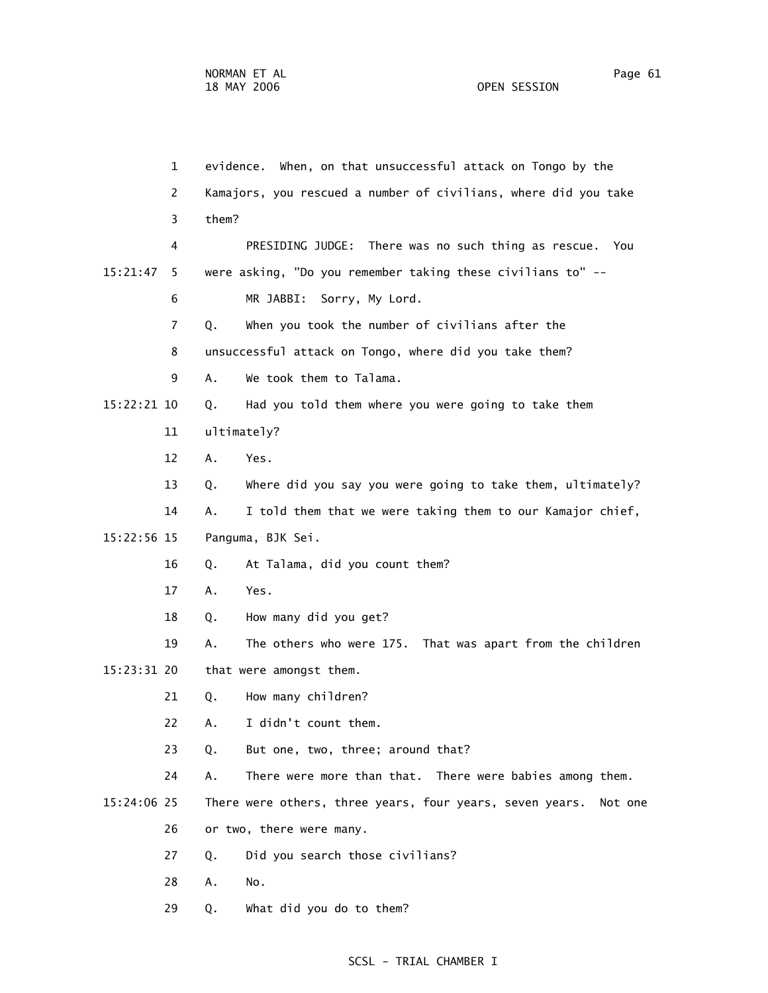1 evidence. When, on that unsuccessful attack on Tongo by the 2 Kamajors, you rescued a number of civilians, where did you take 3 them? 4 PRESIDING JUDGE: There was no such thing as rescue. You 15:21:47 5 were asking, "Do you remember taking these civilians to" -- 6 MR JABBI: Sorry, My Lord. 7 Q. When you took the number of civilians after the 8 unsuccessful attack on Tongo, where did you take them? 9 A. We took them to Talama. 15:22:21 10 Q. Had you told them where you were going to take them 11 ultimately? 12 A. Yes. 13 Q. Where did you say you were going to take them, ultimately? 14 A. I told them that we were taking them to our Kamajor chief, 15:22:56 15 Panguma, BJK Sei. 16 Q. At Talama, did you count them? 17 A. Yes. 18 Q. How many did you get? 19 A. The others who were 175. That was apart from the children 15:23:31 20 that were amongst them. 21 Q. How many children? 22 A. I didn't count them. 23 Q. But one, two, three; around that? 24 A. There were more than that. There were babies among them. 15:24:06 25 There were others, three years, four years, seven years. Not one 26 or two, there were many. 27 Q. Did you search those civilians? 28 A. No.

### SCSL - TRIAL CHAMBER I

29 Q. What did you do to them?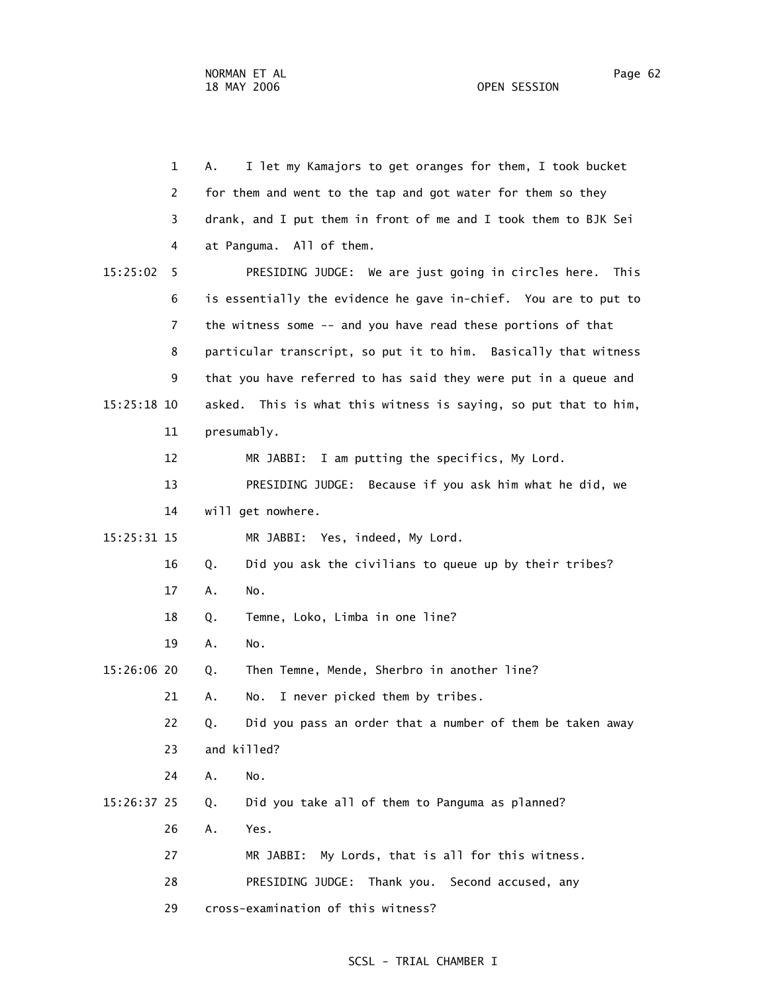1 A. I let my Kamajors to get oranges for them, I took bucket 2 for them and went to the tap and got water for them so they 3 drank, and I put them in front of me and I took them to BJK Sei 4 at Panguma. All of them. 15:25:02 5 PRESIDING JUDGE: We are just going in circles here. This 6 is essentially the evidence he gave in-chief. You are to put to 7 the witness some -- and you have read these portions of that 8 particular transcript, so put it to him. Basically that witness 9 that you have referred to has said they were put in a queue and 15:25:18 10 asked. This is what this witness is saying, so put that to him, 11 presumably. 12 MR JABBI: I am putting the specifics, My Lord. 13 PRESIDING JUDGE: Because if you ask him what he did, we 14 will get nowhere. 15:25:31 15 MR JABBI: Yes, indeed, My Lord. 16 Q. Did you ask the civilians to queue up by their tribes? 17 A. No. 18 Q. Temne, Loko, Limba in one line? 19 A. No. 15:26:06 20 Q. Then Temne, Mende, Sherbro in another line? 21 A. No. I never picked them by tribes. 22 Q. Did you pass an order that a number of them be taken away 23 and killed? 24 A. No. 15:26:37 25 Q. Did you take all of them to Panguma as planned? 26 A. Yes. 27 MR JABBI: My Lords, that is all for this witness. 28 PRESIDING JUDGE: Thank you. Second accused, any 29 cross-examination of this witness?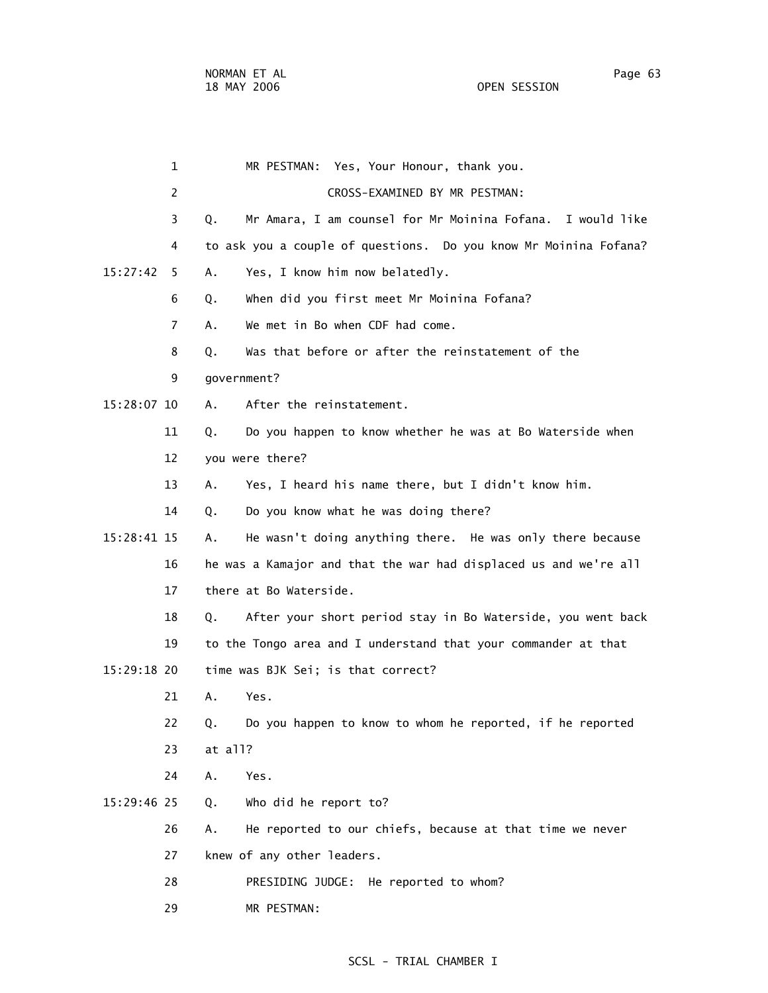29 MR PESTMAN:

 1 MR PESTMAN: Yes, Your Honour, thank you. 2 CROSS-EXAMINED BY MR PESTMAN: 3 Q. Mr Amara, I am counsel for Mr Moinina Fofana. I would like 4 to ask you a couple of questions. Do you know Mr Moinina Fofana? 15:27:42 5 A. Yes, I know him now belatedly. 6 Q. When did you first meet Mr Moinina Fofana? 7 A. We met in Bo when CDF had come. 8 Q. Was that before or after the reinstatement of the 9 government? 15:28:07 10 A. After the reinstatement. 11 Q. Do you happen to know whether he was at Bo Waterside when 12 you were there? 13 A. Yes, I heard his name there, but I didn't know him. 14 Q. Do you know what he was doing there? 15:28:41 15 A. He wasn't doing anything there. He was only there because 16 he was a Kamajor and that the war had displaced us and we're all 17 there at Bo Waterside. 18 Q. After your short period stay in Bo Waterside, you went back 19 to the Tongo area and I understand that your commander at that 15:29:18 20 time was BJK Sei; is that correct? 21 A. Yes. 22 Q. Do you happen to know to whom he reported, if he reported 23 at all? 24 A. Yes. 15:29:46 25 Q. Who did he report to? 26 A. He reported to our chiefs, because at that time we never 27 knew of any other leaders. 28 PRESIDING JUDGE: He reported to whom?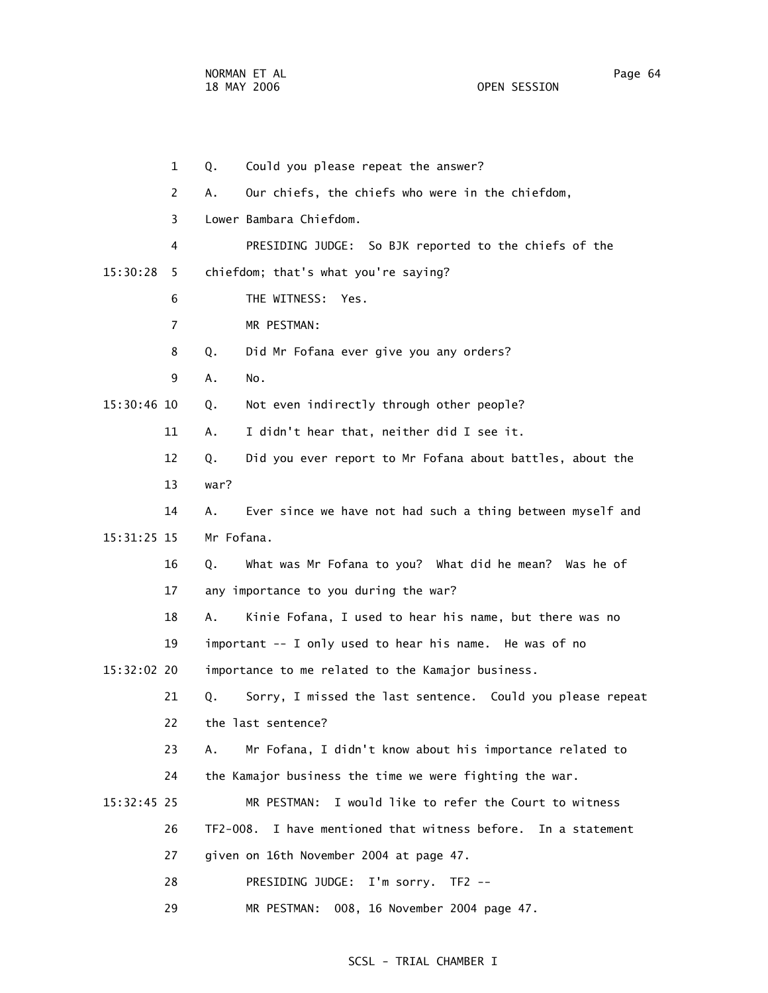1 Q. Could you please repeat the answer? 2 A. Our chiefs, the chiefs who were in the chiefdom, 3 Lower Bambara Chiefdom. 4 PRESIDING JUDGE: So BJK reported to the chiefs of the 15:30:28 5 chiefdom; that's what you're saying? 6 THE WITNESS: Yes. 7 MR PESTMAN: 8 Q. Did Mr Fofana ever give you any orders? 9 A. No. 15:30:46 10 Q. Not even indirectly through other people? 11 A. I didn't hear that, neither did I see it. 12 Q. Did you ever report to Mr Fofana about battles, about the 13 war? 14 A. Ever since we have not had such a thing between myself and 15:31:25 15 Mr Fofana. 16 Q. What was Mr Fofana to you? What did he mean? Was he of 17 any importance to you during the war? 18 A. Kinie Fofana, I used to hear his name, but there was no 19 important -- I only used to hear his name. He was of no 15:32:02 20 importance to me related to the Kamajor business. 21 Q. Sorry, I missed the last sentence. Could you please repeat 22 the last sentence? 23 A. Mr Fofana, I didn't know about his importance related to 24 the Kamajor business the time we were fighting the war. 15:32:45 25 MR PESTMAN: I would like to refer the Court to witness 26 TF2-008. I have mentioned that witness before. In a statement 27 given on 16th November 2004 at page 47. 28 PRESIDING JUDGE: I'm sorry. TF2 -- 29 MR PESTMAN: 008, 16 November 2004 page 47.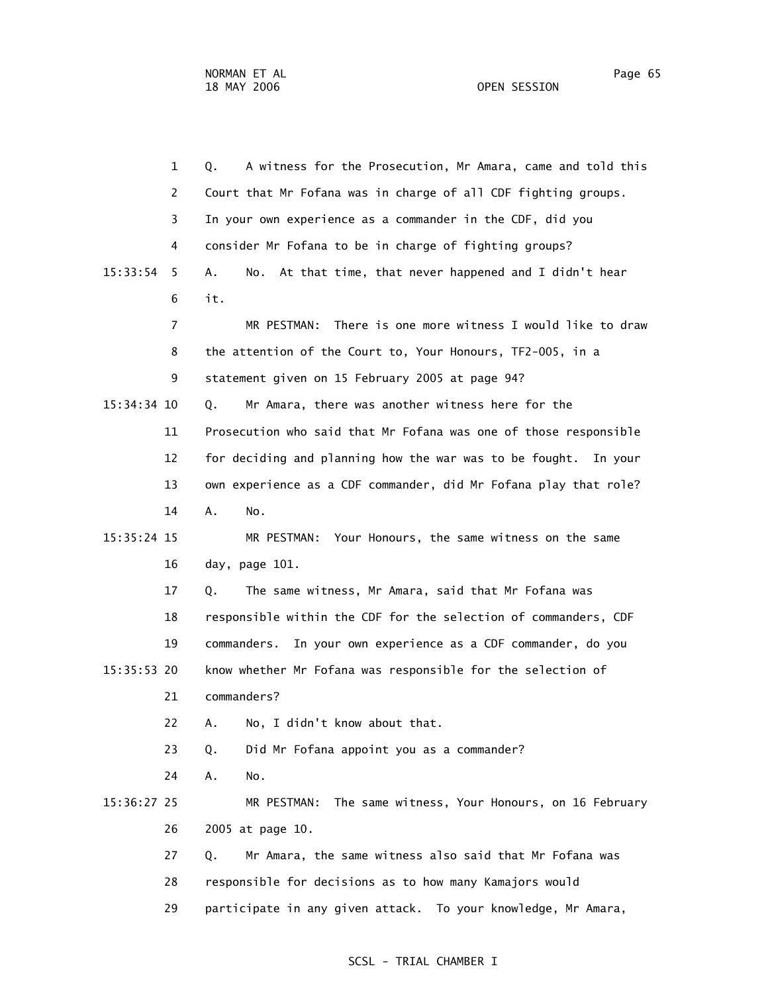1 Q. A witness for the Prosecution, Mr Amara, came and told this 2 Court that Mr Fofana was in charge of all CDF fighting groups. 3 In your own experience as a commander in the CDF, did you 4 consider Mr Fofana to be in charge of fighting groups? 15:33:54 5 A. No. At that time, that never happened and I didn't hear 6 it. 7 MR PESTMAN: There is one more witness I would like to draw 8 the attention of the Court to, Your Honours, TF2-005, in a 9 statement given on 15 February 2005 at page 94? 15:34:34 10 Q. Mr Amara, there was another witness here for the 11 Prosecution who said that Mr Fofana was one of those responsible 12 for deciding and planning how the war was to be fought. In your 13 own experience as a CDF commander, did Mr Fofana play that role? 14 A. No. 15:35:24 15 MR PESTMAN: Your Honours, the same witness on the same 16 day, page 101. 17 Q. The same witness, Mr Amara, said that Mr Fofana was 18 responsible within the CDF for the selection of commanders, CDF 19 commanders. In your own experience as a CDF commander, do you 15:35:53 20 know whether Mr Fofana was responsible for the selection of 21 commanders? 22 A. No, I didn't know about that. 23 Q. Did Mr Fofana appoint you as a commander? 24 A. No. 15:36:27 25 MR PESTMAN: The same witness, Your Honours, on 16 February 26 2005 at page 10. 27 Q. Mr Amara, the same witness also said that Mr Fofana was 28 responsible for decisions as to how many Kamajors would 29 participate in any given attack. To your knowledge, Mr Amara,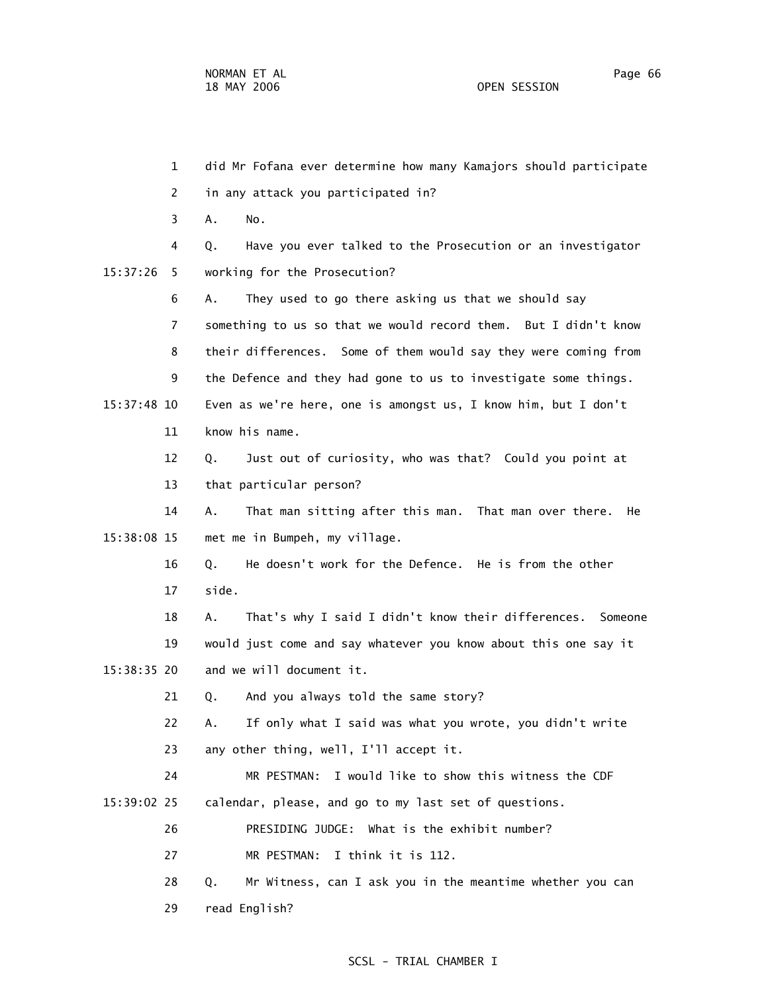1 did Mr Fofana ever determine how many Kamajors should participate 4 Q. Have you ever talked to the Prosecution or an investigator 6 A. They used to go there asking us that we should say 7 something to us so that we would record them. But I didn't know 8 their differences. Some of them would say they were coming from

 9 the Defence and they had gone to us to investigate some things. 15:37:48 10 Even as we're here, one is amongst us, I know him, but I don't 11 know his name.

> 12 Q. Just out of curiosity, who was that? Could you point at 13 that particular person?

 14 A. That man sitting after this man. That man over there. He 15:38:08 15 met me in Bumpeh, my village.

> 16 Q. He doesn't work for the Defence. He is from the other 17 side.

 18 A. That's why I said I didn't know their differences. Someone 19 would just come and say whatever you know about this one say it 15:38:35 20 and we will document it.

21 Q. And you always told the same story?

 22 A. If only what I said was what you wrote, you didn't write 23 any other thing, well, I'll accept it.

 24 MR PESTMAN: I would like to show this witness the CDF 15:39:02 25 calendar, please, and go to my last set of questions.

26 PRESIDING JUDGE: What is the exhibit number?

27 MR PESTMAN: I think it is 112.

28 Q. Mr Witness, can I ask you in the meantime whether you can

29 read English?

# SCSL - TRIAL CHAMBER I

 2 in any attack you participated in? 3 A. No.

15:37:26 5 working for the Prosecution?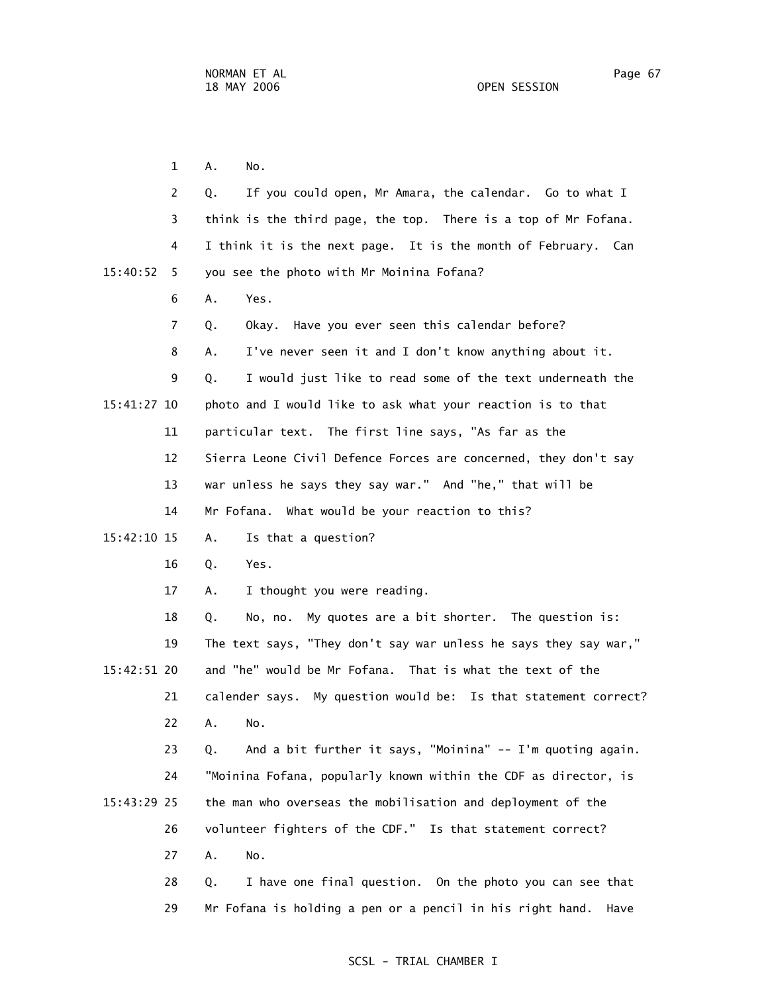1 A. No. 2 Q. If you could open, Mr Amara, the calendar. Go to what I 3 think is the third page, the top. There is a top of Mr Fofana. 4 I think it is the next page. It is the month of February. Can 15:40:52 5 you see the photo with Mr Moinina Fofana? 6 A. Yes. 7 Q. Okay. Have you ever seen this calendar before? 8 A. I've never seen it and I don't know anything about it. 9 Q. I would just like to read some of the text underneath the 15:41:27 10 photo and I would like to ask what your reaction is to that 11 particular text. The first line says, "As far as the 12 Sierra Leone Civil Defence Forces are concerned, they don't say 13 war unless he says they say war." And "he," that will be 14 Mr Fofana. What would be your reaction to this? 15:42:10 15 A. Is that a question? 16 Q. Yes. 17 A. I thought you were reading. 18 Q. No, no. My quotes are a bit shorter. The question is: 19 The text says, "They don't say war unless he says they say war," 15:42:51 20 and "he" would be Mr Fofana. That is what the text of the 21 calender says. My question would be: Is that statement correct? 22 A. No. 23 Q. And a bit further it says, "Moinina" -- I'm quoting again. 24 "Moinina Fofana, popularly known within the CDF as director, is 15:43:29 25 the man who overseas the mobilisation and deployment of the 26 volunteer fighters of the CDF." Is that statement correct? 27 A. No. 28 Q. I have one final question. On the photo you can see that

#### SCSL - TRIAL CHAMBER I

29 Mr Fofana is holding a pen or a pencil in his right hand. Have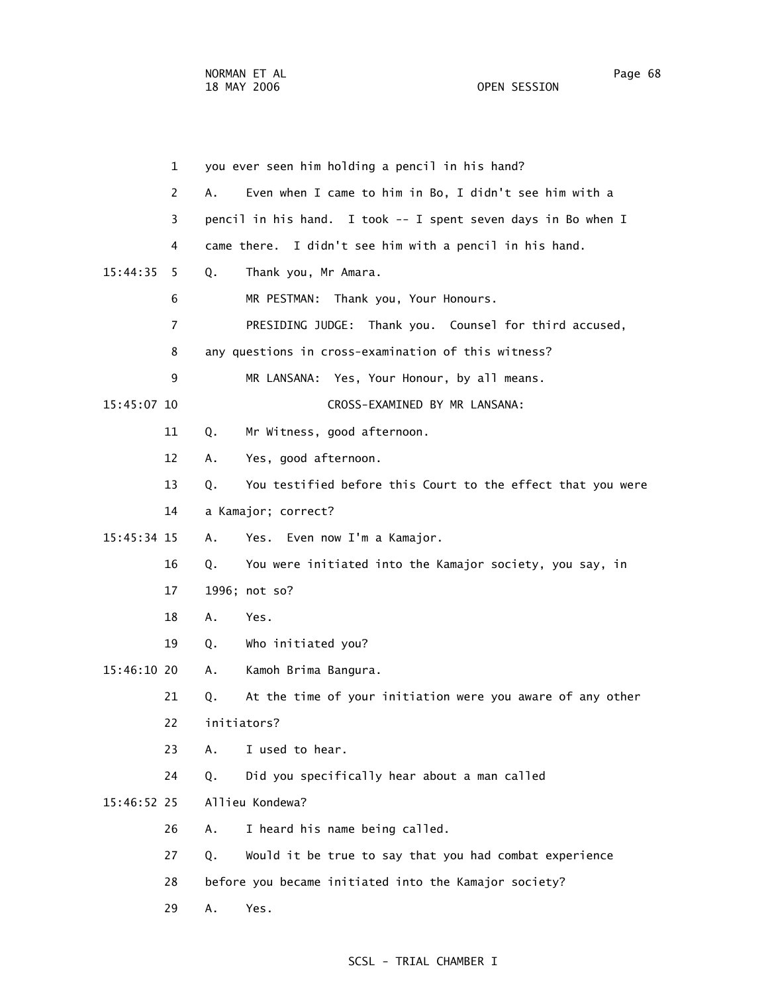1 you ever seen him holding a pencil in his hand? 2 A. Even when I came to him in Bo, I didn't see him with a 3 pencil in his hand. I took -- I spent seven days in Bo when I 4 came there. I didn't see him with a pencil in his hand. 15:44:35 5 Q. Thank you, Mr Amara. 6 MR PESTMAN: Thank you, Your Honours. 7 PRESIDING JUDGE: Thank you. Counsel for third accused, 8 any questions in cross-examination of this witness? 9 MR LANSANA: Yes, Your Honour, by all means. 15:45:07 10 CROSS-EXAMINED BY MR LANSANA: 11 Q. Mr Witness, good afternoon. 12 A. Yes, good afternoon. 13 Q. You testified before this Court to the effect that you were 14 a Kamajor; correct? 15:45:34 15 A. Yes. Even now I'm a Kamajor. 16 Q. You were initiated into the Kamajor society, you say, in 17 1996; not so? 18 A. Yes. 19 Q. Who initiated you? 15:46:10 20 A. Kamoh Brima Bangura. 21 Q. At the time of your initiation were you aware of any other 22 initiators? 23 A. I used to hear. 24 Q. Did you specifically hear about a man called 15:46:52 25 Allieu Kondewa? 26 A. I heard his name being called. 27 Q. Would it be true to say that you had combat experience 28 before you became initiated into the Kamajor society? 29 A. Yes.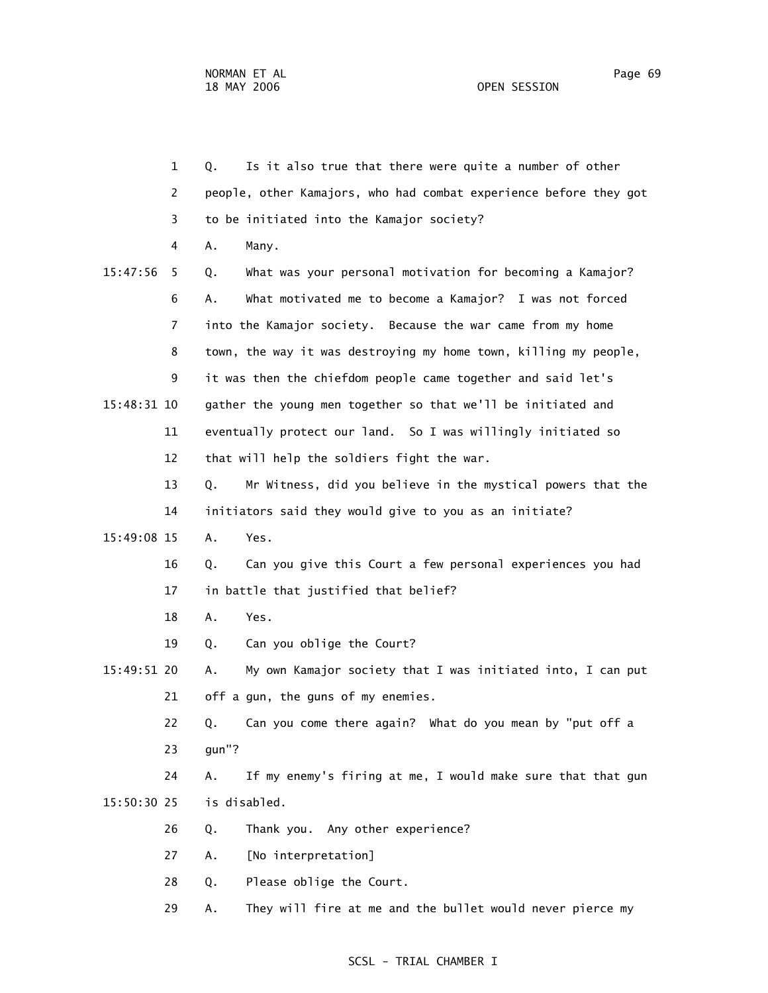1 Q. Is it also true that there were quite a number of other 2 people, other Kamajors, who had combat experience before they got 3 to be initiated into the Kamajor society? 4 A. Many. 15:47:56 5 Q. What was your personal motivation for becoming a Kamajor? 6 A. What motivated me to become a Kamajor? I was not forced 7 into the Kamajor society. Because the war came from my home 8 town, the way it was destroying my home town, killing my people, 9 it was then the chiefdom people came together and said let's 15:48:31 10 gather the young men together so that we'll be initiated and 11 eventually protect our land. So I was willingly initiated so 12 that will help the soldiers fight the war. 13 Q. Mr Witness, did you believe in the mystical powers that the 14 initiators said they would give to you as an initiate? 15:49:08 15 A. Yes. 16 Q. Can you give this Court a few personal experiences you had 17 in battle that justified that belief? 18 A. Yes. 19 Q. Can you oblige the Court? 15:49:51 20 A. My own Kamajor society that I was initiated into, I can put 21 off a gun, the guns of my enemies. 22 Q. Can you come there again? What do you mean by "put off a 23 gun"? 24 A. If my enemy's firing at me, I would make sure that that gun 15:50:30 25 is disabled. 26 Q. Thank you. Any other experience? 27 A. [No interpretation] 28 Q. Please oblige the Court. 29 A. They will fire at me and the bullet would never pierce my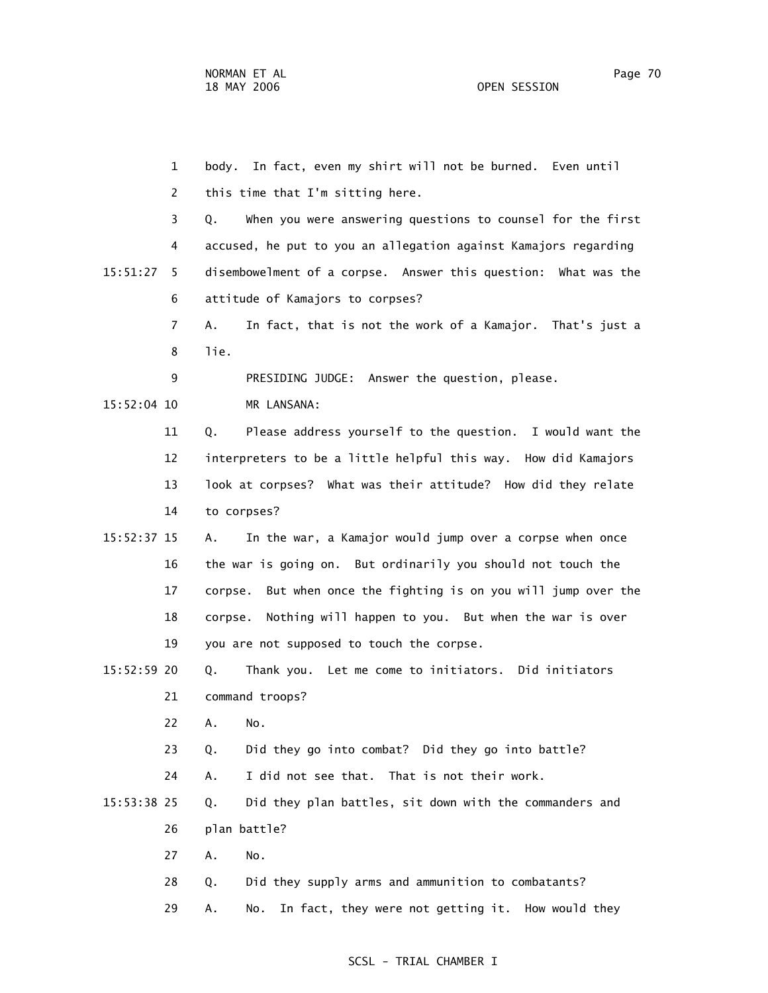|             | 1            | body. In fact, even my shirt will not be burned. Even until      |
|-------------|--------------|------------------------------------------------------------------|
|             | $\mathbf{2}$ | this time that I'm sitting here.                                 |
|             | 3            | When you were answering questions to counsel for the first<br>Q. |
|             | 4            | accused, he put to you an allegation against Kamajors regarding  |
| 15:51:27    | 5.           | disembowelment of a corpse. Answer this question: What was the   |
|             | 6            | attitude of Kamajors to corpses?                                 |
|             | 7            | In fact, that is not the work of a Kamajor. That's just a<br>Α.  |
|             | 8            | lie.                                                             |
|             | 9            | PRESIDING JUDGE: Answer the question, please.                    |
| 15:52:04 10 |              | MR LANSANA:                                                      |
|             | 11           | Please address yourself to the question. I would want the<br>Q.  |
|             | 12           | interpreters to be a little helpful this way. How did Kamajors   |
|             | 13           | look at corpses? What was their attitude? How did they relate    |
|             | 14           | to corpses?                                                      |
| 15:52:37 15 |              | In the war, a Kamajor would jump over a corpse when once<br>Α.   |
|             | 16           | the war is going on. But ordinarily you should not touch the     |
|             | 17           | corpse. But when once the fighting is on you will jump over the  |
|             | 18           | Nothing will happen to you. But when the war is over<br>corpse.  |
|             | 19           | you are not supposed to touch the corpse.                        |
| 15:52:59 20 |              | Thank you. Let me come to initiators. Did initiators<br>Q.       |
|             | 21           | command troops?                                                  |
|             | 22           | Α.<br>No.                                                        |
|             | 23           | Did they go into combat? Did they go into battle?<br>Q.          |
|             | 24           | I did not see that. That is not their work.<br>Α.                |
| 15:53:38 25 |              | Did they plan battles, sit down with the commanders and<br>Q.    |
|             | 26           | plan battle?                                                     |
|             | 27           | Α.<br>No.                                                        |
|             | 28           | Did they supply arms and ammunition to combatants?<br>Q.         |
|             | 29           | In fact, they were not getting it. How would they<br>No.<br>А.   |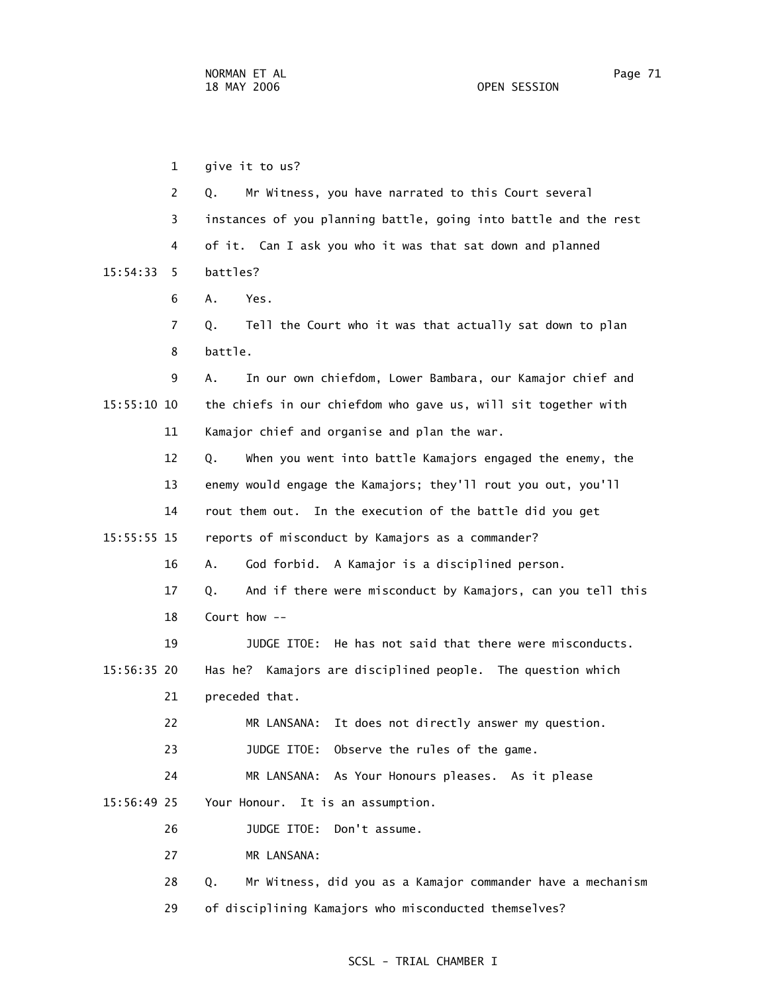1 give it to us? 2 Q. Mr Witness, you have narrated to this Court several 3 instances of you planning battle, going into battle and the rest 4 of it. Can I ask you who it was that sat down and planned 15:54:33 5 battles? 6 A. Yes. 7 Q. Tell the Court who it was that actually sat down to plan 8 battle. 9 A. In our own chiefdom, Lower Bambara, our Kamajor chief and 15:55:10 10 the chiefs in our chiefdom who gave us, will sit together with 11 Kamajor chief and organise and plan the war. 12 Q. When you went into battle Kamajors engaged the enemy, the 13 enemy would engage the Kamajors; they'll rout you out, you'll 14 rout them out. In the execution of the battle did you get 15:55:55 15 reports of misconduct by Kamajors as a commander? 16 A. God forbid. A Kamajor is a disciplined person. 17 Q. And if there were misconduct by Kamajors, can you tell this 18 Court how -- 19 JUDGE ITOE: He has not said that there were misconducts. 15:56:35 20 Has he? Kamajors are disciplined people. The question which 21 preceded that. 22 MR LANSANA: It does not directly answer my question. 23 JUDGE ITOE: Observe the rules of the game. 24 MR LANSANA: As Your Honours pleases. As it please 15:56:49 25 Your Honour. It is an assumption. 26 JUDGE ITOE: Don't assume. 27 MR LANSANA: 28 Q. Mr Witness, did you as a Kamajor commander have a mechanism

#### SCSL - TRIAL CHAMBER I

29 of disciplining Kamajors who misconducted themselves?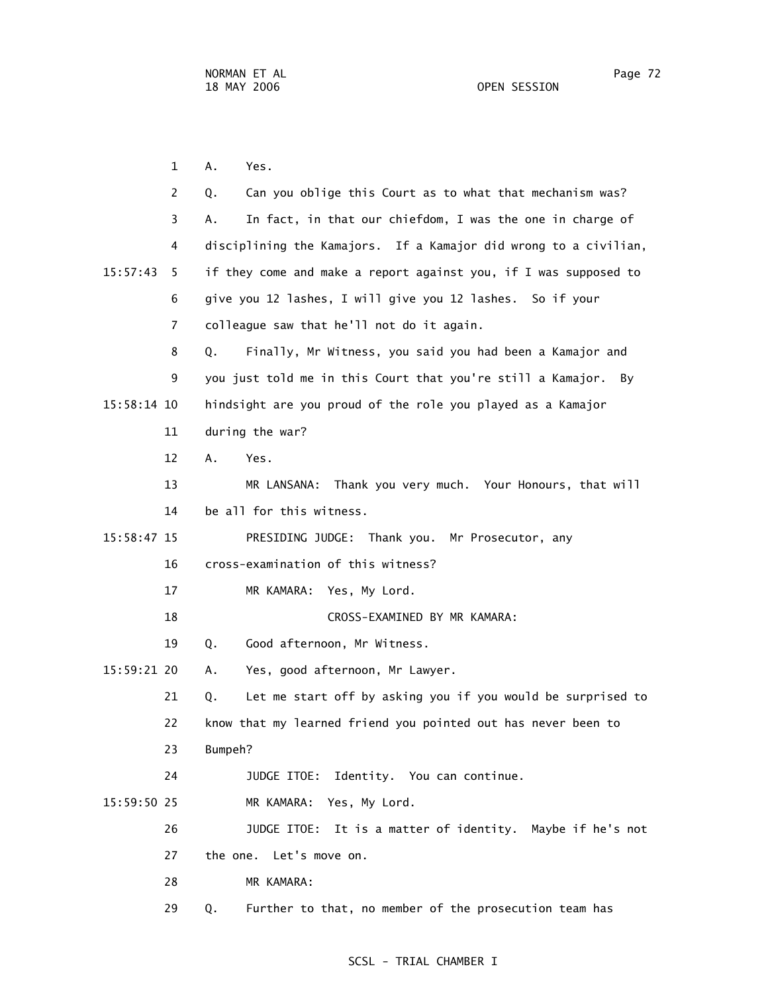1 A. Yes. 2 Q. Can you oblige this Court as to what that mechanism was? 3 A. In fact, in that our chiefdom, I was the one in charge of 4 disciplining the Kamajors. If a Kamajor did wrong to a civilian, 15:57:43 5 if they come and make a report against you, if I was supposed to 6 give you 12 lashes, I will give you 12 lashes. So if your 7 colleague saw that he'll not do it again. 8 Q. Finally, Mr Witness, you said you had been a Kamajor and 9 you just told me in this Court that you're still a Kamajor. By 15:58:14 10 hindsight are you proud of the role you played as a Kamajor 11 during the war? 12 A. Yes. 13 MR LANSANA: Thank you very much. Your Honours, that will 14 be all for this witness. 15:58:47 15 PRESIDING JUDGE: Thank you. Mr Prosecutor, any 16 cross-examination of this witness? 17 MR KAMARA: Yes, My Lord. 18 CROSS-EXAMINED BY MR KAMARA: 19 Q. Good afternoon, Mr Witness. 15:59:21 20 A. Yes, good afternoon, Mr Lawyer. 21 Q. Let me start off by asking you if you would be surprised to 22 know that my learned friend you pointed out has never been to 23 Bumpeh? 24 JUDGE ITOE: Identity. You can continue. 15:59:50 25 MR KAMARA: Yes, My Lord. 26 JUDGE ITOE: It is a matter of identity. Maybe if he's not 27 the one. Let's move on. 28 MR KAMARA: 29 Q. Further to that, no member of the prosecution team has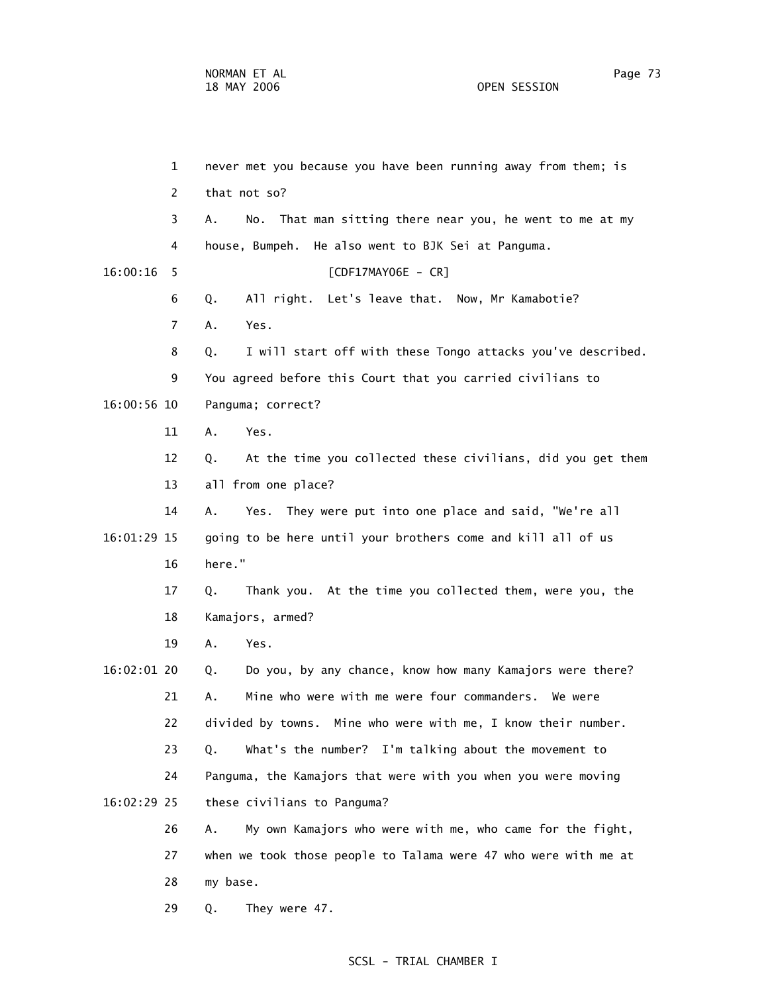1 never met you because you have been running away from them; is 2 that not so? 3 A. No. That man sitting there near you, he went to me at my 4 house, Bumpeh. He also went to BJK Sei at Panguma. 16:00:16 5 [CDF17MAY06E - CR] 6 Q. All right. Let's leave that. Now, Mr Kamabotie? 7 A. Yes. 8 Q. I will start off with these Tongo attacks you've described. 9 You agreed before this Court that you carried civilians to 16:00:56 10 Panguma; correct? 11 A. Yes. 12 Q. At the time you collected these civilians, did you get them 13 all from one place? 14 A. Yes. They were put into one place and said, "We're all 16:01:29 15 going to be here until your brothers come and kill all of us 16 here." 17 Q. Thank you. At the time you collected them, were you, the 18 Kamajors, armed? 19 A. Yes. 16:02:01 20 Q. Do you, by any chance, know how many Kamajors were there? 21 A. Mine who were with me were four commanders. We were 22 divided by towns. Mine who were with me, I know their number. 23 Q. What's the number? I'm talking about the movement to 24 Panguma, the Kamajors that were with you when you were moving 16:02:29 25 these civilians to Panguma? 26 A. My own Kamajors who were with me, who came for the fight, 27 when we took those people to Talama were 47 who were with me at 28 my base. 29 Q. They were 47.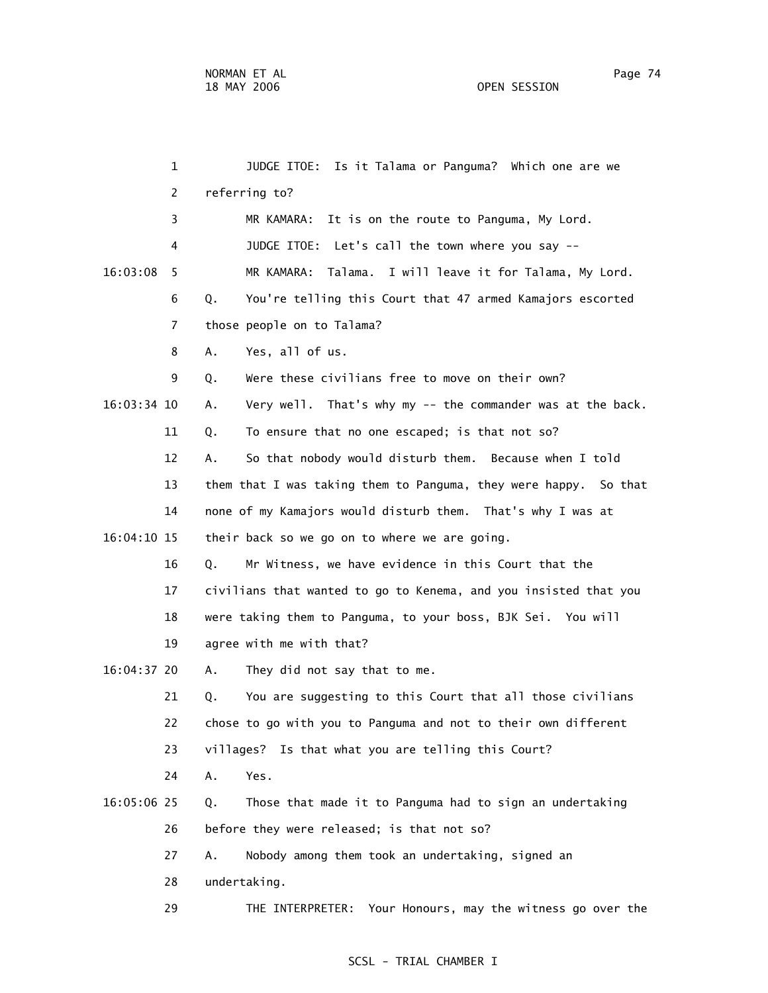|             | $\mathbf{1}$   | JUDGE ITOE:<br>Is it Talama or Panguma? Which one are we         |
|-------------|----------------|------------------------------------------------------------------|
|             | 2              | referring to?                                                    |
|             | 3              | It is on the route to Panguma, My Lord.<br>MR KAMARA:            |
|             | 4              | JUDGE ITOE: Let's call the town where you say --                 |
| 16:03:08    | 5              | MR KAMARA: Talama. I will leave it for Talama, My Lord.          |
|             | 6              | You're telling this Court that 47 armed Kamajors escorted<br>Q.  |
|             | $\overline{7}$ | those people on to Talama?                                       |
|             | 8              | Yes, all of us.<br>Α.                                            |
|             | 9              | Were these civilians free to move on their own?<br>Q.            |
| 16:03:34 10 |                | Very well. That's why my -- the commander was at the back.<br>Α. |
|             | 11             | To ensure that no one escaped; is that not so?<br>Q.             |
|             | 12             | So that nobody would disturb them. Because when I told<br>А.     |
|             | 13             | them that I was taking them to Panguma, they were happy. So that |
|             | 14             | none of my Kamajors would disturb them. That's why I was at      |
| 16:04:10 15 |                | their back so we go on to where we are going.                    |
|             | 16             | Mr Witness, we have evidence in this Court that the<br>Q.        |
|             | 17             | civilians that wanted to go to Kenema, and you insisted that you |
|             | 18             | were taking them to Panguma, to your boss, BJK Sei. You will     |
|             | 19             | agree with me with that?                                         |
| 16:04:37 20 |                | They did not say that to me.<br>Α.                               |
|             | 21             | You are suggesting to this Court that all those civilians<br>Q.  |
|             | 22             | chose to go with you to Panguma and not to their own different   |
|             | 23             | villages? Is that what you are telling this Court?               |
|             | 24             | Yes.<br>Α.                                                       |
| 16:05:06 25 |                | Those that made it to Panguma had to sign an undertaking<br>Q.   |
|             | 26             | before they were released; is that not so?                       |
|             | 27             | Nobody among them took an undertaking, signed an<br>Α.           |
|             | 28             | undertaking.                                                     |
|             | 29             | THE INTERPRETER: Your Honours, may the witness go over the       |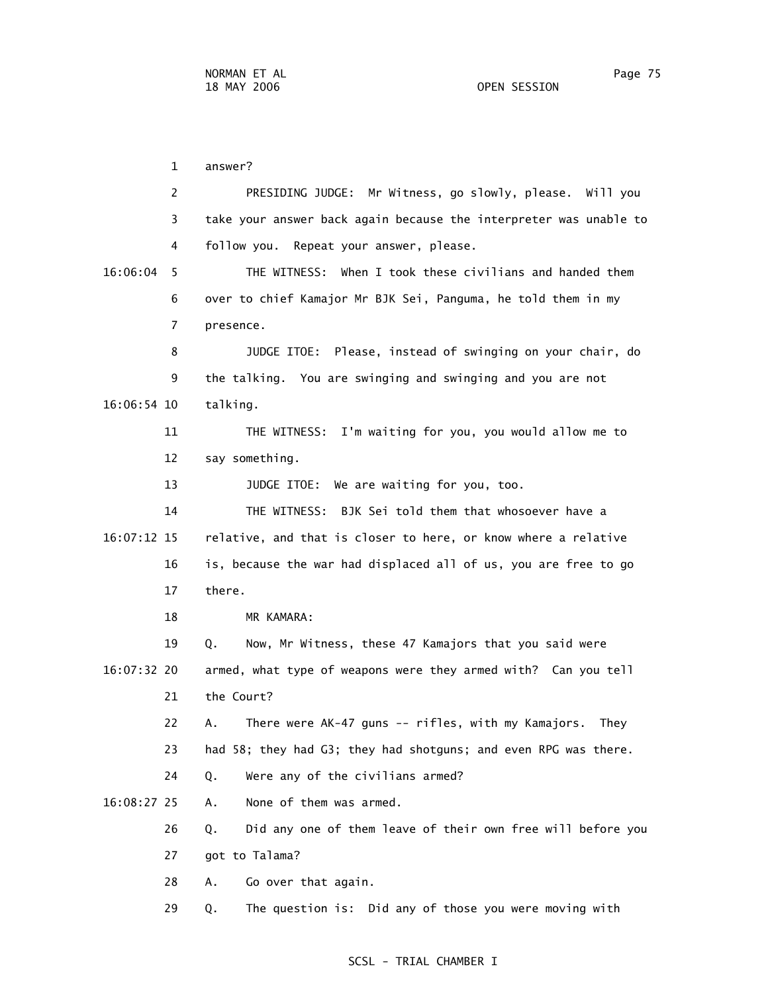1 answer? 2 PRESIDING JUDGE: Mr Witness, go slowly, please. Will you 3 take your answer back again because the interpreter was unable to 4 follow you. Repeat your answer, please. 16:06:04 5 THE WITNESS: When I took these civilians and handed them 6 over to chief Kamajor Mr BJK Sei, Panguma, he told them in my 7 presence. 8 JUDGE ITOE: Please, instead of swinging on your chair, do 9 the talking. You are swinging and swinging and you are not 16:06:54 10 talking. 11 THE WITNESS: I'm waiting for you, you would allow me to 12 say something. 13 **JUDGE ITOE:** We are waiting for you, too. 14 THE WITNESS: BJK Sei told them that whosoever have a 16:07:12 15 relative, and that is closer to here, or know where a relative 16 is, because the war had displaced all of us, you are free to go 17 there. 18 MR KAMARA: 19 Q. Now, Mr Witness, these 47 Kamajors that you said were 16:07:32 20 armed, what type of weapons were they armed with? Can you tell 21 the Court? 22 A. There were AK-47 guns -- rifles, with my Kamajors. They 23 had 58; they had G3; they had shotguns; and even RPG was there. 24 Q. Were any of the civilians armed? 16:08:27 25 A. None of them was armed. 26 Q. Did any one of them leave of their own free will before you 27 got to Talama? 28 A. Go over that again.

29 Q. The question is: Did any of those you were moving with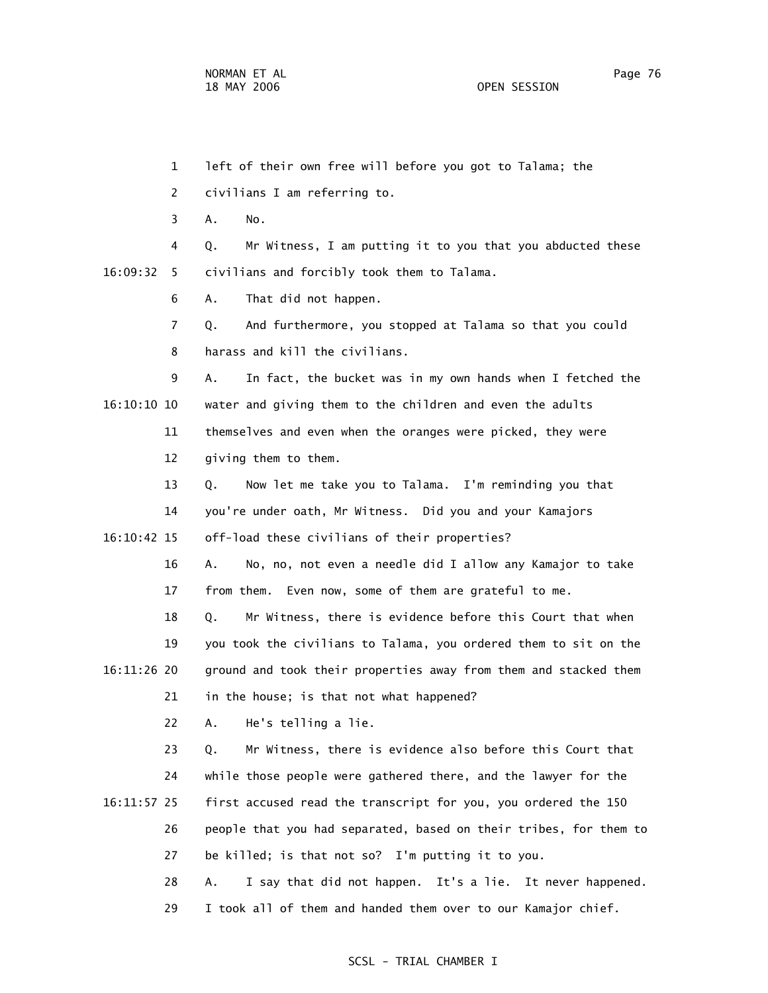1 left of their own free will before you got to Talama; the 2 civilians I am referring to. 3 A. No. 4 Q. Mr Witness, I am putting it to you that you abducted these 16:09:32 5 civilians and forcibly took them to Talama. 6 A. That did not happen. 7 Q. And furthermore, you stopped at Talama so that you could 8 harass and kill the civilians. 9 A. In fact, the bucket was in my own hands when I fetched the 16:10:10 10 water and giving them to the children and even the adults 11 themselves and even when the oranges were picked, they were 12 giving them to them. 13 Q. Now let me take you to Talama. I'm reminding you that 14 you're under oath, Mr Witness. Did you and your Kamajors 16:10:42 15 off-load these civilians of their properties? 16 A. No, no, not even a needle did I allow any Kamajor to take 17 from them. Even now, some of them are grateful to me. 18 Q. Mr Witness, there is evidence before this Court that when 19 you took the civilians to Talama, you ordered them to sit on the 16:11:26 20 ground and took their properties away from them and stacked them 21 in the house; is that not what happened? 22 A. He's telling a lie. 23 Q. Mr Witness, there is evidence also before this Court that 24 while those people were gathered there, and the lawyer for the 16:11:57 25 first accused read the transcript for you, you ordered the 150 26 people that you had separated, based on their tribes, for them to 27 be killed; is that not so? I'm putting it to you. 28 A. I say that did not happen. It's a lie. It never happened. 29 I took all of them and handed them over to our Kamajor chief.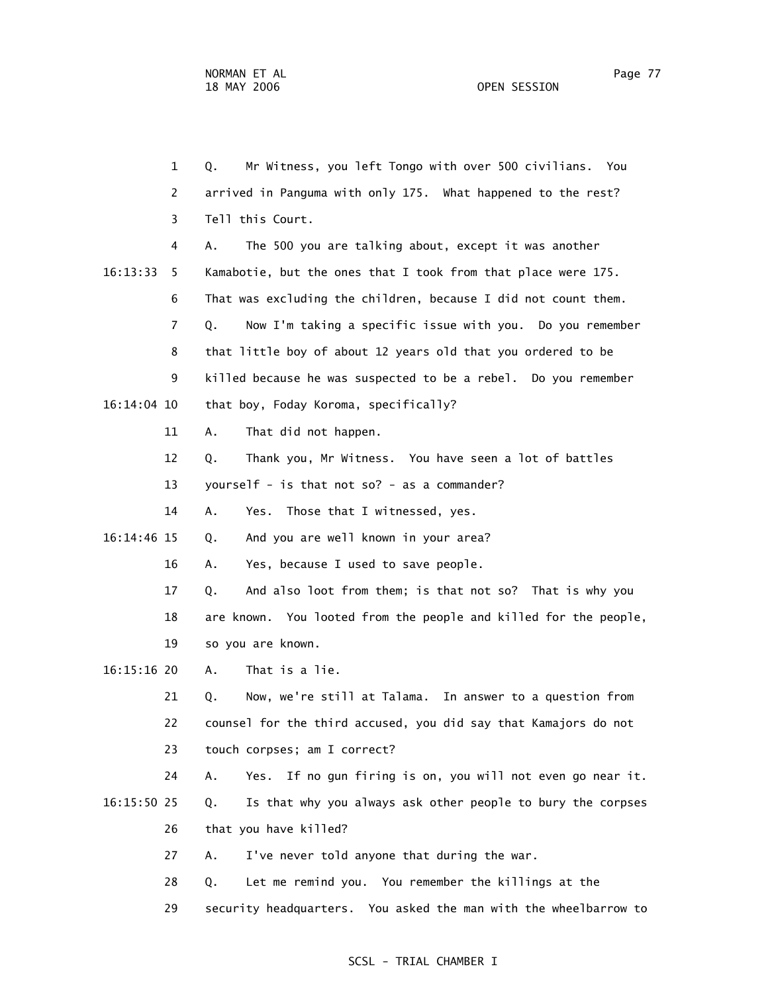1 Q. Mr Witness, you left Tongo with over 500 civilians. You 2 arrived in Panguma with only 175. What happened to the rest? 3 Tell this Court. 4 A. The 500 you are talking about, except it was another 16:13:33 5 Kamabotie, but the ones that I took from that place were 175. 6 That was excluding the children, because I did not count them. 7 Q. Now I'm taking a specific issue with you. Do you remember 8 that little boy of about 12 years old that you ordered to be 9 killed because he was suspected to be a rebel. Do you remember 16:14:04 10 that boy, Foday Koroma, specifically? 11 A. That did not happen. 12 Q. Thank you, Mr Witness. You have seen a lot of battles 13 yourself - is that not so? - as a commander?

14 A. Yes. Those that I witnessed, yes.

16:14:46 15 Q. And you are well known in your area?

16 A. Yes, because I used to save people.

17 Q. And also loot from them; is that not so? That is why you

18 are known. You looted from the people and killed for the people,

19 so you are known.

16:15:16 20 A. That is a lie.

 21 Q. Now, we're still at Talama. In answer to a question from 22 counsel for the third accused, you did say that Kamajors do not 23 touch corpses; am I correct?

 24 A. Yes. If no gun firing is on, you will not even go near it. 16:15:50 25 Q. Is that why you always ask other people to bury the corpses 26 that you have killed?

27 A. I've never told anyone that during the war.

28 Q. Let me remind you. You remember the killings at the

29 security headquarters. You asked the man with the wheelbarrow to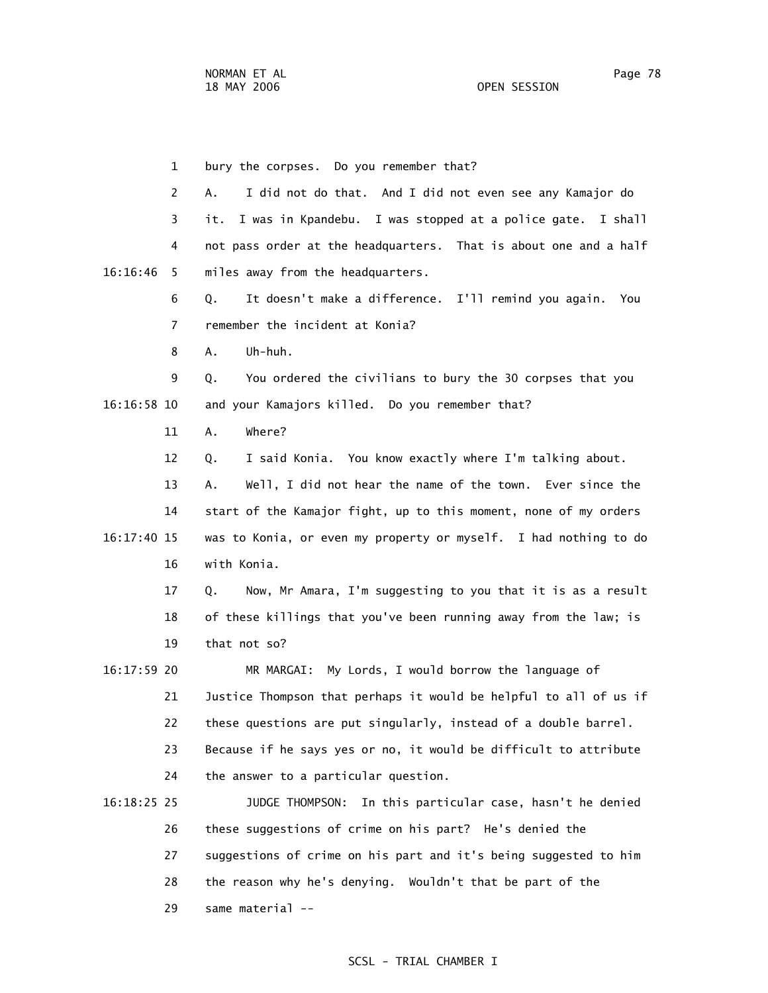29 same material --

 1 bury the corpses. Do you remember that? 2 A. I did not do that. And I did not even see any Kamajor do 3 it. I was in Kpandebu. I was stopped at a police gate. I shall 4 not pass order at the headquarters. That is about one and a half 16:16:46 5 miles away from the headquarters. 6 Q. It doesn't make a difference. I'll remind you again. You 7 remember the incident at Konia? 8 A. Uh-huh. 9 Q. You ordered the civilians to bury the 30 corpses that you 16:16:58 10 and your Kamajors killed. Do you remember that? 11 A. Where? 12 Q. I said Konia. You know exactly where I'm talking about. 13 A. Well, I did not hear the name of the town. Ever since the 14 start of the Kamajor fight, up to this moment, none of my orders 16:17:40 15 was to Konia, or even my property or myself. I had nothing to do 16 with Konia. 17 Q. Now, Mr Amara, I'm suggesting to you that it is as a result 18 of these killings that you've been running away from the law; is 19 that not so? 16:17:59 20 MR MARGAI: My Lords, I would borrow the language of 21 Justice Thompson that perhaps it would be helpful to all of us if 22 these questions are put singularly, instead of a double barrel. 23 Because if he says yes or no, it would be difficult to attribute 24 the answer to a particular question. 16:18:25 25 JUDGE THOMPSON: In this particular case, hasn't he denied 26 these suggestions of crime on his part? He's denied the 27 suggestions of crime on his part and it's being suggested to him 28 the reason why he's denying. Wouldn't that be part of the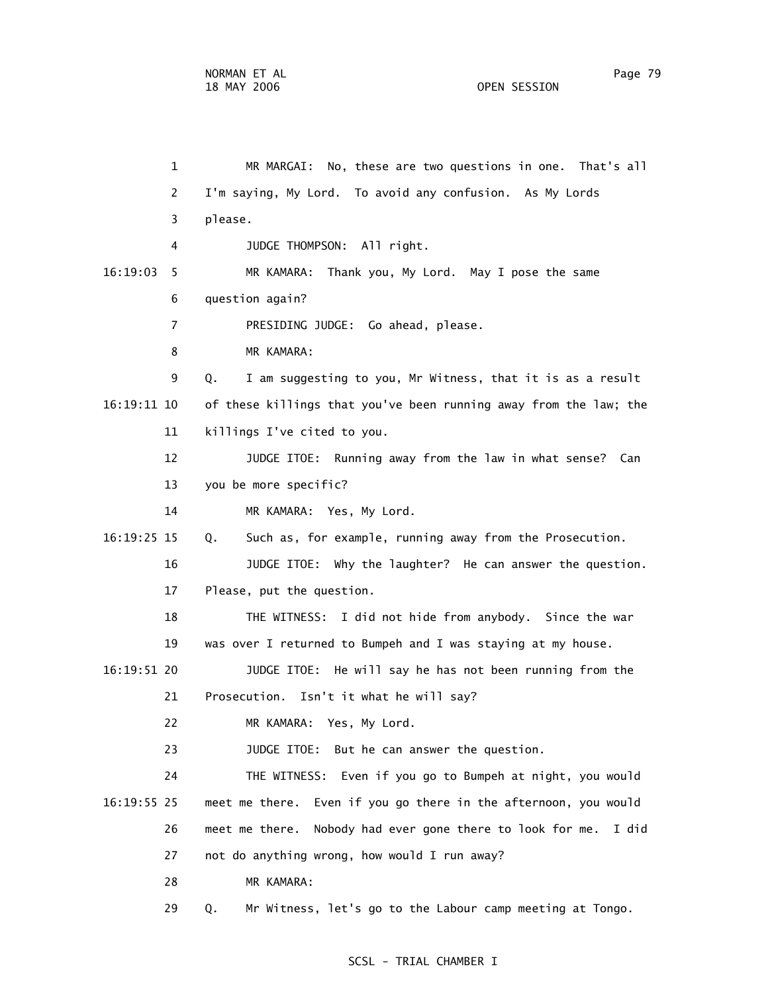1 MR MARGAI: No, these are two questions in one. That's all 2 I'm saying, My Lord. To avoid any confusion. As My Lords 3 please. 4 JUDGE THOMPSON: All right. 16:19:03 5 MR KAMARA: Thank you, My Lord. May I pose the same 6 question again? 7 PRESIDING JUDGE: Go ahead, please. 8 MR KAMARA: 9 Q. I am suggesting to you, Mr Witness, that it is as a result 16:19:11 10 of these killings that you've been running away from the law; the 11 killings I've cited to you. 12 JUDGE ITOE: Running away from the law in what sense? Can 13 you be more specific? 14 MR KAMARA: Yes, My Lord. 16:19:25 15 Q. Such as, for example, running away from the Prosecution. 16 JUDGE ITOE: Why the laughter? He can answer the question. 17 Please, put the question. 18 THE WITNESS: I did not hide from anybody. Since the war 19 was over I returned to Bumpeh and I was staying at my house. 16:19:51 20 JUDGE ITOE: He will say he has not been running from the 21 Prosecution. Isn't it what he will say? 22 MR KAMARA: Yes, My Lord. 23 JUDGE ITOE: But he can answer the question. 24 THE WITNESS: Even if you go to Bumpeh at night, you would 16:19:55 25 meet me there. Even if you go there in the afternoon, you would 26 meet me there. Nobody had ever gone there to look for me. I did 27 not do anything wrong, how would I run away? 28 MR KAMARA: 29 Q. Mr Witness, let's go to the Labour camp meeting at Tongo.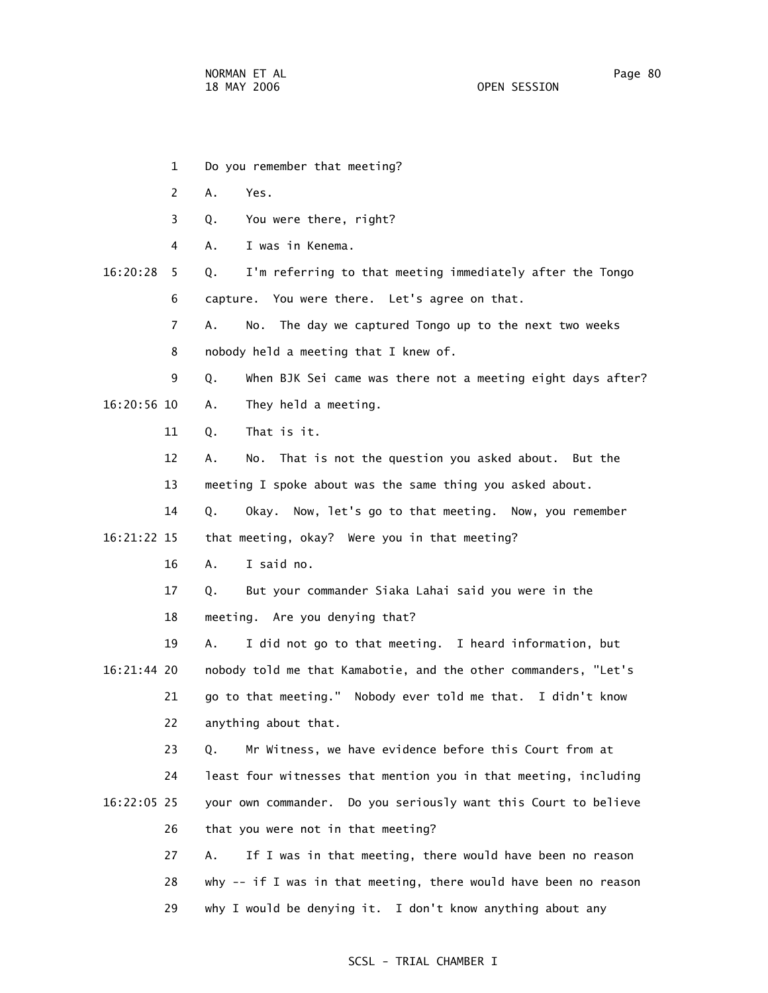- 1 Do you remember that meeting?
- 2 A. Yes.
- 3 Q. You were there, right?
- 4 A. I was in Kenema.
- 16:20:28 5 Q. I'm referring to that meeting immediately after the Tongo 6 capture. You were there. Let's agree on that.
	- 7 A. No. The day we captured Tongo up to the next two weeks
	- 8 nobody held a meeting that I knew of.
- 9 Q. When BJK Sei came was there not a meeting eight days after? 16:20:56 10 A. They held a meeting.
	- 11 Q. That is it.
	- 12 A. No. That is not the question you asked about. But the 13 meeting I spoke about was the same thing you asked about.
	- 14 Q. Okay. Now, let's go to that meeting. Now, you remember
- 16:21:22 15 that meeting, okay? Were you in that meeting?
	- 16 A. I said no.
	- 17 Q. But your commander Siaka Lahai said you were in the
	- 18 meeting. Are you denying that?
- 19 A. I did not go to that meeting. I heard information, but 16:21:44 20 nobody told me that Kamabotie, and the other commanders, "Let's 21 go to that meeting." Nobody ever told me that. I didn't know 22 anything about that.
	- 23 Q. Mr Witness, we have evidence before this Court from at
- 24 least four witnesses that mention you in that meeting, including 16:22:05 25 your own commander. Do you seriously want this Court to believe 26 that you were not in that meeting?
	- 27 A. If I was in that meeting, there would have been no reason 28 why -- if I was in that meeting, there would have been no reason 29 why I would be denying it. I don't know anything about any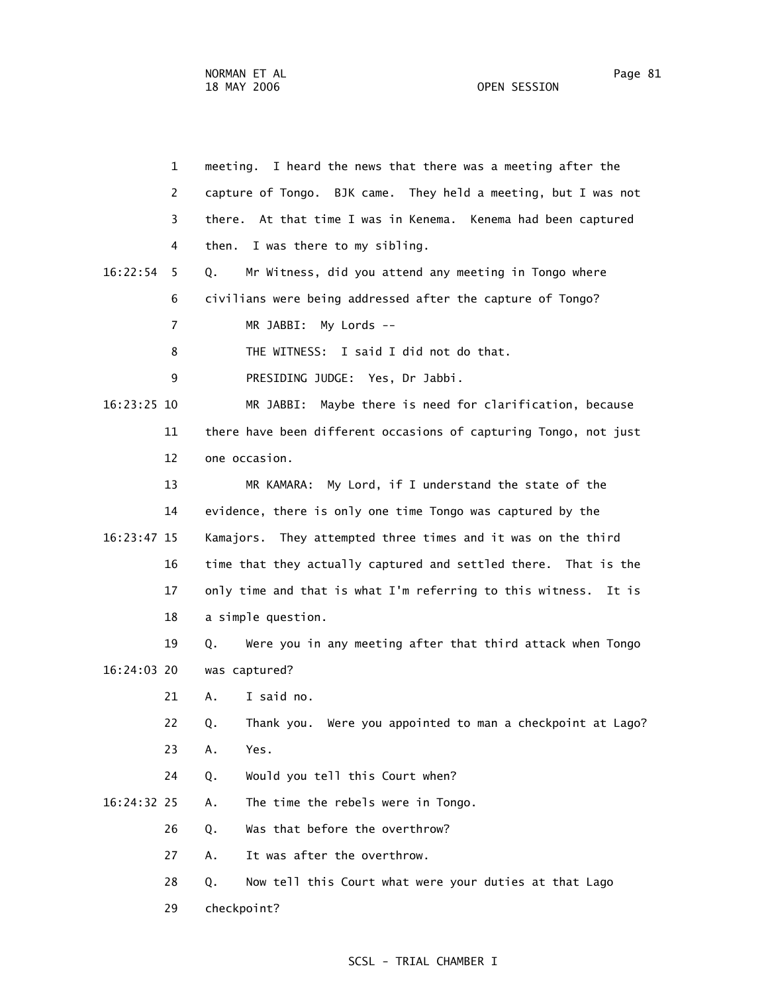29 checkpoint?

 1 meeting. I heard the news that there was a meeting after the 2 capture of Tongo. BJK came. They held a meeting, but I was not 3 there. At that time I was in Kenema. Kenema had been captured 4 then. I was there to my sibling. 16:22:54 5 Q. Mr Witness, did you attend any meeting in Tongo where 6 civilians were being addressed after the capture of Tongo? 7 MR JABBI: My Lords -- 8 THE WITNESS: I said I did not do that. 9 PRESIDING JUDGE: Yes, Dr Jabbi. 16:23:25 10 MR JABBI: Maybe there is need for clarification, because 11 there have been different occasions of capturing Tongo, not just 12 one occasion. 13 MR KAMARA: My Lord, if I understand the state of the 14 evidence, there is only one time Tongo was captured by the 16:23:47 15 Kamajors. They attempted three times and it was on the third 16 time that they actually captured and settled there. That is the 17 only time and that is what I'm referring to this witness. It is 18 a simple question. 19 Q. Were you in any meeting after that third attack when Tongo 16:24:03 20 was captured? 21 A. I said no. 22 Q. Thank you. Were you appointed to man a checkpoint at Lago? 23 A. Yes. 24 Q. Would you tell this Court when? 16:24:32 25 A. The time the rebels were in Tongo. 26 Q. Was that before the overthrow? 27 A. It was after the overthrow. 28 Q. Now tell this Court what were your duties at that Lago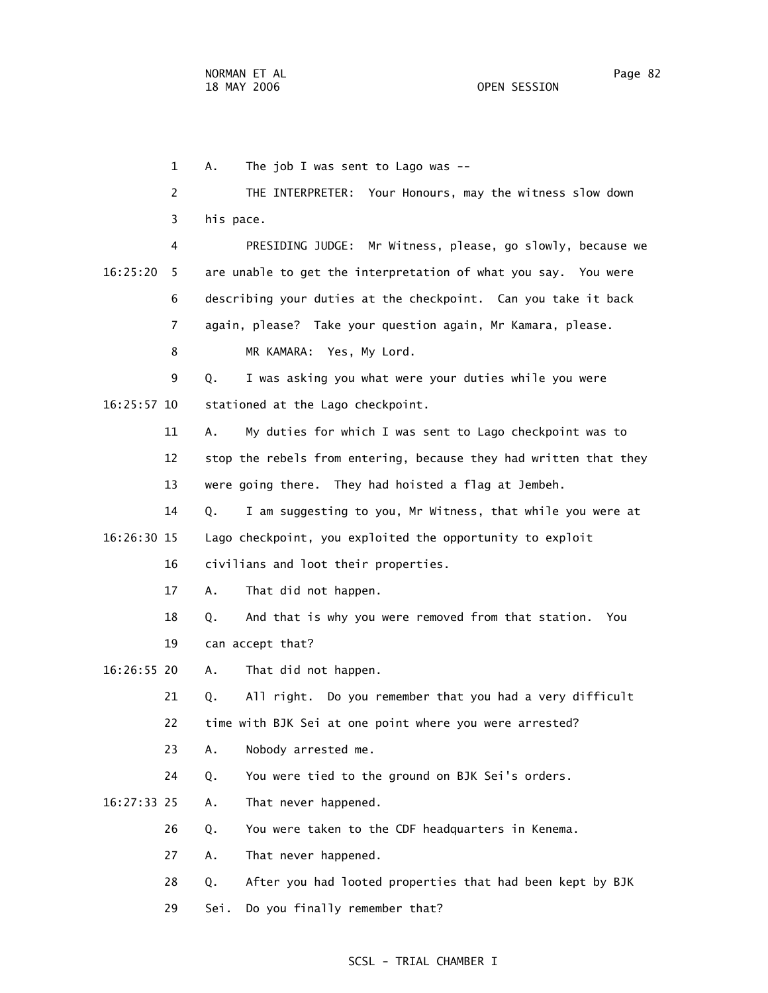1 A. The job I was sent to Lago was -- 2 THE INTERPRETER: Your Honours, may the witness slow down 3 his pace. 4 PRESIDING JUDGE: Mr Witness, please, go slowly, because we 16:25:20 5 are unable to get the interpretation of what you say. You were 6 describing your duties at the checkpoint. Can you take it back 7 again, please? Take your question again, Mr Kamara, please. 8 MR KAMARA: Yes, My Lord. 9 Q. I was asking you what were your duties while you were 16:25:57 10 stationed at the Lago checkpoint. 11 A. My duties for which I was sent to Lago checkpoint was to 12 stop the rebels from entering, because they had written that they 13 were going there. They had hoisted a flag at Jembeh. 14 Q. I am suggesting to you, Mr Witness, that while you were at 16:26:30 15 Lago checkpoint, you exploited the opportunity to exploit 16 civilians and loot their properties. 17 A. That did not happen. 18 Q. And that is why you were removed from that station. You 19 can accept that? 16:26:55 20 A. That did not happen. 21 Q. All right. Do you remember that you had a very difficult 22 time with BJK Sei at one point where you were arrested? 23 A. Nobody arrested me. 24 Q. You were tied to the ground on BJK Sei's orders. 16:27:33 25 A. That never happened. 26 Q. You were taken to the CDF headquarters in Kenema. 27 A. That never happened. 28 Q. After you had looted properties that had been kept by BJK 29 Sei. Do you finally remember that?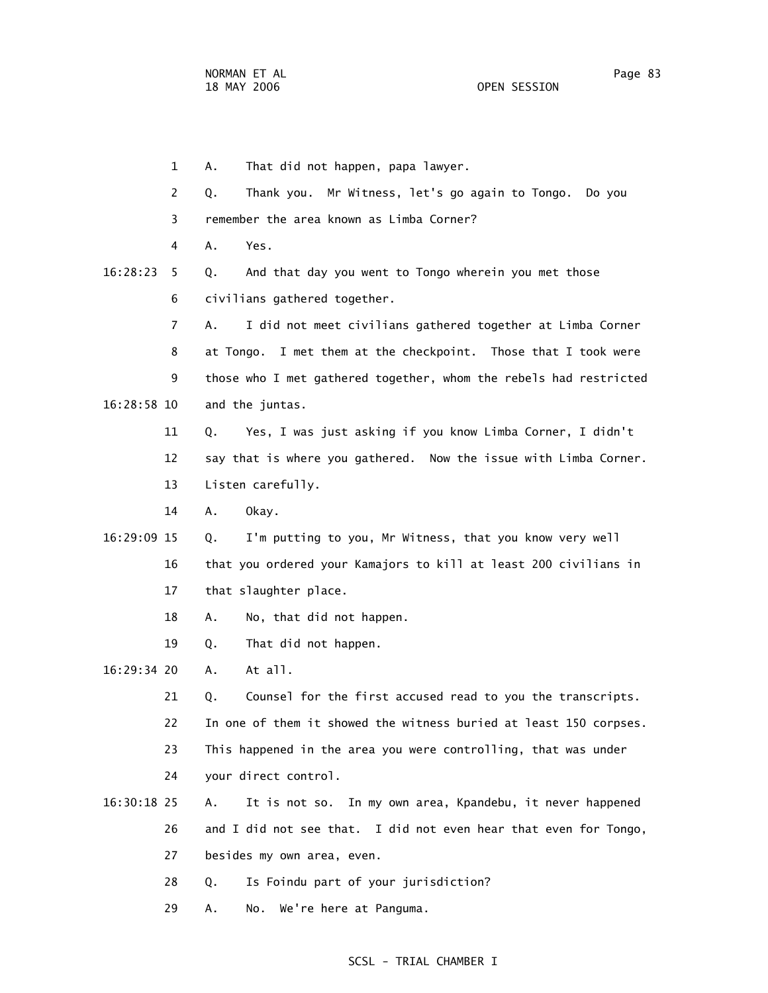|             | $\mathbf 1$ | That did not happen, papa lawyer.<br>Α.                           |
|-------------|-------------|-------------------------------------------------------------------|
|             | 2           | Thank you. Mr Witness, let's go again to Tongo.<br>Q.<br>Do you   |
|             | 3           | remember the area known as Limba Corner?                          |
|             | 4           | Α.<br>Yes.                                                        |
| 16:28:23    | 5           | And that day you went to Tongo wherein you met those<br>Q.        |
|             | 6           | civilians gathered together.                                      |
|             | 7           | I did not meet civilians gathered together at Limba Corner<br>A.  |
|             | 8           | at Tongo. I met them at the checkpoint. Those that I took were    |
|             | 9           | those who I met gathered together, whom the rebels had restricted |
| 16:28:58 10 |             | and the juntas.                                                   |
|             | 11          | Yes, I was just asking if you know Limba Corner, I didn't<br>Q.   |
|             | 12          | say that is where you gathered. Now the issue with Limba Corner.  |
|             | 13          | Listen carefully.                                                 |
|             | 14          | Α.<br>Okay.                                                       |
| 16:29:09 15 |             | I'm putting to you, Mr Witness, that you know very well<br>Q.     |
|             | 16          | that you ordered your Kamajors to kill at least 200 civilians in  |
|             | 17          | that slaughter place.                                             |
|             | 18          | No, that did not happen.<br>Α.                                    |
|             | 19          | That did not happen.<br>Q.                                        |
| 16:29:34 20 |             | At all.<br>Α.                                                     |
|             | 21          | Counsel for the first accused read to you the transcripts.<br>Q.  |
|             | 22          | In one of them it showed the witness buried at least 150 corpses. |
|             | 23          | This happened in the area you were controlling, that was under    |
|             | 24          | your direct control.                                              |
| 16:30:18 25 |             | It is not so. In my own area, Kpandebu, it never happened<br>Α.   |
|             | 26          | and I did not see that. I did not even hear that even for Tongo,  |
|             | 27          | besides my own area, even.                                        |
|             | 28          | Is Foindu part of your jurisdiction?<br>Q.                        |
|             |             |                                                                   |

29 A. No. We're here at Panguma.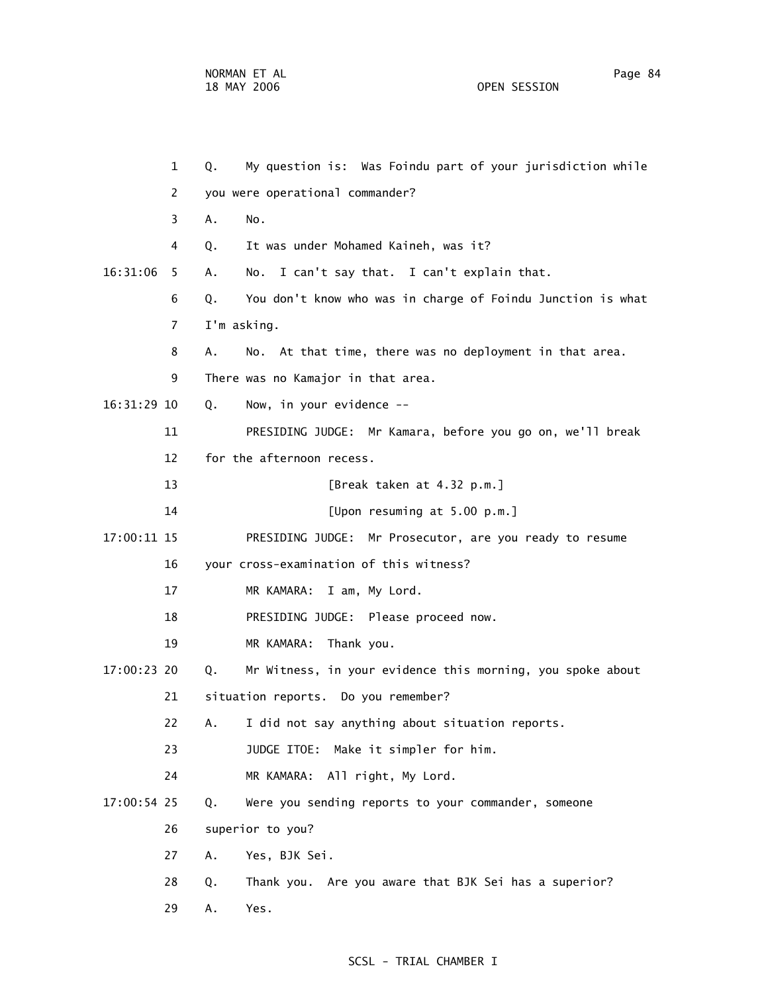|             | $\mathbf{1}$   | Q.          | My question is: Was Foindu part of your jurisdiction while  |
|-------------|----------------|-------------|-------------------------------------------------------------|
|             | 2              |             | you were operational commander?                             |
|             | 3              | Α.          | No.                                                         |
|             | 4              | Q.          | It was under Mohamed Kaineh, was it?                        |
| 16:31:06    | 5              | Α.          | I can't say that. I can't explain that.<br>No.              |
|             | 6              | Q.          | You don't know who was in charge of Foindu Junction is what |
|             | $\overline{7}$ | I'm asking. |                                                             |
|             | 8              | А.          | No. At that time, there was no deployment in that area.     |
|             | 9              |             | There was no Kamajor in that area.                          |
| 16:31:29 10 |                | Q.          | Now, in your evidence --                                    |
|             | 11             |             | PRESIDING JUDGE: Mr Kamara, before you go on, we'll break   |
|             | 12             |             | for the afternoon recess.                                   |
|             | 13             |             | [Break taken at 4.32 p.m.]                                  |
|             | 14             |             | [Upon resuming at 5.00 p.m.]                                |
| 17:00:11 15 |                |             | PRESIDING JUDGE: Mr Prosecutor, are you ready to resume     |
|             | 16             |             | your cross-examination of this witness?                     |
|             | 17             |             | MR KAMARA: I am, My Lord.                                   |
|             | 18             |             | PRESIDING JUDGE: Please proceed now.                        |
|             | 19             |             | MR KAMARA:<br>Thank you.                                    |
| 17:00:23 20 |                | Q.          | Mr Witness, in your evidence this morning, you spoke about  |
|             | 21             |             | situation reports. Do you remember?                         |
|             | 22.            |             | A. I did not say anything about situation reports.          |
|             | 23             |             | JUDGE ITOE: Make it simpler for him.                        |
|             | 24             |             | MR KAMARA: All right, My Lord.                              |
| 17:00:54 25 |                | Q.          | Were you sending reports to your commander, someone         |
|             | 26             |             | superior to you?                                            |
|             | 27             | Α.          | Yes, BJK Sei.                                               |
|             | 28             | Q.          | Thank you. Are you aware that BJK Sei has a superior?       |
|             | 29             | Α.          | Yes.                                                        |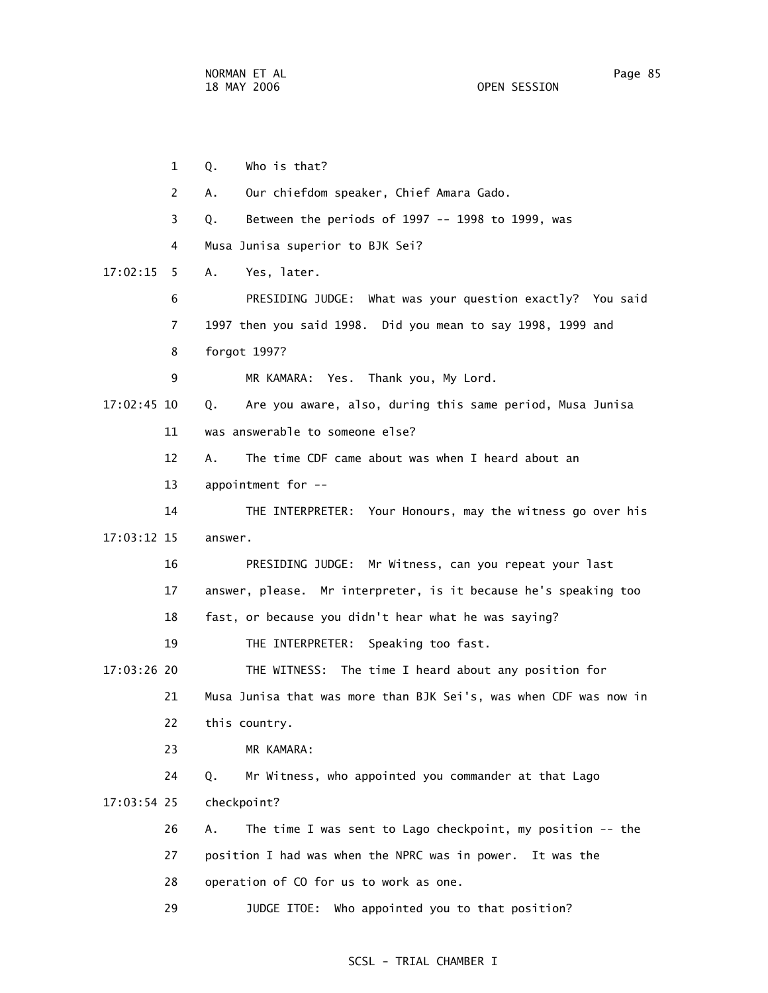1 Q. Who is that? 2 A. Our chiefdom speaker, Chief Amara Gado. 3 Q. Between the periods of 1997 -- 1998 to 1999, was 4 Musa Junisa superior to BJK Sei? 17:02:15 5 A. Yes, later. 6 PRESIDING JUDGE: What was your question exactly? You said 7 1997 then you said 1998. Did you mean to say 1998, 1999 and 8 forgot 1997? 9 MR KAMARA: Yes. Thank you, My Lord. 17:02:45 10 Q. Are you aware, also, during this same period, Musa Junisa 11 was answerable to someone else? 12 A. The time CDF came about was when I heard about an 13 appointment for -- 14 THE INTERPRETER: Your Honours, may the witness go over his 17:03:12 15 answer. 16 PRESIDING JUDGE: Mr Witness, can you repeat your last 17 answer, please. Mr interpreter, is it because he's speaking too 18 fast, or because you didn't hear what he was saying? 19 THE INTERPRETER: Speaking too fast. 17:03:26 20 THE WITNESS: The time I heard about any position for 21 Musa Junisa that was more than BJK Sei's, was when CDF was now in 22 this country. 23 MR KAMARA: 24 Q. Mr Witness, who appointed you commander at that Lago 17:03:54 25 checkpoint? 26 A. The time I was sent to Lago checkpoint, my position -- the 27 position I had was when the NPRC was in power. It was the 28 operation of CO for us to work as one. 29 JUDGE ITOE: Who appointed you to that position?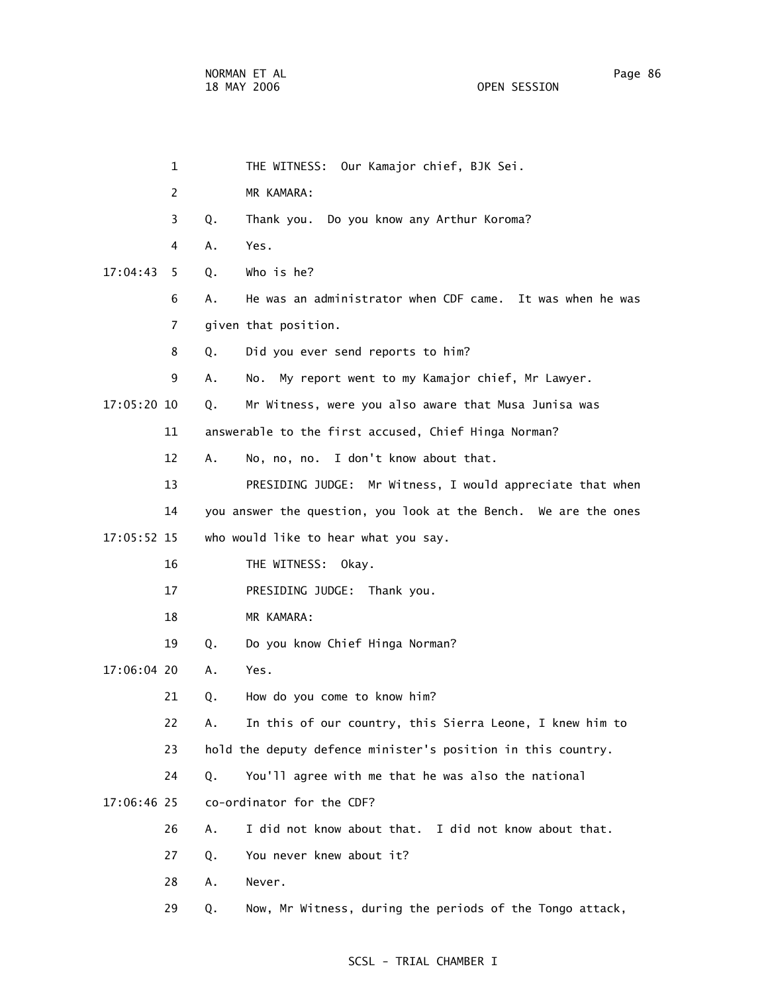| $\mathbf 1$    | THE WITNESS: Our Kamajor chief, BJK Sei.                        |
|----------------|-----------------------------------------------------------------|
| $\overline{2}$ | MR KAMARA:                                                      |
| 3              | Thank you. Do you know any Arthur Koroma?<br>Q.                 |
| 4              | Yes.<br>Α.                                                      |
| 17:04:43<br>5. | Who is he?<br>Q.                                                |
| 6              | He was an administrator when CDF came. It was when he was<br>А. |
| 7              | given that position.                                            |
| 8              | Did you ever send reports to him?<br>Q.                         |
| 9              | No. My report went to my Kamajor chief, Mr Lawyer.<br>А.        |
| 17:05:20 10    | Mr Witness, were you also aware that Musa Junisa was<br>Q.      |
| 11             | answerable to the first accused, Chief Hinga Norman?            |
| 12             | No, no, no. I don't know about that.<br>Α.                      |
| 13             | PRESIDING JUDGE: Mr Witness, I would appreciate that when       |
| 14             | you answer the question, you look at the Bench. We are the ones |
| 17:05:52 15    | who would like to hear what you say.                            |
| 16             | THE WITNESS: Okay.                                              |
| 17             | PRESIDING JUDGE: Thank you.                                     |
| 18             | MR KAMARA:                                                      |
| 19             | Do you know Chief Hinga Norman?<br>Q.                           |
| 17:06:04 20    | Yes.<br>Α.                                                      |
| 21             | Q.<br>How do you come to know him?                              |
| 22             | In this of our country, this Sierra Leone, I knew him to<br>Α.  |
| 23             | hold the deputy defence minister's position in this country.    |
| 24             | You'll agree with me that he was also the national<br>Q.        |
| 17:06:46 25    | co-ordinator for the CDF?                                       |
| 26             | I did not know about that. I did not know about that.<br>Α.     |
| 27             | You never knew about it?<br>Q.                                  |
| 28             | Never.<br>Α.                                                    |
| 29             | Now, Mr Witness, during the periods of the Tongo attack,<br>Q.  |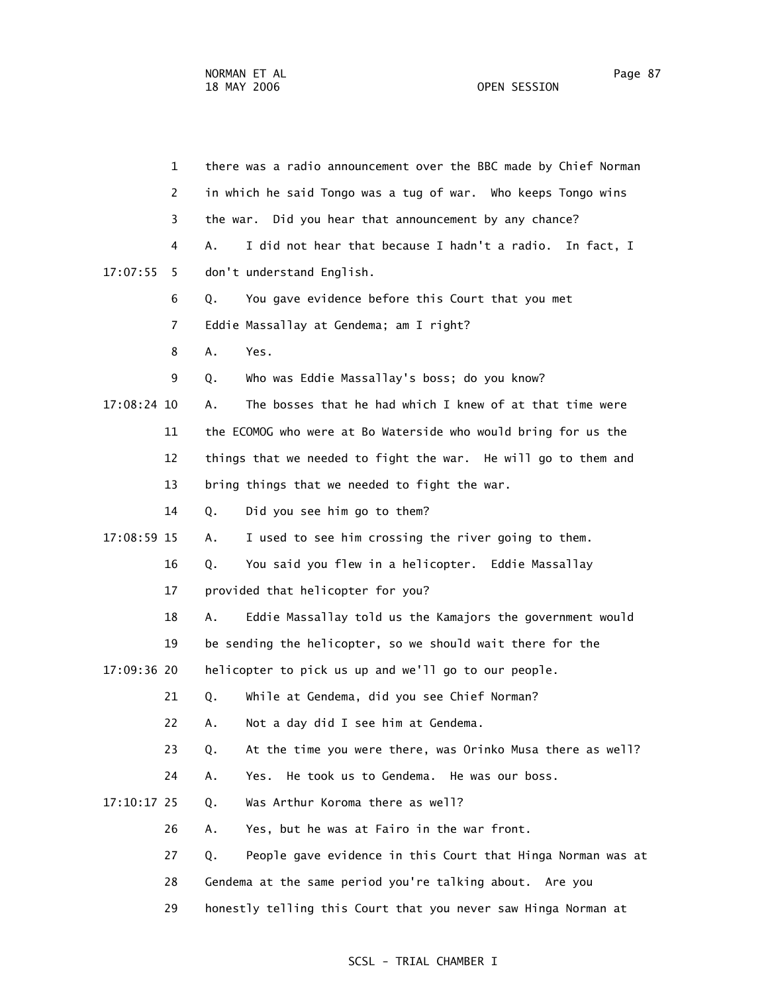1 there was a radio announcement over the BBC made by Chief Norman 2 in which he said Tongo was a tug of war. Who keeps Tongo wins 3 the war. Did you hear that announcement by any chance? 4 A. I did not hear that because I hadn't a radio. In fact, I 17:07:55 5 don't understand English. 6 Q. You gave evidence before this Court that you met 7 Eddie Massallay at Gendema; am I right? 8 A. Yes. 9 Q. Who was Eddie Massallay's boss; do you know? 17:08:24 10 A. The bosses that he had which I knew of at that time were 11 the ECOMOG who were at Bo Waterside who would bring for us the 12 things that we needed to fight the war. He will go to them and 13 bring things that we needed to fight the war. 14 Q. Did you see him go to them? 17:08:59 15 A. I used to see him crossing the river going to them. 16 Q. You said you flew in a helicopter. Eddie Massallay 17 provided that helicopter for you? 18 A. Eddie Massallay told us the Kamajors the government would 19 be sending the helicopter, so we should wait there for the 17:09:36 20 helicopter to pick us up and we'll go to our people. 21 Q. While at Gendema, did you see Chief Norman? 22 A. Not a day did I see him at Gendema. 23 Q. At the time you were there, was Orinko Musa there as well? 24 A. Yes. He took us to Gendema. He was our boss. 17:10:17 25 Q. Was Arthur Koroma there as well? 26 A. Yes, but he was at Fairo in the war front. 27 Q. People gave evidence in this Court that Hinga Norman was at 28 Gendema at the same period you're talking about. Are you 29 honestly telling this Court that you never saw Hinga Norman at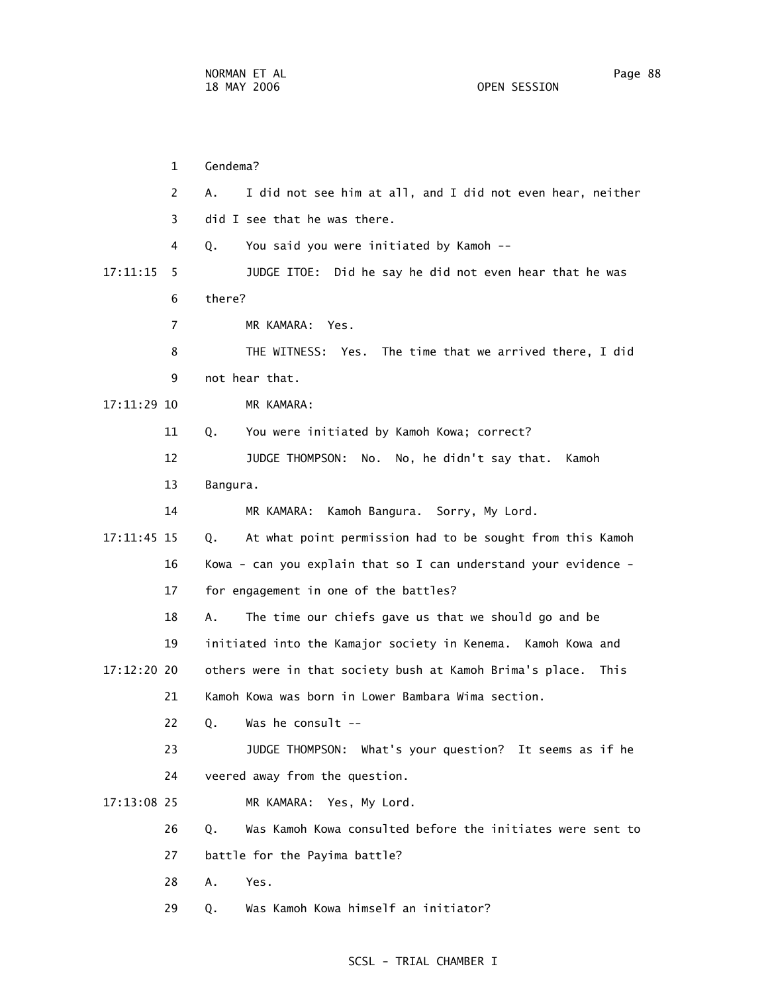1 Gendema? 2 A. I did not see him at all, and I did not even hear, neither 3 did I see that he was there. 4 Q. You said you were initiated by Kamoh -- 17:11:15 5 JUDGE ITOE: Did he say he did not even hear that he was 6 there? 7 MR KAMARA: Yes. 8 THE WITNESS: Yes. The time that we arrived there, I did 9 not hear that. 17:11:29 10 MR KAMARA: 11 Q. You were initiated by Kamoh Kowa; correct? 12 JUDGE THOMPSON: No. No, he didn't say that. Kamoh 13 Bangura. 14 MR KAMARA: Kamoh Bangura. Sorry, My Lord. 17:11:45 15 Q. At what point permission had to be sought from this Kamoh 16 Kowa - can you explain that so I can understand your evidence - 17 for engagement in one of the battles? 18 A. The time our chiefs gave us that we should go and be 19 initiated into the Kamajor society in Kenema. Kamoh Kowa and 17:12:20 20 others were in that society bush at Kamoh Brima's place. This 21 Kamoh Kowa was born in Lower Bambara Wima section. 22 Q. Was he consult -- 23 JUDGE THOMPSON: What's your question? It seems as if he 24 veered away from the question. 17:13:08 25 MR KAMARA: Yes, My Lord. 26 Q. Was Kamoh Kowa consulted before the initiates were sent to 27 battle for the Payima battle? 28 A. Yes. 29 Q. Was Kamoh Kowa himself an initiator?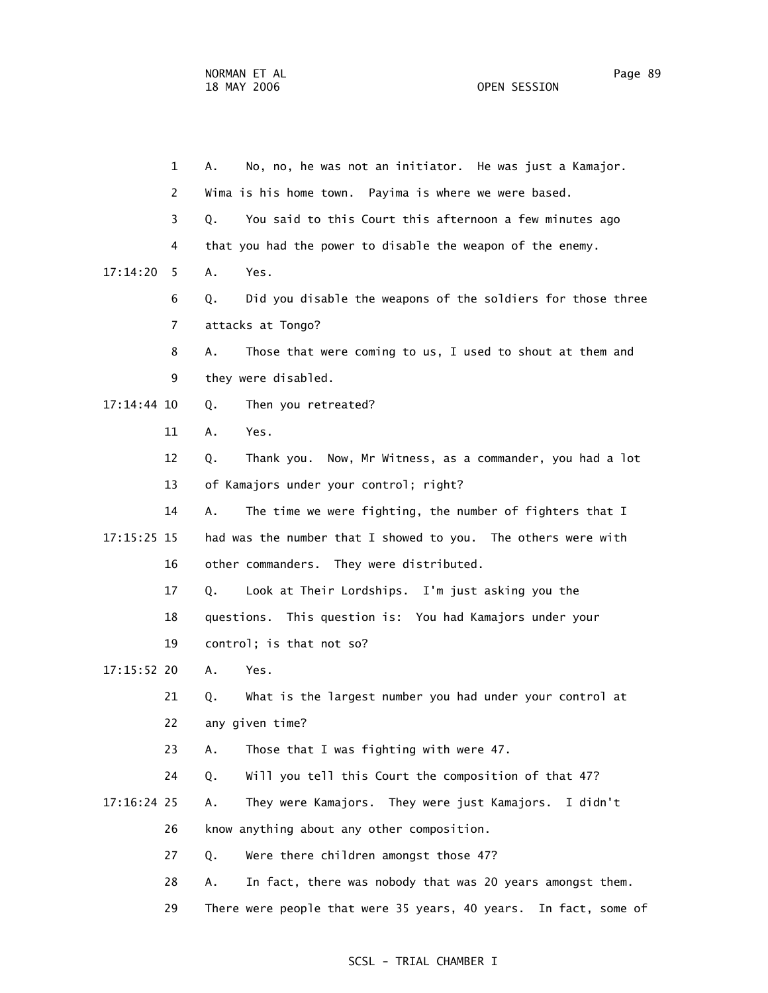1 A. No, no, he was not an initiator. He was just a Kamajor. 2 Wima is his home town. Payima is where we were based. 3 Q. You said to this Court this afternoon a few minutes ago 4 that you had the power to disable the weapon of the enemy. 17:14:20 5 A. Yes. 6 Q. Did you disable the weapons of the soldiers for those three 7 attacks at Tongo? 8 A. Those that were coming to us, I used to shout at them and 9 they were disabled. 17:14:44 10 Q. Then you retreated? 11 A. Yes. 12 Q. Thank you. Now, Mr Witness, as a commander, you had a lot 13 of Kamajors under your control; right? 14 A. The time we were fighting, the number of fighters that I 17:15:25 15 had was the number that I showed to you. The others were with 16 other commanders. They were distributed. 17 Q. Look at Their Lordships. I'm just asking you the 18 questions. This question is: You had Kamajors under your 19 control; is that not so? 17:15:52 20 A. Yes. 21 Q. What is the largest number you had under your control at 22 any given time? 23 A. Those that I was fighting with were 47. 24 Q. Will you tell this Court the composition of that 47? 17:16:24 25 A. They were Kamajors. They were just Kamajors. I didn't 26 know anything about any other composition. 27 Q. Were there children amongst those 47? 28 A. In fact, there was nobody that was 20 years amongst them. 29 There were people that were 35 years, 40 years. In fact, some of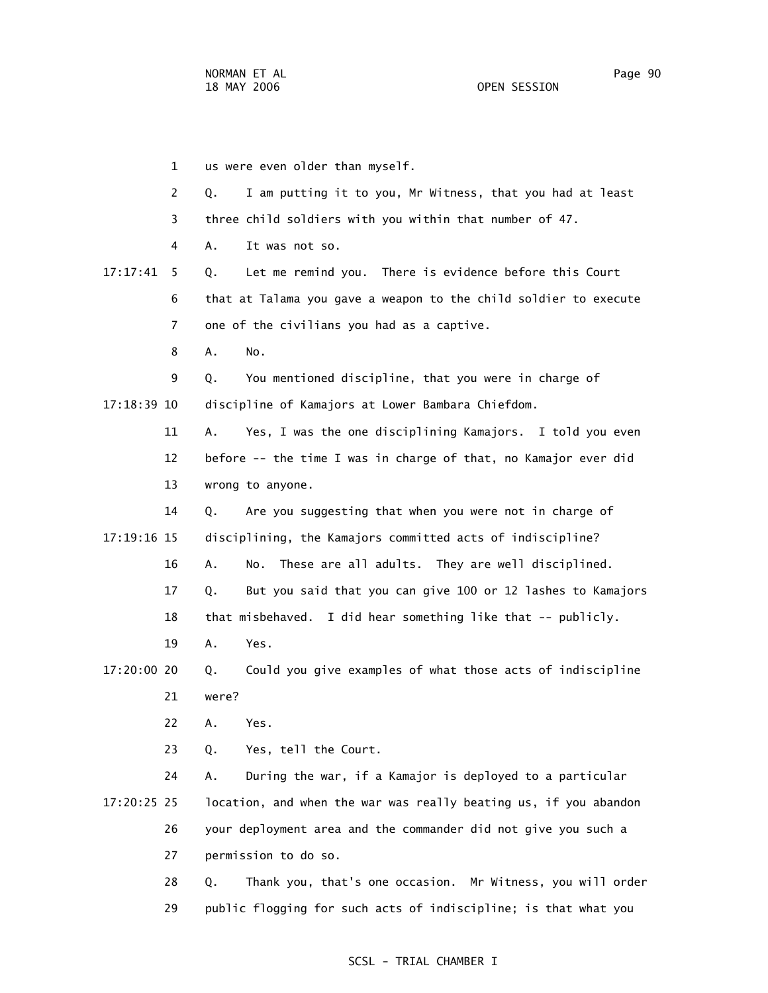1 us were even older than myself. 2 Q. I am putting it to you, Mr Witness, that you had at least 3 three child soldiers with you within that number of 47. 4 A. It was not so. 17:17:41 5 Q. Let me remind you. There is evidence before this Court 6 that at Talama you gave a weapon to the child soldier to execute 7 one of the civilians you had as a captive. 8 A. No. 9 Q. You mentioned discipline, that you were in charge of 17:18:39 10 discipline of Kamajors at Lower Bambara Chiefdom. 11 A. Yes, I was the one disciplining Kamajors. I told you even 12 before -- the time I was in charge of that, no Kamajor ever did 13 wrong to anyone. 14 Q. Are you suggesting that when you were not in charge of 17:19:16 15 disciplining, the Kamajors committed acts of indiscipline? 16 A. No. These are all adults. They are well disciplined. 17 Q. But you said that you can give 100 or 12 lashes to Kamajors 18 that misbehaved. I did hear something like that -- publicly. 19 A. Yes. 17:20:00 20 Q. Could you give examples of what those acts of indiscipline 21 were? 22 A. Yes. 23 Q. Yes, tell the Court. 24 A. During the war, if a Kamajor is deployed to a particular 17:20:25 25 location, and when the war was really beating us, if you abandon 26 your deployment area and the commander did not give you such a 27 permission to do so. 28 Q. Thank you, that's one occasion. Mr Witness, you will order 29 public flogging for such acts of indiscipline; is that what you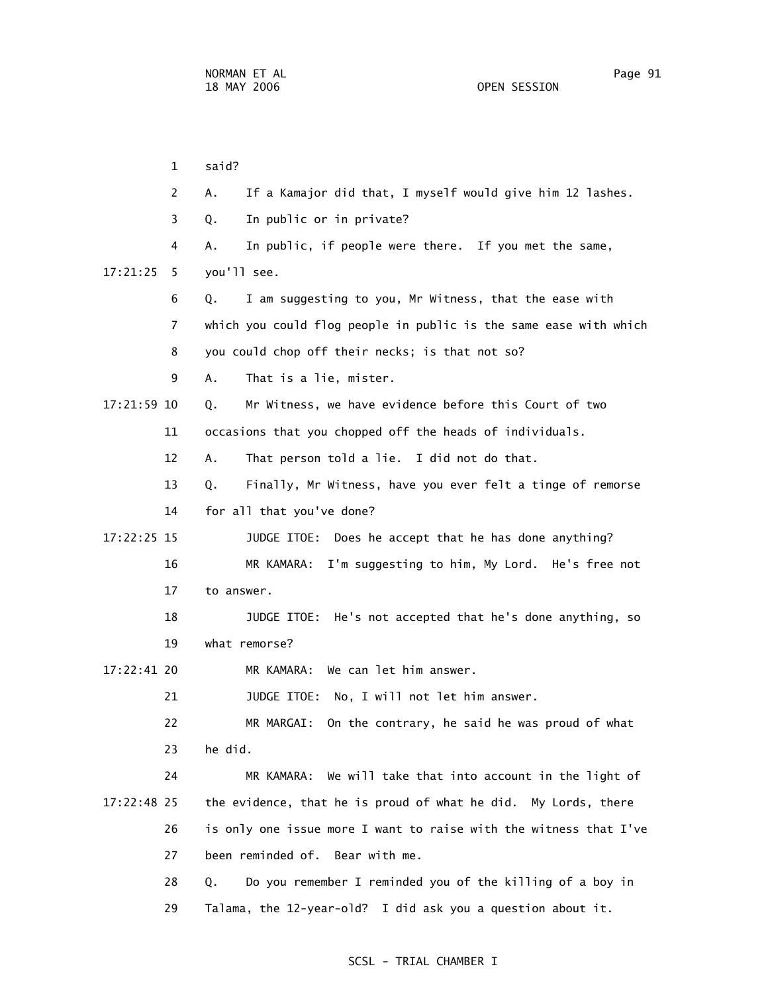1 said? 2 A. If a Kamajor did that, I myself would give him 12 lashes. 3 Q. In public or in private? 4 A. In public, if people were there. If you met the same, 17:21:25 5 you'll see. 6 Q. I am suggesting to you, Mr Witness, that the ease with 7 which you could flog people in public is the same ease with which 8 you could chop off their necks; is that not so? 9 A. That is a lie, mister. 17:21:59 10 Q. Mr Witness, we have evidence before this Court of two 11 occasions that you chopped off the heads of individuals. 12 A. That person told a lie. I did not do that. 13 Q. Finally, Mr Witness, have you ever felt a tinge of remorse 14 for all that you've done? 17:22:25 15 JUDGE ITOE: Does he accept that he has done anything? 16 MR KAMARA: I'm suggesting to him, My Lord. He's free not 17 to answer. 18 JUDGE ITOE: He's not accepted that he's done anything, so 19 what remorse? 17:22:41 20 MR KAMARA: We can let him answer. 21 JUDGE ITOE: No, I will not let him answer. 22 MR MARGAI: On the contrary, he said he was proud of what 23 he did. 24 MR KAMARA: We will take that into account in the light of 17:22:48 25 the evidence, that he is proud of what he did. My Lords, there 26 is only one issue more I want to raise with the witness that I've 27 been reminded of. Bear with me. 28 Q. Do you remember I reminded you of the killing of a boy in 29 Talama, the 12-year-old? I did ask you a question about it.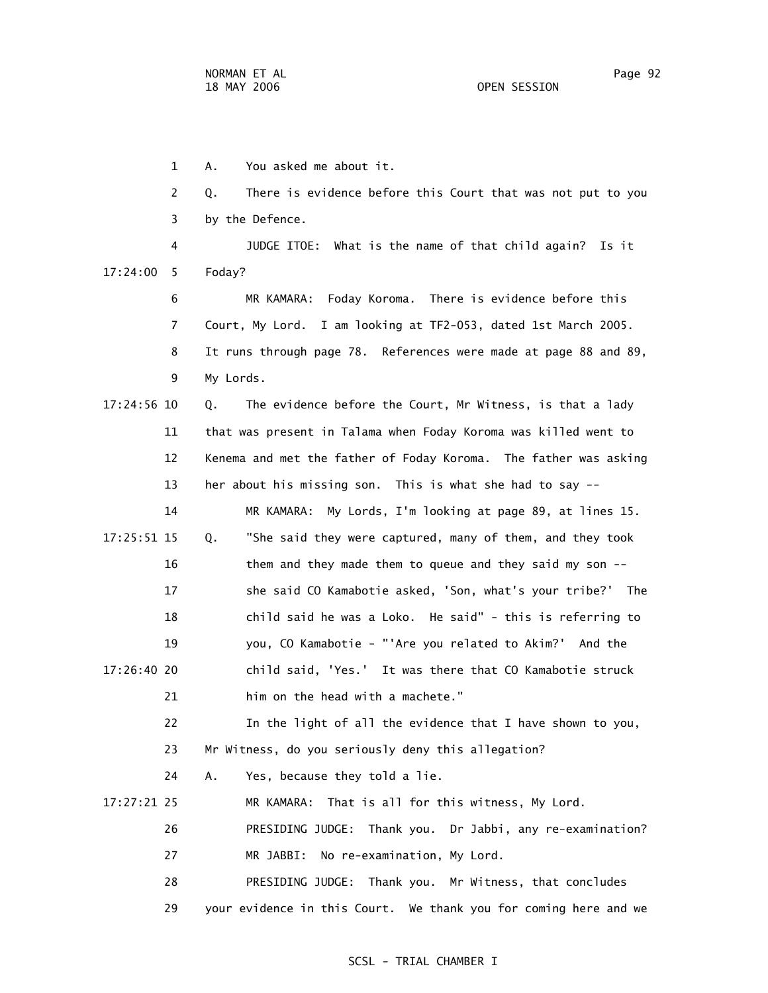1 A. You asked me about it. 2 Q. There is evidence before this Court that was not put to you 3 by the Defence. 4 JUDGE ITOE: What is the name of that child again? Is it 17:24:00 5 Foday? 6 MR KAMARA: Foday Koroma. There is evidence before this 7 Court, My Lord. I am looking at TF2-053, dated 1st March 2005. 8 It runs through page 78. References were made at page 88 and 89, 9 My Lords. 17:24:56 10 Q. The evidence before the Court, Mr Witness, is that a lady 11 that was present in Talama when Foday Koroma was killed went to 12 Kenema and met the father of Foday Koroma. The father was asking 13 her about his missing son. This is what she had to say -- 14 MR KAMARA: My Lords, I'm looking at page 89, at lines 15. 17:25:51 15 Q. "She said they were captured, many of them, and they took 16 them and they made them to queue and they said my son -- 17 she said CO Kamabotie asked, 'Son, what's your tribe?' The 18 child said he was a Loko. He said" - this is referring to 19 you, CO Kamabotie - "'Are you related to Akim?' And the 17:26:40 20 child said, 'Yes.' It was there that CO Kamabotie struck 21 him on the head with a machete." 22 In the light of all the evidence that I have shown to you, 23 Mr Witness, do you seriously deny this allegation? 24 A. Yes, because they told a lie. 17:27:21 25 MR KAMARA: That is all for this witness, My Lord. 26 PRESIDING JUDGE: Thank you. Dr Jabbi, any re-examination? 27 MR JABBI: No re-examination, My Lord. 28 PRESIDING JUDGE: Thank you. Mr Witness, that concludes 29 your evidence in this Court. We thank you for coming here and we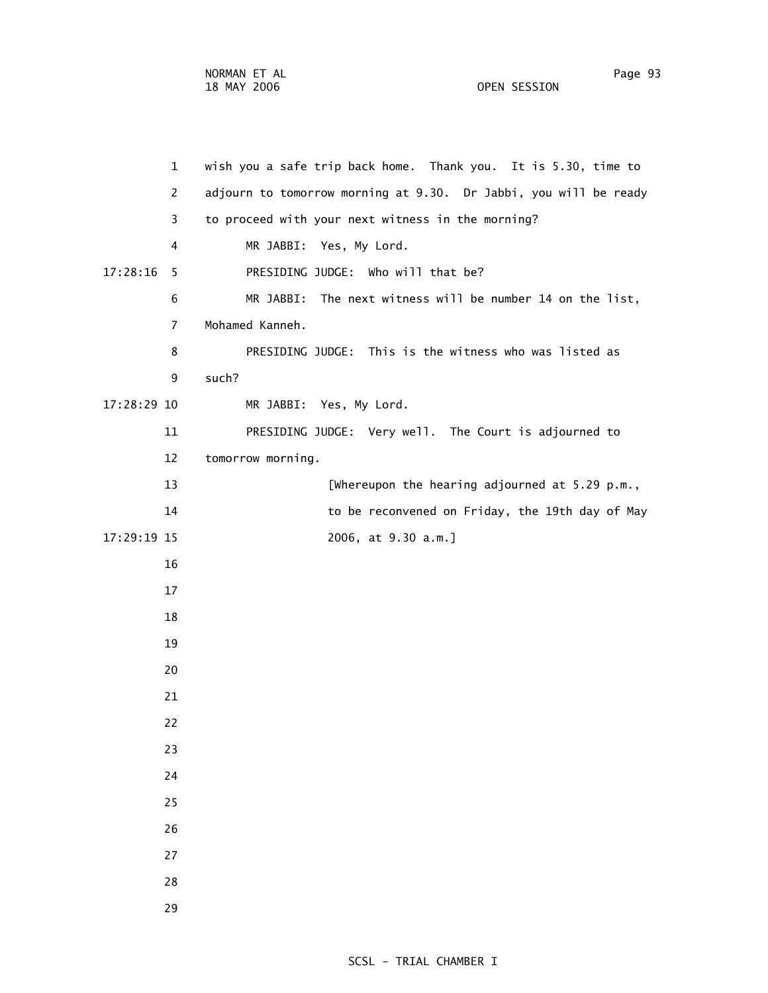1 wish you a safe trip back home. Thank you. It is 5.30, time to 2 adjourn to tomorrow morning at 9.30. Dr Jabbi, you will be ready 3 to proceed with your next witness in the morning? 4 MR JABBI: Yes, My Lord. 17:28:16 5 PRESIDING JUDGE: Who will that be? 6 MR JABBI: The next witness will be number 14 on the list, 8 PRESIDING JUDGE: This is the witness who was listed as

9 such?

17:28:29 10 MR JABBI: Yes, My Lord.

7 Mohamed Kanneh.

11 PRESIDING JUDGE: Very well. The Court is adjourned to

12 tomorrow morning.

13 **Example 20 Extrache Line 20** EWhereupon the hearing adjourned at 5.29 p.m., 14 to be reconvened on Friday, the 19th day of May 17:29:19 15 2006, at 9.30 a.m.]

- 16
	- 17
	- 18
	- 19
	- 20
	- 21
	- 22
	-
	- 23
	- 24
	- 25
	- 26
	- 27
	- 28
	- 29